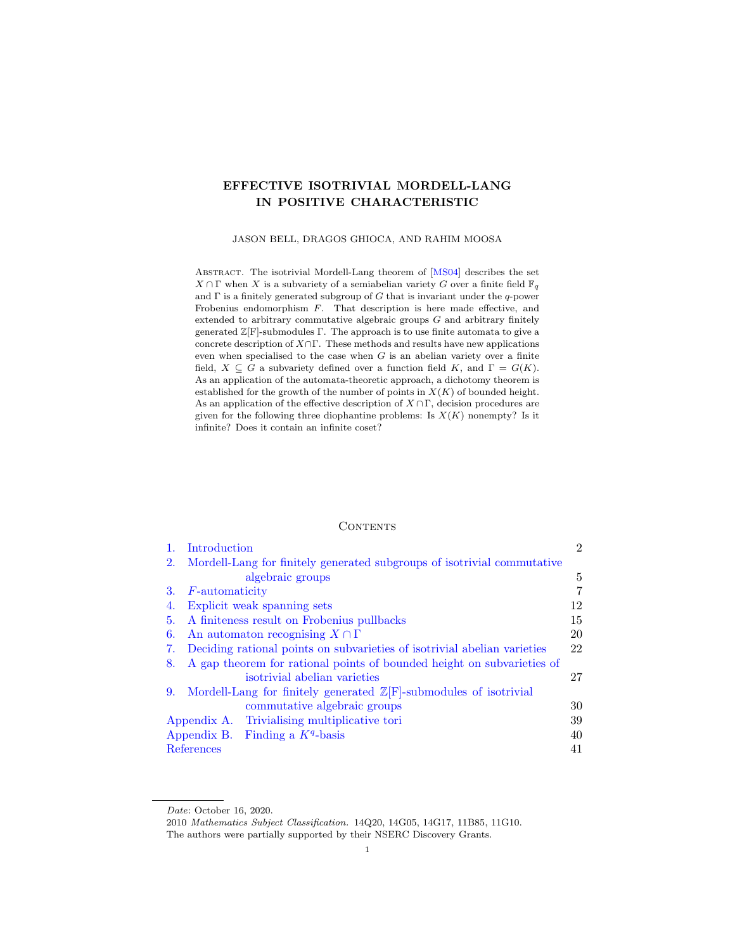# <span id="page-0-0"></span>EFFECTIVE ISOTRIVIAL MORDELL-LANG IN POSITIVE CHARACTERISTIC

JASON BELL, DRAGOS GHIOCA, AND RAHIM MOOSA

ABSTRACT. The isotrivial Mordell-Lang theorem of [\[MS04\]](#page-40-0) describes the set  $X \cap \Gamma$  when  $X$  is a subvariety of a semiabelian variety  $G$  over a finite field  $\mathbb{F}_q$ and  $\Gamma$  is a finitely generated subgroup of G that is invariant under the q-power Frobenius endomorphism F. That description is here made effective, and extended to arbitrary commutative algebraic groups G and arbitrary finitely generated  $\mathbb{Z}[F]$ -submodules  $\Gamma$ . The approach is to use finite automata to give a concrete description of  $X\cap\Gamma$ . These methods and results have new applications even when specialised to the case when  $G$  is an abelian variety over a finite field,  $X \subseteq G$  a subvariety defined over a function field K, and  $\Gamma = G(K)$ . As an application of the automata-theoretic approach, a dichotomy theorem is established for the growth of the number of points in  $X(K)$  of bounded height. As an application of the effective description of  $X\cap \Gamma,$  decision procedures are given for the following three diophantine problems: Is  $X(K)$  nonempty? Is it infinite? Does it contain an infinite coset?

#### **CONTENTS**

| 1. | Introduction                                                                  | $\overline{2}$ |
|----|-------------------------------------------------------------------------------|----------------|
| 2. | Mordell-Lang for finitely generated subgroups of isotrivial commutative       |                |
|    | algebraic groups                                                              | 5              |
| 3. | <i>F</i> -automaticity                                                        | 7              |
| 4. | Explicit weak spanning sets                                                   | 12             |
| 5. | A finiteness result on Frobenius pullbacks                                    | 15             |
| 6. | An automaton recognising $X \cap \Gamma$                                      | 20             |
| 7. | Deciding rational points on subvarieties of isotrivial abelian varieties      | 22             |
| 8. | A gap theorem for rational points of bounded height on subvarieties of        |                |
|    | isotrivial abelian varieties                                                  | 27             |
| 9. | Mordell-Lang for finitely generated $\mathbb{Z}[F]$ -submodules of isotrivial |                |
|    | commutative algebraic groups                                                  | 30             |
|    | Appendix A. Trivialising multiplicative tori                                  | 39             |
|    | Appendix B. Finding a $Kq$ -basis                                             | 40             |
|    | References                                                                    | 41             |

Date: October 16, 2020.

<sup>2010</sup> Mathematics Subject Classification. 14Q20, 14G05, 14G17, 11B85, 11G10. The authors were partially supported by their NSERC Discovery Grants.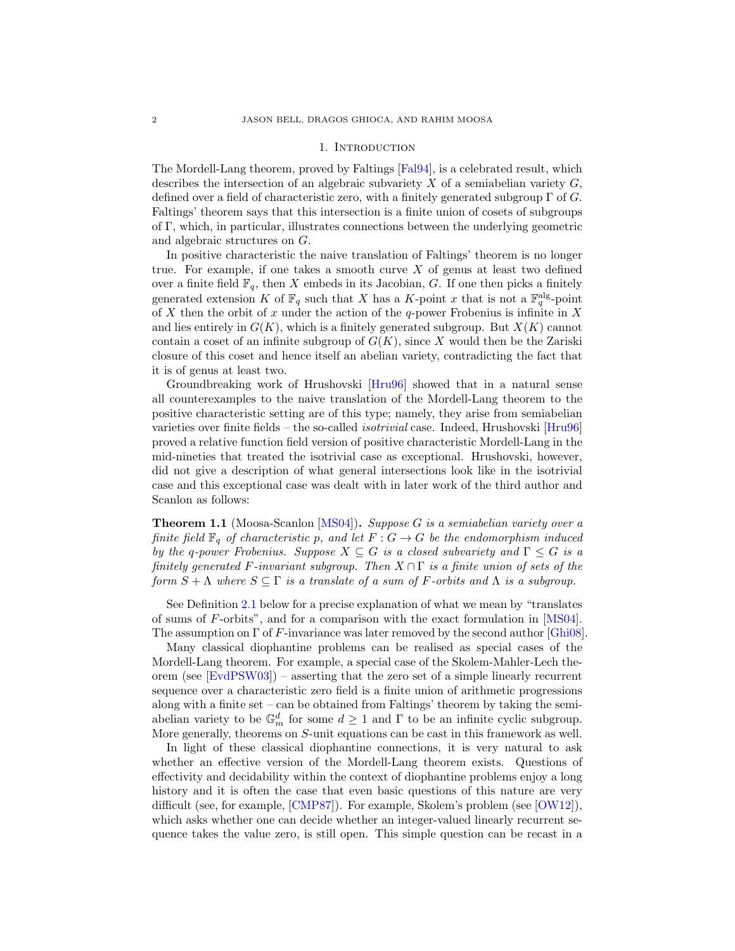#### 1. INTRODUCTION

<span id="page-1-0"></span>The Mordell-Lang theorem, proved by Faltings [\[Fal94\]](#page-40-2), is a celebrated result, which describes the intersection of an algebraic subvariety  $X$  of a semiabelian variety  $G$ , defined over a field of characteristic zero, with a finitely generated subgroup  $\Gamma$  of  $G$ . Faltings' theorem says that this intersection is a finite union of cosets of subgroups of Γ, which, in particular, illustrates connections between the underlying geometric and algebraic structures on G.

In positive characteristic the naive translation of Faltings' theorem is no longer true. For example, if one takes a smooth curve  $X$  of genus at least two defined over a finite field  $\mathbb{F}_q$ , then X embeds in its Jacobian, G. If one then picks a finitely generated extension K of  $\mathbb{F}_q$  such that X has a K-point x that is not a  $\mathbb{F}_q^{\text{alg}}$ -point of X then the orbit of x under the action of the q-power Frobenius is infinite in X and lies entirely in  $G(K)$ , which is a finitely generated subgroup. But  $X(K)$  cannot contain a coset of an infinite subgroup of  $G(K)$ , since X would then be the Zariski closure of this coset and hence itself an abelian variety, contradicting the fact that it is of genus at least two.

Groundbreaking work of Hrushovski [\[Hru96\]](#page-40-3) showed that in a natural sense all counterexamples to the naive translation of the Mordell-Lang theorem to the positive characteristic setting are of this type; namely, they arise from semiabelian varieties over finite fields – the so-called *isotrivial* case. Indeed, Hrushovski [\[Hru96\]](#page-40-3) proved a relative function field version of positive characteristic Mordell-Lang in the mid-nineties that treated the isotrivial case as exceptional. Hrushovski, however, did not give a description of what general intersections look like in the isotrivial case and this exceptional case was dealt with in later work of the third author and Scanlon as follows:

<span id="page-1-1"></span>**Theorem 1.1** (Moosa-Scanlon [\[MS04\]](#page-40-0)). Suppose G is a semiabelian variety over a finite field  $\mathbb{F}_q$  of characteristic p, and let  $F: G \to G$  be the endomorphism induced by the q-power Frobenius. Suppose  $X \subseteq G$  is a closed subvariety and  $\Gamma \leq G$  is a finitely generated F-invariant subgroup. Then  $X \cap \Gamma$  is a finite union of sets of the form  $S + \Lambda$  where  $S \subseteq \Gamma$  is a translate of a sum of F-orbits and  $\Lambda$  is a subgroup.

See Definition [2.1](#page-4-1) below for a precise explanation of what we mean by "translates of sums of F-orbits", and for a comparison with the exact formulation in [\[MS04\]](#page-40-0). The assumption on Γ of F-invariance was later removed by the second author [\[Ghi08\]](#page-40-4).

Many classical diophantine problems can be realised as special cases of the Mordell-Lang theorem. For example, a special case of the Skolem-Mahler-Lech theorem (see [\[EvdPSW03\]](#page-40-5)) – asserting that the zero set of a simple linearly recurrent sequence over a characteristic zero field is a finite union of arithmetic progressions along with a finite set – can be obtained from Faltings' theorem by taking the semiabelian variety to be  $\mathbb{G}_m^d$  for some  $d \geq 1$  and  $\Gamma$  to be an infinite cyclic subgroup. More generally, theorems on S-unit equations can be cast in this framework as well.

In light of these classical diophantine connections, it is very natural to ask whether an effective version of the Mordell-Lang theorem exists. Questions of effectivity and decidability within the context of diophantine problems enjoy a long history and it is often the case that even basic questions of this nature are very difficult (see, for example, [\[CMP87\]](#page-40-6)). For example, Skolem's problem (see [\[OW12\]](#page-41-0)), which asks whether one can decide whether an integer-valued linearly recurrent sequence takes the value zero, is still open. This simple question can be recast in a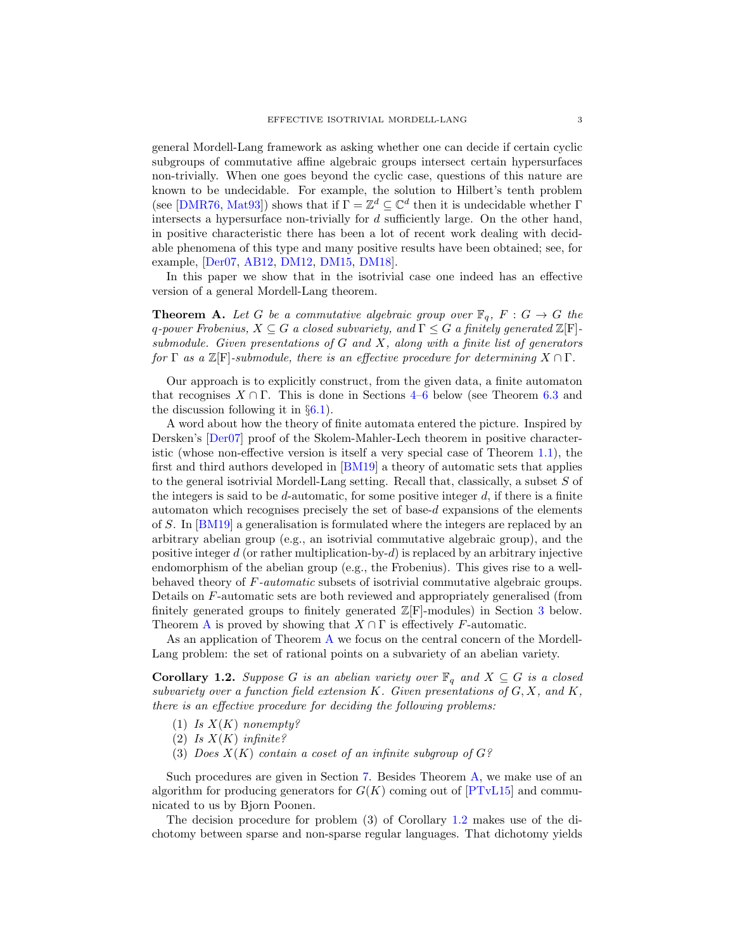general Mordell-Lang framework as asking whether one can decide if certain cyclic subgroups of commutative affine algebraic groups intersect certain hypersurfaces non-trivially. When one goes beyond the cyclic case, questions of this nature are known to be undecidable. For example, the solution to Hilbert's tenth problem (see [\[DMR76,](#page-40-7) [Mat93\]](#page-40-8)) shows that if  $\Gamma = \mathbb{Z}^d \subseteq \mathbb{C}^d$  then it is undecidable whether  $\Gamma$ intersects a hypersurface non-trivially for d sufficiently large. On the other hand, in positive characteristic there has been a lot of recent work dealing with decidable phenomena of this type and many positive results have been obtained; see, for example, [\[Der07,](#page-40-9) [AB12,](#page-40-10) [DM12,](#page-40-11) [DM15,](#page-40-12) [DM18\]](#page-40-13).

In this paper we show that in the isotrivial case one indeed has an effective version of a general Mordell-Lang theorem.

<span id="page-2-0"></span>**Theorem A.** Let G be a commutative algebraic group over  $\mathbb{F}_q$ ,  $F: G \to G$  the q-power Frobenius,  $X \subseteq G$  a closed subvariety, and  $\Gamma \leq G$  a finitely generated  $\mathbb{Z}[\mathbf{F}]$ submodule. Given presentations of  $G$  and  $X$ , along with a finite list of generators for  $\Gamma$  as a  $\mathbb{Z}[\mathbf{F}]$ -submodule, there is an effective procedure for determining  $X \cap \Gamma$ .

Our approach is to explicitly construct, from the given data, a finite automaton that recognises  $X \cap \Gamma$ . This is done in Sections [4–](#page-11-0)[6](#page-19-0) below (see Theorem [6.3](#page-20-0) and the discussion following it in  $\S6.1$ .

A word about how the theory of finite automata entered the picture. Inspired by Dersken's [\[Der07\]](#page-40-9) proof of the Skolem-Mahler-Lech theorem in positive characteristic (whose non-effective version is itself a very special case of Theorem [1.1\)](#page-1-1), the first and third authors developed in [\[BM19\]](#page-40-14) a theory of automatic sets that applies to the general isotrivial Mordell-Lang setting. Recall that, classically, a subset S of the integers is said to be  $d$ -automatic, for some positive integer  $d$ , if there is a finite automaton which recognises precisely the set of base- $d$  expansions of the elements of S. In [\[BM19\]](#page-40-14) a generalisation is formulated where the integers are replaced by an arbitrary abelian group (e.g., an isotrivial commutative algebraic group), and the positive integer  $d$  (or rather multiplication-by- $d$ ) is replaced by an arbitrary injective endomorphism of the abelian group (e.g., the Frobenius). This gives rise to a wellbehaved theory of F-automatic subsets of isotrivial commutative algebraic groups. Details on F-automatic sets are both reviewed and appropriately generalised (from finitely generated groups to finitely generated  $\mathbb{Z}[F]$ -modules) in Section [3](#page-6-0) below. Theorem [A](#page-2-0) is proved by showing that  $X \cap \Gamma$  is effectively F-automatic.

As an application of Theorem [A](#page-2-0) we focus on the central concern of the Mordell-Lang problem: the set of rational points on a subvariety of an abelian variety.

<span id="page-2-1"></span>**Corollary 1.2.** Suppose G is an abelian variety over  $\mathbb{F}_q$  and  $X \subseteq G$  is a closed subvariety over a function field extension K. Given presentations of  $G, X$ , and  $K$ , there is an effective procedure for deciding the following problems:

- (1) Is  $X(K)$  nonempty?
- (2) Is  $X(K)$  infinite?
- (3) Does  $X(K)$  contain a coset of an infinite subgroup of  $G$ ?

Such procedures are given in Section [7.](#page-21-0) Besides Theorem [A,](#page-2-0) we make use of an algorithm for producing generators for  $G(K)$  coming out of  $[PTvL15]$  and communicated to us by Bjorn Poonen.

The decision procedure for problem (3) of Corollary [1.2](#page-2-1) makes use of the dichotomy between sparse and non-sparse regular languages. That dichotomy yields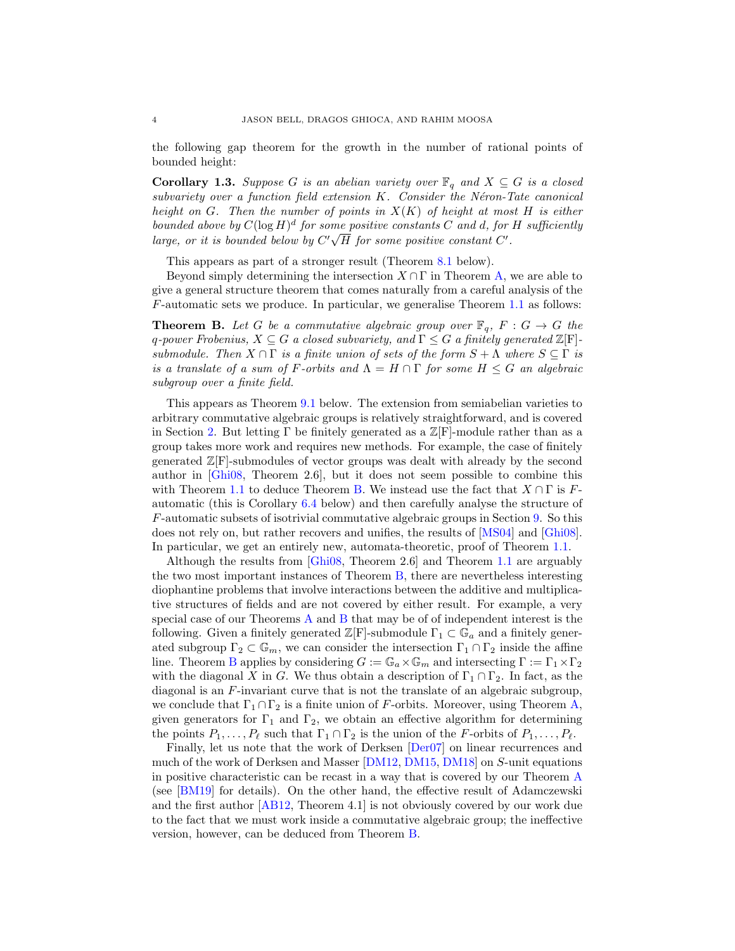the following gap theorem for the growth in the number of rational points of bounded height:

**Corollary 1.3.** Suppose G is an abelian variety over  $\mathbb{F}_q$  and  $X \subseteq G$  is a closed  $subvariety$  over a function field extension  $K$ . Consider the Néron-Tate canonical height on G. Then the number of points in  $X(K)$  of height at most H is either bounded above by  $C(\log H)^d$  for some positive constants C and d, for H sufficiently large, or it is bounded below by  $C'\sqrt{H}$  for some positive constant  $C'$ .

This appears as part of a stronger result (Theorem [8.1](#page-26-1) below).

Beyond simply determining the intersection  $X \cap \Gamma$  in Theorem [A,](#page-2-0) we are able to give a general structure theorem that comes naturally from a careful analysis of the F-automatic sets we produce. In particular, we generalise Theorem [1.1](#page-1-1) as follows:

<span id="page-3-0"></span>**Theorem B.** Let G be a commutative algebraic group over  $\mathbb{F}_q$ ,  $F: G \to G$  the q-power Frobenius,  $X \subseteq G$  a closed subvariety, and  $\Gamma \leq G$  a finitely generated  $\mathbb{Z}[\mathbf{F}]$ submodule. Then  $X \cap \Gamma$  is a finite union of sets of the form  $S + \Lambda$  where  $S \subseteq \Gamma$  is is a translate of a sum of F-orbits and  $\Lambda = H \cap \Gamma$  for some  $H \leq G$  an algebraic subgroup over a finite field.

This appears as Theorem [9.1](#page-29-1) below. The extension from semiabelian varieties to arbitrary commutative algebraic groups is relatively straightforward, and is covered in Section [2.](#page-4-0) But letting  $\Gamma$  be finitely generated as a  $\mathbb{Z}[\mathbf{F}]$ -module rather than as a group takes more work and requires new methods. For example, the case of finitely generated Z[F]-submodules of vector groups was dealt with already by the second author in [\[Ghi08,](#page-40-4) Theorem 2.6], but it does not seem possible to combine this with Theorem [1.1](#page-1-1) to deduce Theorem [B.](#page-3-0) We instead use the fact that  $X \cap \Gamma$  is Fautomatic (this is Corollary [6.4](#page-21-2) below) and then carefully analyse the structure of F-automatic subsets of isotrivial commutative algebraic groups in Section [9.](#page-29-0) So this does not rely on, but rather recovers and unifies, the results of [\[MS04\]](#page-40-0) and [\[Ghi08\]](#page-40-4). In particular, we get an entirely new, automata-theoretic, proof of Theorem [1.1.](#page-1-1)

Although the results from [\[Ghi08,](#page-40-4) Theorem 2.6] and Theorem [1.1](#page-1-1) are arguably the two most important instances of Theorem [B,](#page-3-0) there are nevertheless interesting diophantine problems that involve interactions between the additive and multiplicative structures of fields and are not covered by either result. For example, a very special case of our Theorems [A](#page-2-0) and [B](#page-3-0) that may be of of independent interest is the following. Given a finitely generated  $\mathbb{Z}[F]$ -submodule  $\Gamma_1 \subset \mathbb{G}_a$  and a finitely generated subgroup  $\Gamma_2 \subset \mathbb{G}_m$ , we can consider the intersection  $\Gamma_1 \cap \Gamma_2$  inside the affine line. Theorem [B](#page-3-0) applies by considering  $G := \mathbb{G}_a \times \mathbb{G}_m$  and intersecting  $\Gamma := \Gamma_1 \times \Gamma_2$ with the diagonal X in G. We thus obtain a description of  $\Gamma_1 \cap \Gamma_2$ . In fact, as the diagonal is an F-invariant curve that is not the translate of an algebraic subgroup, we conclude that  $\Gamma_1 \cap \Gamma_2$  is a finite union of F-orbits. Moreover, using Theorem [A,](#page-2-0) given generators for  $\Gamma_1$  and  $\Gamma_2$ , we obtain an effective algorithm for determining the points  $P_1, \ldots, P_\ell$  such that  $\Gamma_1 \cap \Gamma_2$  is the union of the F-orbits of  $P_1, \ldots, P_\ell$ .

Finally, let us note that the work of Derksen [\[Der07\]](#page-40-9) on linear recurrences and much of the work of Derksen and Masser [\[DM12,](#page-40-11) [DM15,](#page-40-12) [DM18\]](#page-40-13) on S-unit equations in positive characteristic can be recast in a way that is covered by our Theorem [A](#page-2-0) (see [\[BM19\]](#page-40-14) for details). On the other hand, the effective result of Adamczewski and the first author [\[AB12,](#page-40-10) Theorem 4.1] is not obviously covered by our work due to the fact that we must work inside a commutative algebraic group; the ineffective version, however, can be deduced from Theorem [B.](#page-3-0)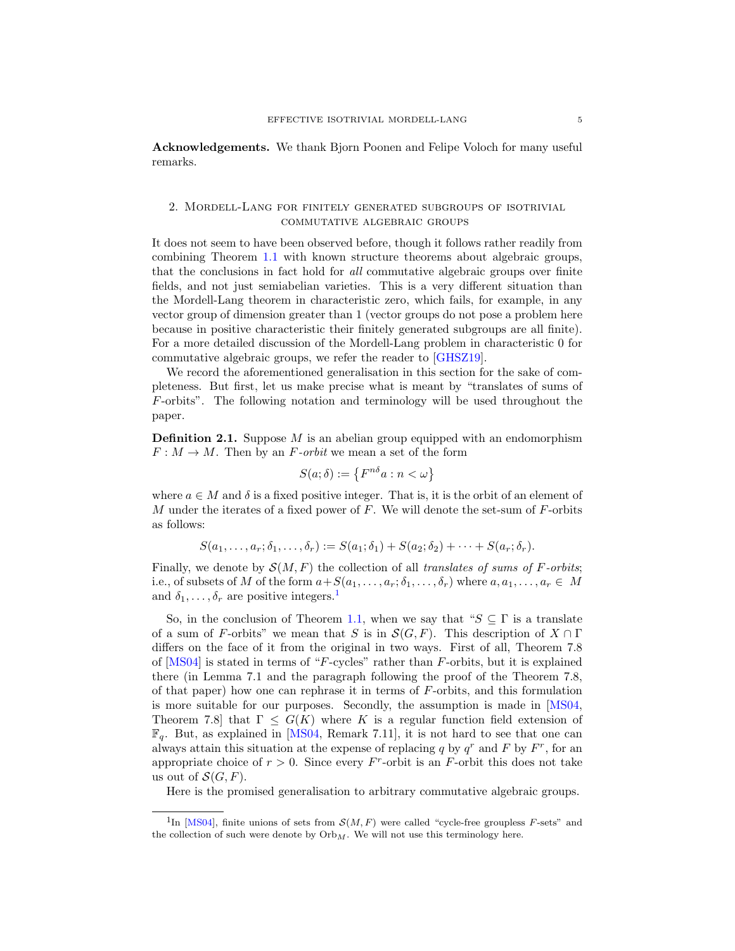Acknowledgements. We thank Bjorn Poonen and Felipe Voloch for many useful remarks.

## <span id="page-4-0"></span>2. Mordell-Lang for finitely generated subgroups of isotrivial commutative algebraic groups

It does not seem to have been observed before, though it follows rather readily from combining Theorem [1.1](#page-1-1) with known structure theorems about algebraic groups, that the conclusions in fact hold for all commutative algebraic groups over finite fields, and not just semiabelian varieties. This is a very different situation than the Mordell-Lang theorem in characteristic zero, which fails, for example, in any vector group of dimension greater than 1 (vector groups do not pose a problem here because in positive characteristic their finitely generated subgroups are all finite). For a more detailed discussion of the Mordell-Lang problem in characteristic 0 for commutative algebraic groups, we refer the reader to [\[GHSZ19\]](#page-40-15).

We record the aforementioned generalisation in this section for the sake of completeness. But first, let us make precise what is meant by "translates of sums of F-orbits". The following notation and terminology will be used throughout the paper.

<span id="page-4-1"></span>**Definition 2.1.** Suppose  $M$  is an abelian group equipped with an endomorphism  $F: M \to M$ . Then by an F-orbit we mean a set of the form

$$
S(a; \delta) := \{ F^{n\delta} a : n < \omega \}
$$

where  $a \in M$  and  $\delta$  is a fixed positive integer. That is, it is the orbit of an element of M under the iterates of a fixed power of  $F$ . We will denote the set-sum of  $F$ -orbits as follows:

$$
S(a_1,\ldots,a_r;\delta_1,\ldots,\delta_r):=S(a_1;\delta_1)+S(a_2;\delta_2)+\cdots+S(a_r;\delta_r).
$$

Finally, we denote by  $\mathcal{S}(M, F)$  the collection of all translates of sums of F-orbits; i.e., of subsets of M of the form  $a+S(a_1,\ldots,a_r;\delta_1,\ldots,\delta_r)$  where  $a,a_1,\ldots,a_r\in M$ and  $\delta_1, \ldots, \delta_r$  $\delta_1, \ldots, \delta_r$  $\delta_1, \ldots, \delta_r$  are positive integers.<sup>1</sup>

So, in the conclusion of Theorem [1.1,](#page-1-1) when we say that " $S \subseteq \Gamma$  is a translate of a sum of F-orbits" we mean that S is in  $S(G, F)$ . This description of  $X \cap \Gamma$ differs on the face of it from the original in two ways. First of all, Theorem 7.8 of  $[MSO4]$  is stated in terms of "F-cycles" rather than F-orbits, but it is explained there (in Lemma 7.1 and the paragraph following the proof of the Theorem 7.8, of that paper) how one can rephrase it in terms of  $F$ -orbits, and this formulation is more suitable for our purposes. Secondly, the assumption is made in [\[MS04,](#page-40-0) Theorem 7.8] that  $\Gamma \leq G(K)$  where K is a regular function field extension of  $\mathbb{F}_q$ . But, as explained in [\[MS04,](#page-40-0) Remark 7.11], it is not hard to see that one can always attain this situation at the expense of replacing q by  $q^r$  and F by  $F^r$ , for an appropriate choice of  $r > 0$ . Since every F<sup>r</sup>-orbit is an F-orbit this does not take us out of  $\mathcal{S}(G, F)$ .

Here is the promised generalisation to arbitrary commutative algebraic groups.

<span id="page-4-2"></span><sup>&</sup>lt;sup>1</sup>In [\[MS04\]](#page-40-0), finite unions of sets from  $\mathcal{S}(M, F)$  were called "cycle-free groupless F-sets" and the collection of such were denote by  $Orb<sub>M</sub>$ . We will not use this terminology here.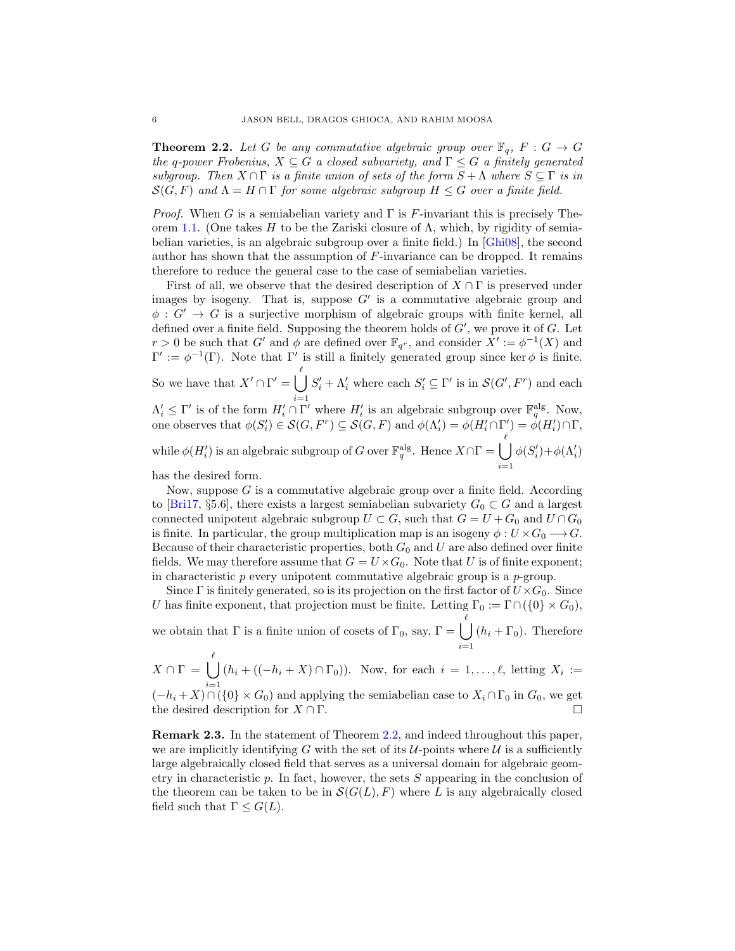<span id="page-5-0"></span>**Theorem 2.2.** Let G be any commutative algebraic group over  $\mathbb{F}_q$ ,  $F: G \to G$ the q-power Frobenius,  $X \subseteq G$  a closed subvariety, and  $\Gamma \leq G$  a finitely generated subgroup. Then  $X \cap \Gamma$  is a finite union of sets of the form  $S + \Lambda$  where  $S \subseteq \Gamma$  is in  $S(G, F)$  and  $\Lambda = H \cap \Gamma$  for some algebraic subgroup  $H \leq G$  over a finite field.

*Proof.* When G is a semiabelian variety and  $\Gamma$  is F-invariant this is precisely The-orem [1.1.](#page-1-1) (One takes H to be the Zariski closure of  $\Lambda$ , which, by rigidity of semiabelian varieties, is an algebraic subgroup over a finite field.) In [\[Ghi08\]](#page-40-4), the second author has shown that the assumption of F-invariance can be dropped. It remains therefore to reduce the general case to the case of semiabelian varieties.

First of all, we observe that the desired description of  $X \cap \Gamma$  is preserved under images by isogeny. That is, suppose  $G'$  is a commutative algebraic group and  $\phi: G' \to G$  is a surjective morphism of algebraic groups with finite kernel, all defined over a finite field. Supposing the theorem holds of  $G'$ , we prove it of  $G$ . Let  $r > 0$  be such that G' and  $\phi$  are defined over  $\mathbb{F}_{q^r}$ , and consider  $X' := \phi^{-1}(X)$  and  $\Gamma' := \phi^{-1}(\Gamma)$ . Note that Γ' is still a finitely generated group since ker  $\phi$  is finite. So we have that  $X' \cap \Gamma' = \begin{bmatrix} \ell \\ \end{bmatrix}$  $S_i' + \Lambda_i'$  where each  $S_i' \subseteq \Gamma'$  is in  $\mathcal{S}(G', F^r)$  and each

 $i=1$  $\Lambda'_i \leq \Gamma'$  is of the form  $H'_i \cap \Gamma'$  where  $H'_i$  is an algebraic subgroup over  $\mathbb{F}_q^{\text{alg}}$ . Now, one observes that  $\phi(S'_i) \in \mathcal{S}(G, F^r) \subseteq \mathcal{S}(G, F)$  and  $\phi(\Lambda'_i) = \phi(H'_i \cap \Gamma') = \phi(H'_i) \cap \Gamma$ , while  $\phi(H_i')$  is an algebraic subgroup of G over  $\mathbb{F}_q^{\text{alg}}$ . Hence  $X \cap \Gamma = \bigcup_{i=1}^{\ell} X_i$  $i=1$  $\phi(S'_i)+\phi(\Lambda'_i)$ 

has the desired form.

Now, suppose  $G$  is a commutative algebraic group over a finite field. According to [\[Bri17,](#page-40-16) §5.6], there exists a largest semiabelian subvariety  $G_0 \subset G$  and a largest connected unipotent algebraic subgroup  $U \subset G$ , such that  $G = U + G_0$  and  $U \cap G_0$ is finite. In particular, the group multiplication map is an isogeny  $\phi: U \times G_0 \longrightarrow G$ . Because of their characteristic properties, both  $G_0$  and U are also defined over finite fields. We may therefore assume that  $G = U \times G_0$ . Note that U is of finite exponent; in characteristic p every unipotent commutative algebraic group is a p-group.

Since Γ is finitely generated, so is its projection on the first factor of  $U\times G_0$ . Since U has finite exponent, that projection must be finite. Letting  $\Gamma_0 := \Gamma \cap (\{0\} \times G_0)$ , we obtain that  $\Gamma$  is a finite union of cosets of  $\Gamma_0$ , say,  $\Gamma = \begin{pmatrix} \ell \\ \end{pmatrix}$  $i=1$  $(h_i + \Gamma_0)$ . Therefore

 $X \cap \Gamma = \begin{bmatrix} \ell \\ \end{bmatrix}$  $(h_i + ((-h_i + X) \cap \Gamma_0))$ . Now, for each  $i = 1, ..., \ell$ , letting  $X_i :=$ 

 $(-h_i + X) \cap (\{0\} \times G_0)$  and applying the semiabelian case to  $X_i \cap \Gamma_0$  in  $G_0$ , we get the desired description for  $X \cap \Gamma$ .

Remark 2.3. In the statement of Theorem [2.2,](#page-5-0) and indeed throughout this paper, we are implicitly identifying G with the set of its  $U$ -points where  $U$  is a sufficiently large algebraically closed field that serves as a universal domain for algebraic geometry in characteristic  $p$ . In fact, however, the sets  $S$  appearing in the conclusion of the theorem can be taken to be in  $S(G(L), F)$  where L is any algebraically closed field such that  $\Gamma \leq G(L)$ .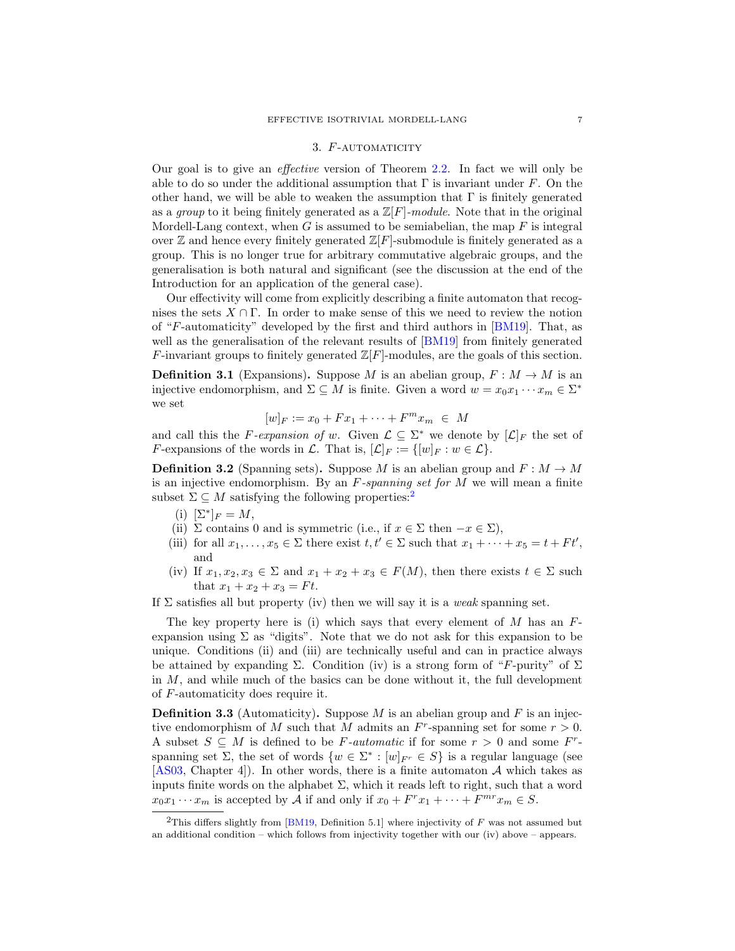#### 3. F-AUTOMATICITY

<span id="page-6-0"></span>Our goal is to give an effective version of Theorem [2.2.](#page-5-0) In fact we will only be able to do so under the additional assumption that  $\Gamma$  is invariant under F. On the other hand, we will be able to weaken the assumption that  $\Gamma$  is finitely generated as a group to it being finitely generated as a  $\mathbb{Z}[F]$ -module. Note that in the original Mordell-Lang context, when  $G$  is assumed to be semiabelian, the map  $F$  is integral over  $\mathbb Z$  and hence every finitely generated  $\mathbb Z[F]$ -submodule is finitely generated as a group. This is no longer true for arbitrary commutative algebraic groups, and the generalisation is both natural and significant (see the discussion at the end of the Introduction for an application of the general case).

Our effectivity will come from explicitly describing a finite automaton that recognises the sets  $X \cap \Gamma$ . In order to make sense of this we need to review the notion of "F-automaticity" developed by the first and third authors in [\[BM19\]](#page-40-14). That, as well as the generalisation of the relevant results of  $[BM19]$  from finitely generated F-invariant groups to finitely generated  $\mathbb{Z}[F]$ -modules, are the goals of this section.

**Definition 3.1** (Expansions). Suppose M is an abelian group,  $F : M \to M$  is an injective endomorphism, and  $\Sigma \subseteq M$  is finite. Given a word  $w = x_0 x_1 \cdots x_m \in \Sigma^*$ we set

$$
[w]_F := x_0 + Fx_1 + \dots + F^m x_m \in M
$$

and call this the F-expansion of w. Given  $\mathcal{L} \subseteq \Sigma^*$  we denote by  $[\mathcal{L}]_F$  the set of F-expansions of the words in  $\mathcal{L}$ . That is,  $[\mathcal{L}]_F := \{[w]_F : w \in \mathcal{L}\}.$ 

<span id="page-6-2"></span>**Definition 3.2** (Spanning sets). Suppose M is an abelian group and  $F : M \to M$ is an injective endomorphism. By an  $F$ -spanning set for M we will mean a finite subset  $\Sigma \subseteq M$  satisfying the following properties:<sup>[2](#page-6-1)</sup>

- (i)  $[\Sigma^*]_F = M$ ,
- (ii)  $\Sigma$  contains 0 and is symmetric (i.e., if  $x \in \Sigma$  then  $-x \in \Sigma$ ),
- (iii) for all  $x_1, \ldots, x_5 \in \Sigma$  there exist  $t, t' \in \Sigma$  such that  $x_1 + \cdots + x_5 = t + F t'$ , and
- (iv) If  $x_1, x_2, x_3 \in \Sigma$  and  $x_1 + x_2 + x_3 \in F(M)$ , then there exists  $t \in \Sigma$  such that  $x_1 + x_2 + x_3 = Ft$ .

If  $\Sigma$  satisfies all but property (iv) then we will say it is a *weak* spanning set.

The key property here is (i) which says that every element of  $M$  has an  $F$ expansion using  $\Sigma$  as "digits". Note that we do not ask for this expansion to be unique. Conditions (ii) and (iii) are technically useful and can in practice always be attained by expanding  $\Sigma$ . Condition (iv) is a strong form of "F-purity" of  $\Sigma$ in  $M$ , and while much of the basics can be done without it, the full development of F-automaticity does require it.

**Definition 3.3** (Automaticity). Suppose M is an abelian group and F is an injective endomorphism of M such that M admits an  $F<sup>r</sup>$ -spanning set for some  $r > 0$ . A subset  $S \subseteq M$  is defined to be F-automatic if for some  $r > 0$  and some  $F^r$ spanning set  $\Sigma$ , the set of words  $\{w \in \Sigma^* : [w]_{F^r} \in S\}$  is a regular language (see [\[AS03,](#page-40-17) Chapter 4]). In other words, there is a finite automaton  $A$  which takes as inputs finite words on the alphabet  $\Sigma$ , which it reads left to right, such that a word  $x_0x_1\cdots x_m$  is accepted by A if and only if  $x_0 + F^r x_1 + \cdots + F^{mr} x_m \in S$ .

<span id="page-6-1"></span><sup>&</sup>lt;sup>2</sup>This differs slightly from [\[BM19,](#page-40-14) Definition 5.1] where injectivity of  $F$  was not assumed but an additional condition – which follows from injectivity together with our (iv) above – appears.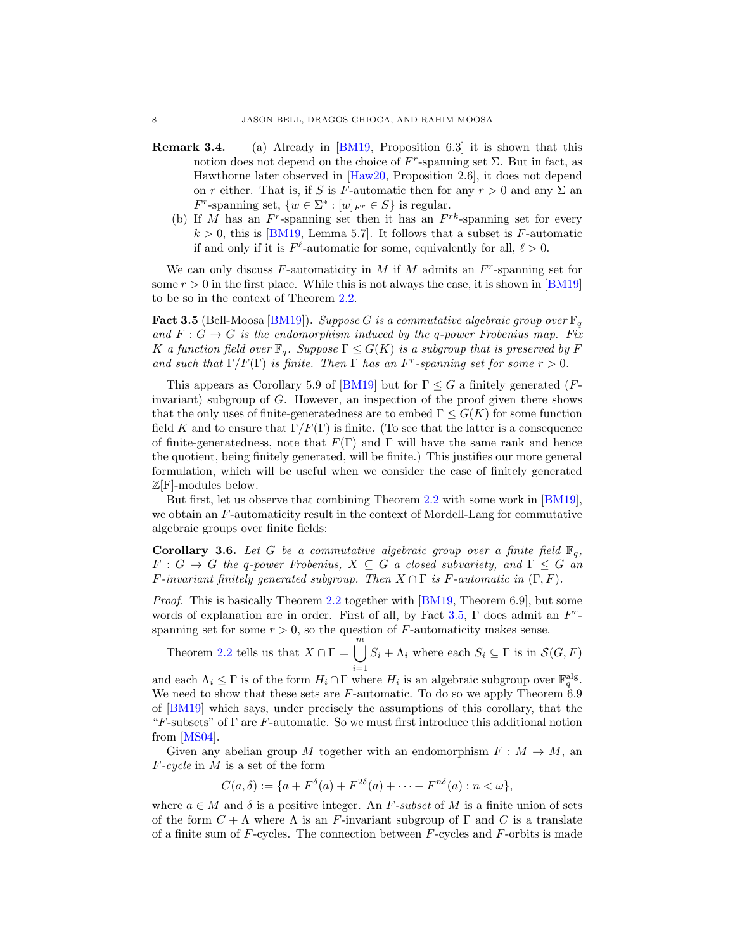- Remark 3.4. (a) Already in [\[BM19,](#page-40-14) Proposition 6.3] it is shown that this notion does not depend on the choice of  $F^r$ -spanning set  $\Sigma$ . But in fact, as Hawthorne later observed in [\[Haw20,](#page-40-18) Proposition 2.6], it does not depend on r either. That is, if S is F-automatic then for any  $r > 0$  and any  $\Sigma$  an  $F^r$ -spanning set,  $\{w \in \Sigma^* : [w]_{F^r} \in S\}$  is regular.
	- (b) If M has an  $F^r$ -spanning set then it has an  $F^{rk}$ -spanning set for every  $k > 0$ , this is [\[BM19,](#page-40-14) Lemma 5.7]. It follows that a subset is F-automatic if and only if it is  $F^{\ell}$ -automatic for some, equivalently for all,  $\ell > 0$ .

We can only discuss  $F$ -automaticity in  $M$  if  $M$  admits an  $F^r$ -spanning set for some  $r > 0$  in the first place. While this is not always the case, it is shown in [\[BM19\]](#page-40-14) to be so in the context of Theorem [2.2.](#page-5-0)

<span id="page-7-0"></span>**Fact 3.5** (Bell-Moosa [\[BM19\]](#page-40-14)). Suppose G is a commutative algebraic group over  $\mathbb{F}_q$ and  $F: G \to G$  is the endomorphism induced by the q-power Frobenius map. Fix K a function field over  $\mathbb{F}_q$ . Suppose  $\Gamma \leq G(K)$  is a subgroup that is preserved by F and such that  $\Gamma/F(\Gamma)$  is finite. Then  $\Gamma$  has an  $F^r$ -spanning set for some  $r > 0$ .

This appears as Corollary 5.9 of [\[BM19\]](#page-40-14) but for  $\Gamma \leq G$  a finitely generated (Finvariant) subgroup of G. However, an inspection of the proof given there shows that the only uses of finite-generatedness are to embed  $\Gamma \leq G(K)$  for some function field K and to ensure that  $\Gamma/F(\Gamma)$  is finite. (To see that the latter is a consequence of finite-generatedness, note that  $F(\Gamma)$  and  $\Gamma$  will have the same rank and hence the quotient, being finitely generated, will be finite.) This justifies our more general formulation, which will be useful when we consider the case of finitely generated  $\mathbb{Z}[F]$ -modules below.

But first, let us observe that combining Theorem [2.2](#page-5-0) with some work in [\[BM19\]](#page-40-14), we obtain an F-automaticity result in the context of Mordell-Lang for commutative algebraic groups over finite fields:

<span id="page-7-1"></span>**Corollary 3.6.** Let G be a commutative algebraic group over a finite field  $\mathbb{F}_q$ ,  $F: G \to G$  the q-power Frobenius,  $X \subseteq G$  a closed subvariety, and  $\Gamma \leq G$  and F-invariant finitely generated subgroup. Then  $X \cap \Gamma$  is F-automatic in  $(\Gamma, F)$ .

Proof. This is basically Theorem [2.2](#page-5-0) together with [\[BM19,](#page-40-14) Theorem 6.9], but some words of explanation are in order. First of all, by Fact [3.5,](#page-7-0)  $\Gamma$  does admit an  $F^r$ spanning set for some  $r > 0$ , so the question of F-automaticity makes sense.

Theorem [2.2](#page-5-0) tells us that  $X \cap \Gamma = \begin{bmatrix} m \\ m \end{bmatrix}$  $i=1$  $S_i + \Lambda_i$  where each  $S_i \subseteq \Gamma$  is in  $\mathcal{S}(G, F)$ 

and each  $\Lambda_i \leq \Gamma$  is of the form  $H_i \cap \Gamma$  where  $H_i$  is an algebraic subgroup over  $\mathbb{F}_q^{\text{alg}}$ . We need to show that these sets are  $F$ -automatic. To do so we apply Theorem 6.9 of [\[BM19\]](#page-40-14) which says, under precisely the assumptions of this corollary, that the "F-subsets" of  $\Gamma$  are F-automatic. So we must first introduce this additional notion from [\[MS04\]](#page-40-0).

Given any abelian group M together with an endomorphism  $F : M \to M$ , an  $F\text{-}cycle$  in  $M$  is a set of the form

$$
C(a,\delta) := \{a + F^{\delta}(a) + F^{2\delta}(a) + \cdots + F^{n\delta}(a) : n < \omega\},\
$$

where  $a \in M$  and  $\delta$  is a positive integer. An F-subset of M is a finite union of sets of the form  $C + \Lambda$  where  $\Lambda$  is an F-invariant subgroup of  $\Gamma$  and  $C$  is a translate of a finite sum of  $F$ -cycles. The connection between  $F$ -cycles and  $F$ -orbits is made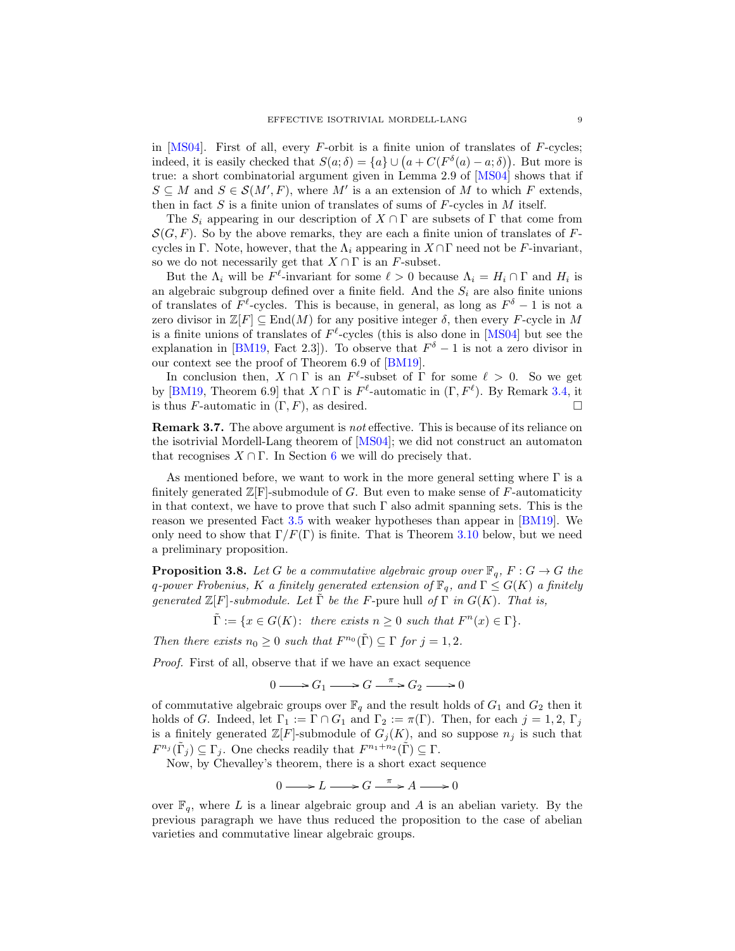in  $[MS04]$ . First of all, every F-orbit is a finite union of translates of F-cycles; indeed, it is easily checked that  $S(a; \delta) = \{a\} \cup (a + C(F^{\delta}(a) - a; \delta))$ . But more is true: a short combinatorial argument given in Lemma 2.9 of [\[MS04\]](#page-40-0) shows that if  $S \subseteq M$  and  $S \in \mathcal{S}(M',F)$ , where M' is a an extension of M to which F extends, then in fact  $S$  is a finite union of translates of sums of  $F$ -cycles in  $M$  itself.

The  $S_i$  appearing in our description of  $X \cap \Gamma$  are subsets of  $\Gamma$  that come from  $\mathcal{S}(G, F)$ . So by the above remarks, they are each a finite union of translates of Fcycles in Γ. Note, however, that the  $\Lambda_i$  appearing in  $X \cap \Gamma$  need not be F-invariant, so we do not necessarily get that  $X \cap \Gamma$  is an F-subset.

But the  $\Lambda_i$  will be  $F^{\ell}$ -invariant for some  $\ell > 0$  because  $\Lambda_i = H_i \cap \Gamma$  and  $H_i$  is an algebraic subgroup defined over a finite field. And the  $S_i$  are also finite unions of translates of  $F^{\ell}$ -cycles. This is because, in general, as long as  $F^{\delta} - 1$  is not a zero divisor in  $\mathbb{Z}[F] \subseteq \text{End}(M)$  for any positive integer  $\delta$ , then every F-cycle in M is a finite unions of translates of  $F^{\ell}$ -cycles (this is also done in [\[MS04\]](#page-40-0) but see the explanation in [\[BM19,](#page-40-14) Fact 2.3]). To observe that  $F^{\delta} - 1$  is not a zero divisor in our context see the proof of Theorem 6.9 of [\[BM19\]](#page-40-14).

In conclusion then,  $X \cap \Gamma$  is an  $F^{\ell}$ -subset of  $\Gamma$  for some  $\ell > 0$ . So we get by [\[BM19,](#page-40-14) Theorem 6.9] that  $X \cap \Gamma$  is  $F^{\ell}$ -automatic in  $(\Gamma, F^{\ell})$ . By Remark [3.4,](#page-0-0) it is thus F-automatic in  $(\Gamma, F)$ , as desired.

Remark 3.7. The above argument is not effective. This is because of its reliance on the isotrivial Mordell-Lang theorem of [\[MS04\]](#page-40-0); we did not construct an automaton that recognises  $X \cap \Gamma$ . In Section [6](#page-19-0) we will do precisely that.

As mentioned before, we want to work in the more general setting where  $\Gamma$  is a finitely generated  $\mathbb{Z}[F]$ -submodule of G. But even to make sense of F-automaticity in that context, we have to prove that such  $\Gamma$  also admit spanning sets. This is the reason we presented Fact [3.5](#page-7-0) with weaker hypotheses than appear in [\[BM19\]](#page-40-14). We only need to show that  $\Gamma/F(\Gamma)$  is finite. That is Theorem [3.10](#page-10-0) below, but we need a preliminary proposition.

<span id="page-8-0"></span>**Proposition 3.8.** Let G be a commutative algebraic group over  $\mathbb{F}_q$ ,  $F: G \to G$  the q-power Frobenius, K a finitely generated extension of  $\mathbb{F}_q$ , and  $\Gamma \leq G(K)$  a finitely generated  $\mathbb{Z}[F]$ -submodule. Let  $\tilde{\Gamma}$  be the F-pure hull of  $\Gamma$  in  $G(K)$ . That is,

 $\tilde{\Gamma} := \{x \in G(K): \text{ there exists } n \geq 0 \text{ such that } F^n(x) \in \Gamma\}.$ 

Then there exists  $n_0 \geq 0$  such that  $F^{n_0}(\tilde{\Gamma}) \subseteq \Gamma$  for  $j = 1, 2$ .

Proof. First of all, observe that if we have an exact sequence

 $0 \longrightarrow G_1 \longrightarrow G \stackrel{\pi}{\longrightarrow} G_2 \longrightarrow 0$ 

of commutative algebraic groups over  $\mathbb{F}_q$  and the result holds of  $G_1$  and  $G_2$  then it holds of G. Indeed, let  $\Gamma_1 := \Gamma \cap G_1$  and  $\Gamma_2 := \pi(\Gamma)$ . Then, for each  $j = 1, 2, \Gamma_j$ is a finitely generated  $\mathbb{Z}[F]$ -submodule of  $G_i(K)$ , and so suppose  $n_i$  is such that  $F^{n_j}(\tilde{\Gamma}_j) \subseteq \Gamma_j$ . One checks readily that  $F^{n_1+n_2}(\tilde{\Gamma}) \subseteq \Gamma$ .

Now, by Chevalley's theorem, there is a short exact sequence

$$
0 \longrightarrow L \longrightarrow G \xrightarrow{\pi} A \longrightarrow 0
$$

over  $\mathbb{F}_q$ , where L is a linear algebraic group and A is an abelian variety. By the previous paragraph we have thus reduced the proposition to the case of abelian varieties and commutative linear algebraic groups.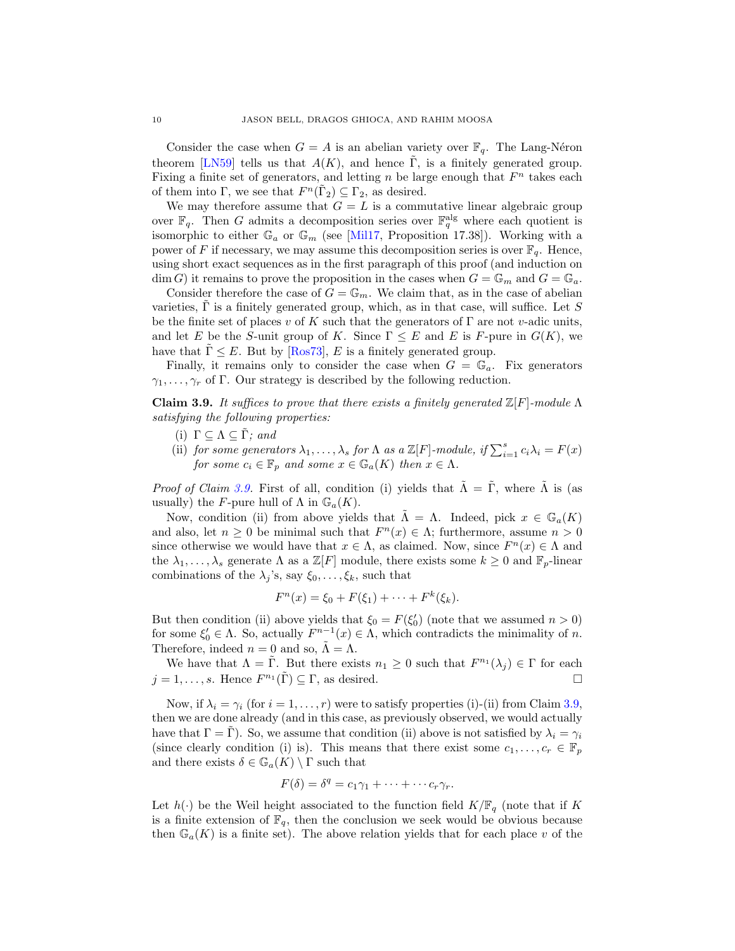Consider the case when  $G = A$  is an abelian variety over  $\mathbb{F}_q$ . The Lang-Néron theorem [\[LN59\]](#page-40-19) tells us that  $A(K)$ , and hence  $\Gamma$ , is a finitely generated group. Fixing a finite set of generators, and letting  $n$  be large enough that  $F<sup>n</sup>$  takes each of them into  $\Gamma$ , we see that  $F^n(\tilde{\Gamma}_2) \subseteq \Gamma_2$ , as desired.

We may therefore assume that  $G = L$  is a commutative linear algebraic group over  $\mathbb{F}_q$ . Then G admits a decomposition series over  $\mathbb{F}_q^{\text{alg}}$  where each quotient is isomorphic to either  $\mathbb{G}_a$  or  $\mathbb{G}_m$  (see [\[Mil17,](#page-40-20) Proposition 17.38]). Working with a power of F if necessary, we may assume this decomposition series is over  $\mathbb{F}_q$ . Hence, using short exact sequences as in the first paragraph of this proof (and induction on  $\dim G$ ) it remains to prove the proposition in the cases when  $G = \mathbb{G}_m$  and  $G = \mathbb{G}_a$ .

Consider therefore the case of  $G = \mathbb{G}_m$ . We claim that, as in the case of abelian varieties,  $\Gamma$  is a finitely generated group, which, as in that case, will suffice. Let  $S$ be the finite set of places v of K such that the generators of  $\Gamma$  are not v-adic units, and let E be the S-unit group of K. Since  $\Gamma \leq E$  and E is F-pure in  $G(K)$ , we have that  $\Gamma \leq E$ . But by [\[Ros73\]](#page-41-2), E is a finitely generated group.

Finally, it remains only to consider the case when  $G = \mathbb{G}_a$ . Fix generators  $\gamma_1, \ldots, \gamma_r$  of Γ. Our strategy is described by the following reduction.

<span id="page-9-0"></span>Claim 3.9. It suffices to prove that there exists a finitely generated  $\mathbb{Z}[F]$ -module  $\Lambda$ satisfying the following properties:

- (i)  $\Gamma \subseteq \Lambda \subseteq \tilde{\Gamma}$ ; and
- (ii) for some generators  $\lambda_1, \ldots, \lambda_s$  for  $\Lambda$  as a  $\mathbb{Z}[F]$ -module, if  $\sum_{i=1}^s c_i \lambda_i = F(x)$ for some  $c_i \in \mathbb{F}_p$  and some  $x \in \mathbb{G}_a(K)$  then  $x \in \Lambda$ .

*Proof of Claim [3.9.](#page-9-0)* First of all, condition (i) yields that  $\tilde{\Lambda} = \tilde{\Gamma}$ , where  $\tilde{\Lambda}$  is (as usually) the F-pure hull of  $\Lambda$  in  $\mathbb{G}_a(K)$ .

Now, condition (ii) from above yields that  $\tilde{\Lambda} = \Lambda$ . Indeed, pick  $x \in \mathbb{G}_a(K)$ and also, let  $n \geq 0$  be minimal such that  $F^{n}(x) \in \Lambda$ ; furthermore, assume  $n > 0$ since otherwise we would have that  $x \in \Lambda$ , as claimed. Now, since  $F^{n}(x) \in \Lambda$  and the  $\lambda_1, \ldots, \lambda_s$  generate  $\Lambda$  as a  $\mathbb{Z}[F]$  module, there exists some  $k \geq 0$  and  $\mathbb{F}_p$ -linear combinations of the  $\lambda_j$ 's, say  $\xi_0, \ldots, \xi_k$ , such that

$$
F^{n}(x) = \xi_{0} + F(\xi_{1}) + \cdots + F^{k}(\xi_{k}).
$$

But then condition (ii) above yields that  $\xi_0 = F(\xi'_0)$  (note that we assumed  $n > 0$ ) for some  $\xi'_0 \in \Lambda$ . So, actually  $F^{n-1}(x) \in \Lambda$ , which contradicts the minimality of n. Therefore, indeed  $n = 0$  and so,  $\tilde{\Lambda} = \Lambda$ .

We have that  $\Lambda = \tilde{\Gamma}$ . But there exists  $n_1 \geq 0$  such that  $F^{n_1}(\lambda_j) \in \Gamma$  for each  $j = 1, \ldots, s$ . Hence  $F^{n_1}(\tilde{\Gamma}) \subseteq \Gamma$ , as desired.

Now, if  $\lambda_i = \gamma_i$  (for  $i = 1, ..., r$ ) were to satisfy properties (i)-(ii) from Claim [3.9,](#page-9-0) then we are done already (and in this case, as previously observed, we would actually have that  $\Gamma = \Gamma$ ). So, we assume that condition (ii) above is not satisfied by  $\lambda_i = \gamma_i$ (since clearly condition (i) is). This means that there exist some  $c_1, \ldots, c_r \in \mathbb{F}_p$ and there exists  $\delta \in \mathbb{G}_a(K) \setminus \Gamma$  such that

$$
F(\delta) = \delta^q = c_1 \gamma_1 + \dots + \dots + c_r \gamma_r.
$$

Let  $h(\cdot)$  be the Weil height associated to the function field  $K/\mathbb{F}_q$  (note that if K is a finite extension of  $\mathbb{F}_q$ , then the conclusion we seek would be obvious because then  $\mathbb{G}_a(K)$  is a finite set). The above relation yields that for each place v of the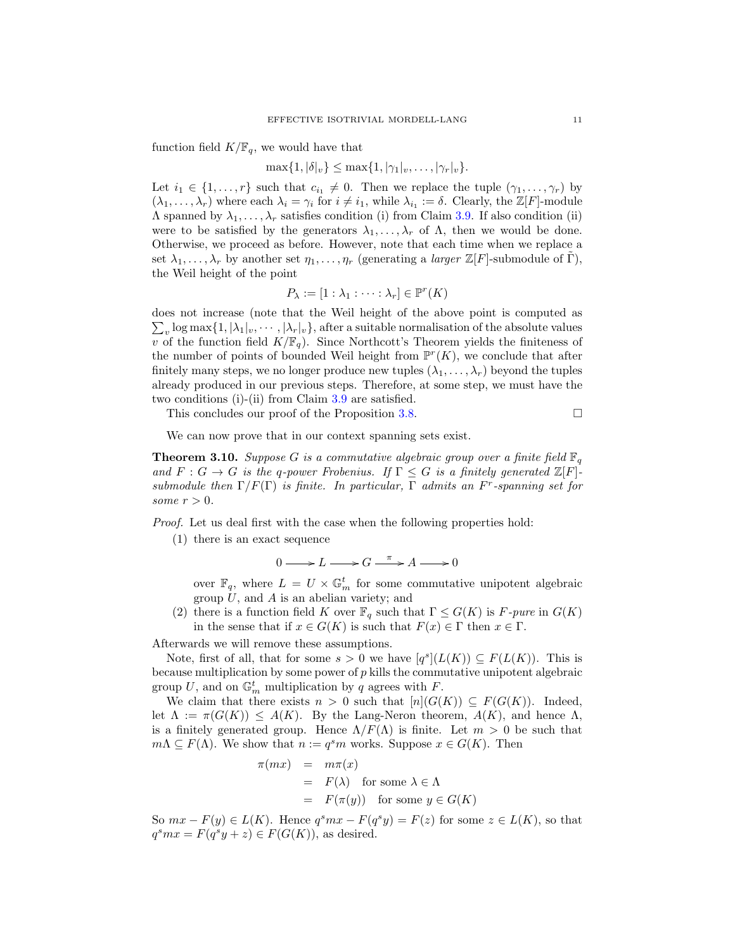function field  $K/\mathbb{F}_q$ , we would have that

 $\max\{1, |\delta|_v\} \leq \max\{1, |\gamma_1|_v, \ldots, |\gamma_r|_v\}.$ 

Let  $i_1 \in \{1, \ldots, r\}$  such that  $c_{i_1} \neq 0$ . Then we replace the tuple  $(\gamma_1, \ldots, \gamma_r)$  by  $(\lambda_1,\ldots,\lambda_r)$  where each  $\lambda_i = \gamma_i$  for  $i \neq i_1$ , while  $\lambda_{i_1} := \delta$ . Clearly, the  $\mathbb{Z}[F]$ -module  $\Lambda$  spanned by  $\lambda_1, \ldots, \lambda_r$  satisfies condition (i) from Claim [3.9.](#page-9-0) If also condition (ii) were to be satisfied by the generators  $\lambda_1, \ldots, \lambda_r$  of  $\Lambda$ , then we would be done. Otherwise, we proceed as before. However, note that each time when we replace a set  $\lambda_1, \ldots, \lambda_r$  by another set  $\eta_1, \ldots, \eta_r$  (generating a *larger*  $\mathbb{Z}[F]$ -submodule of Γ), the Weil height of the point

$$
P_{\lambda} := [1 : \lambda_1 : \cdots : \lambda_r] \in \mathbb{P}^r(K)
$$

does not increase (note that the Weil height of the above point is computed as  $\sum_{v} \log \max\{1, |\lambda_1|_v, \cdots, |\lambda_r|_v\}$ , after a suitable normalisation of the absolute values v of the function field  $K/\mathbb{F}_q$ . Since Northcott's Theorem yields the finiteness of the number of points of bounded Weil height from  $\mathbb{P}^r(K)$ , we conclude that after finitely many steps, we no longer produce new tuples  $(\lambda_1, \ldots, \lambda_r)$  beyond the tuples already produced in our previous steps. Therefore, at some step, we must have the two conditions (i)-(ii) from Claim [3.9](#page-9-0) are satisfied.

This concludes our proof of the Proposition [3.8.](#page-8-0)

We can now prove that in our context spanning sets exist.

<span id="page-10-0"></span>**Theorem 3.10.** Suppose G is a commutative algebraic group over a finite field  $\mathbb{F}_q$ and  $F: G \to G$  is the q-power Frobenius. If  $\Gamma \leq G$  is a finitely generated  $\mathbb{Z}[F]$ submodule then  $\Gamma/F(\Gamma)$  is finite. In particular,  $\Gamma$  admits an  $F^r$ -spanning set for some  $r > 0$ .

Proof. Let us deal first with the case when the following properties hold:

(1) there is an exact sequence

 $0 \longrightarrow L \longrightarrow G \stackrel{\pi}{\longrightarrow} A \longrightarrow 0$ 

over  $\mathbb{F}_q$ , where  $L = U \times \mathbb{G}_m^t$  for some commutative unipotent algebraic group  $U$ , and  $\overline{A}$  is an abelian variety; and

(2) there is a function field K over  $\mathbb{F}_q$  such that  $\Gamma \leq G(K)$  is F-pure in  $G(K)$ in the sense that if  $x \in G(K)$  is such that  $F(x) \in \Gamma$  then  $x \in \Gamma$ .

Afterwards we will remove these assumptions.

Note, first of all, that for some  $s > 0$  we have  $[q^s](L(K)) \subseteq F(L(K))$ . This is because multiplication by some power of  $p$  kills the commutative unipotent algebraic group U, and on  $\mathbb{G}_m^t$  multiplication by q agrees with F.

We claim that there exists  $n > 0$  such that  $[n](G(K)) \subseteq F(G(K))$ . Indeed, let  $\Lambda := \pi(G(K)) \leq A(K)$ . By the Lang-Neron theorem,  $A(K)$ , and hence  $\Lambda$ , is a finitely generated group. Hence  $\Lambda/F(\Lambda)$  is finite. Let  $m > 0$  be such that  $m\Lambda \subseteq F(\Lambda)$ . We show that  $n := q^s m$  works. Suppose  $x \in G(K)$ . Then

$$
\pi(mx) = m\pi(x)
$$
  
=  $F(\lambda)$  for some  $\lambda \in \Lambda$   
=  $F(\pi(y))$  for some  $y \in G(K)$ 

So  $mx - F(y) \in L(K)$ . Hence  $q<sup>s</sup>mx - F(q<sup>s</sup>y) = F(z)$  for some  $z \in L(K)$ , so that  $q<sup>s</sup>mx = F(q<sup>s</sup>y + z) \in F(G(K))$ , as desired.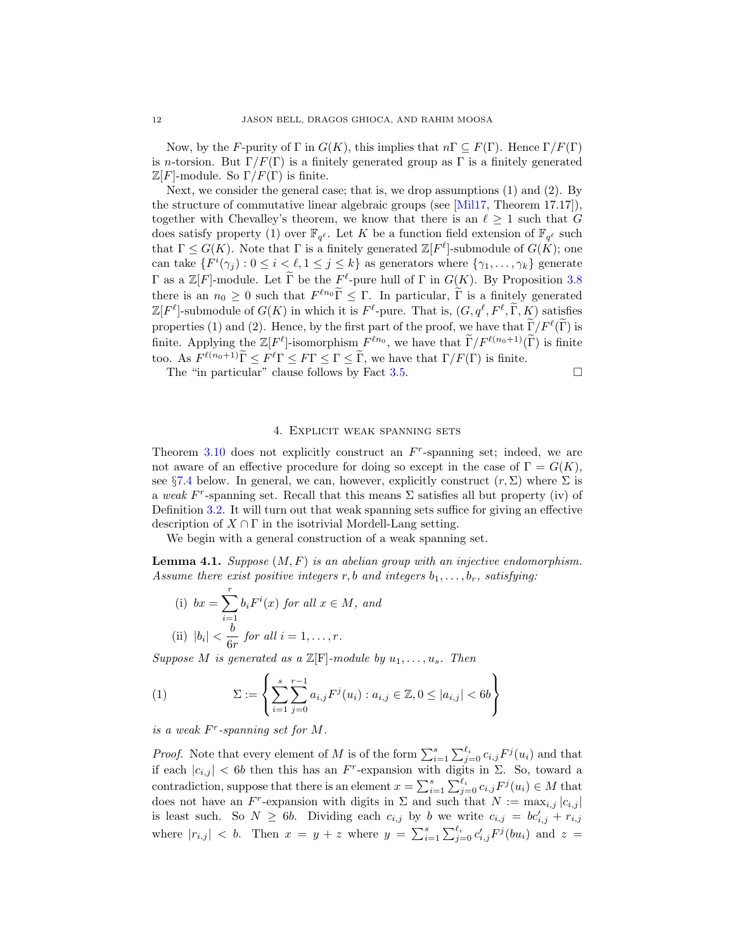Now, by the F-purity of  $\Gamma$  in  $G(K)$ , this implies that  $n\Gamma \subseteq F(\Gamma)$ . Hence  $\Gamma/F(\Gamma)$ is n-torsion. But  $\Gamma/F(\Gamma)$  is a finitely generated group as  $\Gamma$  is a finitely generated  $\mathbb{Z}[F]$ -module. So  $\Gamma/F(\Gamma)$  is finite.

Next, we consider the general case; that is, we drop assumptions (1) and (2). By the structure of commutative linear algebraic groups (see  $[Mill7, Theorem 17.17]$ ), together with Chevalley's theorem, we know that there is an  $\ell \geq 1$  such that G does satisfy property (1) over  $\mathbb{F}_{q^{\ell}}$ . Let K be a function field extension of  $\mathbb{F}_{q^{\ell}}$  such that  $\Gamma \leq G(K)$ . Note that  $\Gamma$  is a finitely generated  $\mathbb{Z}[F^{\ell}]$ -submodule of  $G(K)$ ; one can take  $\{F^i(\gamma_j) : 0 \leq i < \ell, 1 \leq j \leq k\}$  as generators where  $\{\gamma_1, \ldots, \gamma_k\}$  generate Γ as a  $\mathbb{Z}[F]$ -module. Let  $\widetilde{\Gamma}$  be the  $F^{\ell}$ -pure hull of  $\Gamma$  in  $G(K)$ . By Proposition [3.8](#page-8-0) there is an  $n_0 \geq 0$  such that  $F^{\ell n_0} \tilde{\Gamma} \leq \Gamma$ . In particular,  $\tilde{\Gamma}$  is a finitely generated  $\tilde{\Gamma}(\tilde{\Gamma})$  $\mathbb{Z}[F^{\ell}]$ -submodule of  $G(K)$  in which it is  $F^{\ell}$ -pure. That is,  $(G, q^{\ell}, F^{\ell}, \tilde{\Gamma}, K)$  satisfies properties (1) and (2). Hence, by the first part of the proof, we have that  $\tilde{\Gamma}/F^{\ell}(\tilde{\Gamma})$  is finite. Applying the  $\mathbb{Z}[F^{\ell}]$ -isomorphism  $F^{\ell n_0}$ , we have that  $\widetilde{\Gamma}/F^{\ell(n_0+1)}(\widetilde{\Gamma})$  is finite too. As  $F^{\ell(n_0+1)}\widetilde{\Gamma} \leq F^{\ell}\Gamma \leq F\Gamma \leq \Gamma \leq \widetilde{\Gamma}$ , we have that  $\Gamma/F(\Gamma)$  is finite.

The "in particular" clause follows by Fact [3.5.](#page-7-0)  $\Box$ 

#### 4. Explicit weak spanning sets

<span id="page-11-0"></span>Theorem [3.10](#page-10-0) does not explicitly construct an  $F<sup>r</sup>$ -spanning set; indeed, we are not aware of an effective procedure for doing so except in the case of  $\Gamma = G(K)$ , see §[7.4](#page-23-0) below. In general, we can, however, explicitly construct  $(r, \Sigma)$  where  $\Sigma$  is a weak F<sup>r</sup>-spanning set. Recall that this means  $\Sigma$  satisfies all but property (iv) of Definition [3.2.](#page-6-2) It will turn out that weak spanning sets suffice for giving an effective description of  $X \cap \Gamma$  in the isotrivial Mordell-Lang setting.

We begin with a general construction of a weak spanning set.

<span id="page-11-1"></span>**Lemma 4.1.** Suppose  $(M, F)$  is an abelian group with an injective endomorphism. Assume there exist positive integers r, b and integers  $b_1, \ldots, b_r$ , satisfying:

(i) 
$$
bx = \sum_{i=1}^{r} b_i F^i(x)
$$
 for all  $x \in M$ , and  
(ii)  $|b_i| < \frac{b}{6r}$  for all  $i = 1, ..., r$ .

Suppose M is generated as a  $\mathbb{Z}[F]$ -module by  $u_1, \ldots, u_s$ . Then

<span id="page-11-2"></span>(1) 
$$
\Sigma := \left\{ \sum_{i=1}^{s} \sum_{j=0}^{r-1} a_{i,j} F^{j}(u_i) : a_{i,j} \in \mathbb{Z}, 0 \leq |a_{i,j}| < 6b \right\}
$$

is a weak F<sup>r</sup>-spanning set for M.

*Proof.* Note that every element of M is of the form  $\sum_{i=1}^{s} \sum_{j=0}^{\ell_i} c_{i,j} F^{j}(u_i)$  and that if each  $|c_{i,j}| < 6b$  then this has an F<sup>r</sup>-expansion with digits in  $\Sigma$ . So, toward a contradiction, suppose that there is an element  $x = \sum_{i=1}^{s} \sum_{j=0}^{\ell_i} c_{i,j} F^{j}(u_i) \in M$  that does not have an F<sup>r</sup>-expansion with digits in  $\Sigma$  and such that  $N := \max_{i,j} |c_{i,j}|$ is least such. So  $N \geq 6b$ . Dividing each  $c_{i,j}$  by b we write  $c_{i,j} = bc'_{i,j} + r_{i,j}$ where  $|r_{i,j}|$  < b. Then  $x = y + z$  where  $y = \sum_{i=1}^{s} \sum_{j=0}^{\ell_i} c'_{i,j} F^{j}(bu_i)$  and  $z =$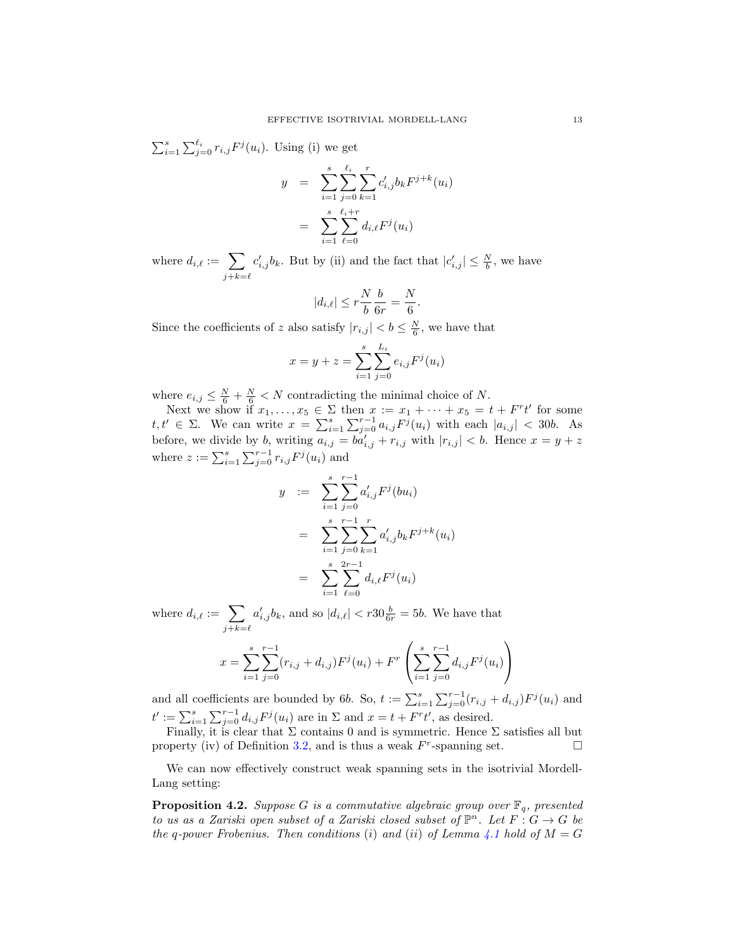$\sum_{i=1}^s \sum_{j=0}^{\ell_i} r_{i,j} F^j(u_i)$ . Using (i) we get

$$
y = \sum_{i=1}^{s} \sum_{j=0}^{\ell_i} \sum_{k=1}^{r} c'_{i,j} b_k F^{j+k}(u_i)
$$
  
= 
$$
\sum_{i=1}^{s} \sum_{\ell=0}^{\ell_i+r} d_{i,\ell} F^j(u_i)
$$

where  $d_{i,\ell} := \sum$  $j+k=\ell$  $c'_{i,j}b_k$ . But by (ii) and the fact that  $|c'_{i,j}| \leq \frac{N}{b}$ , we have

$$
|d_{i,\ell}|\leq r\frac{N}{b}\frac{b}{6r}=\frac{N}{6}.
$$

Since the coefficients of z also satisfy  $|r_{i,j}| < b \leq \frac{N}{6}$ , we have that

$$
x = y + z = \sum_{i=1}^{s} \sum_{j=0}^{L_i} e_{i,j} F^{j}(u_i)
$$

where  $e_{i,j} \leq \frac{N}{6} + \frac{N}{6} < N$  contradicting the minimal choice of N.

Next we show if  $x_1, \ldots, x_5 \in \Sigma$  then  $x := x_1 + \cdots + x_5 = t + F^{r}t'$  for some t, t'  $\in \Sigma$ . We can write  $x = \sum_{i=1}^{s} \sum_{j=0}^{r-1} a_{i,j} F^{j}(u_i)$  with each  $|a_{i,j}| < 30b$ . As before, we divide by b, writing  $a_{i,j} = b a'_{i,j} + r_{i,j}$  with  $|r_{i,j}| < b$ . Hence  $x = y + z$ where  $z := \sum_{i=1}^{s} \sum_{j=0}^{r-1} r_{i,j} F^{j}(u_i)$  and

$$
y := \sum_{i=1}^{s} \sum_{j=0}^{r-1} a'_{i,j} F^{j}(bu_{i})
$$
  
= 
$$
\sum_{i=1}^{s} \sum_{j=0}^{r-1} \sum_{k=1}^{r} a'_{i,j} b_{k} F^{j+k}(u_{i})
$$
  
= 
$$
\sum_{i=1}^{s} \sum_{\ell=0}^{2r-1} d_{i,\ell} F^{j}(u_{i})
$$

where  $d_{i,\ell} := \sum$  $j+k=\ell$  $a'_{i,j}b_k$ , and so  $|d_{i,\ell}| < r30\frac{b}{6r} = 5b$ . We have that

$$
x = \sum_{i=1}^{s} \sum_{j=0}^{r-1} (r_{i,j} + d_{i,j}) F^{j}(u_i) + F^{r} \left( \sum_{i=1}^{s} \sum_{j=0}^{r-1} d_{i,j} F^{j}(u_i) \right)
$$

and all coefficients are bounded by 6b. So,  $t := \sum_{i=1}^{s} \sum_{j=0}^{r-1} (r_{i,j} + d_{i,j}) F^{j}(u_i)$  and  $t' := \sum_{i=1}^s \sum_{j=0}^{r-1} d_{i,j} F^j(u_i)$  are in  $\Sigma$  and  $x = t + F^r t'$ , as desired.

Finally, it is clear that  $\Sigma$  contains 0 and is symmetric. Hence  $\Sigma$  satisfies all but property (iv) of Definition [3.2,](#page-6-2) and is thus a weak  $F^r$ -spanning set.

We can now effectively construct weak spanning sets in the isotrivial Mordell-Lang setting:

<span id="page-12-0"></span>**Proposition 4.2.** Suppose G is a commutative algebraic group over  $\mathbb{F}_q$ , presented to us as a Zariski open subset of a Zariski closed subset of  $\mathbb{P}^n$ . Let  $F: G \to G$  be the q-power Frobenius. Then conditions (i) and (ii) of Lemma [4.1](#page-11-1) hold of  $M = G$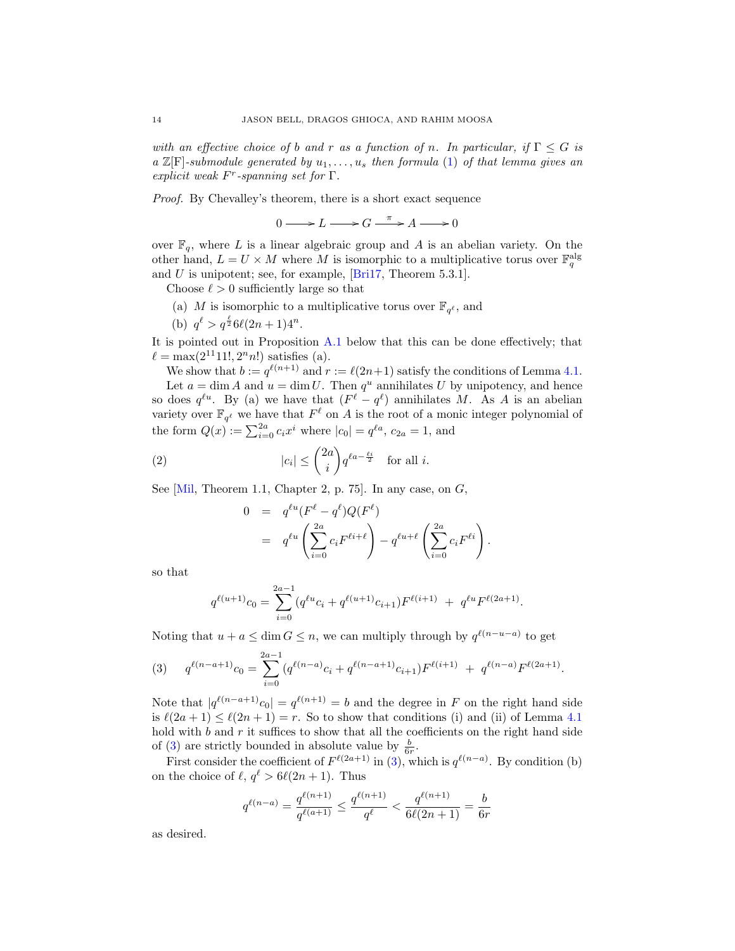with an effective choice of b and r as a function of n. In particular, if  $\Gamma \leq G$  is a  $\mathbb{Z}[\mathrm{F}]$ -submodule generated by  $u_1, \ldots, u_s$  then formula [\(1\)](#page-11-2) of that lemma gives an explicit weak  $F^r$ -spanning set for  $\Gamma$ .

Proof. By Chevalley's theorem, there is a short exact sequence

 $0 \longrightarrow L \longrightarrow G \stackrel{\pi}{\longrightarrow} A \longrightarrow 0$ 

over  $\mathbb{F}_q$ , where L is a linear algebraic group and A is an abelian variety. On the other hand,  $L = U \times M$  where M is isomorphic to a multiplicative torus over  $\mathbb{F}_q^{\text{alg}}$ and U is unipotent; see, for example, [\[Bri17,](#page-40-16) Theorem 5.3.1].

Choose  $\ell > 0$  sufficiently large so that

- (a) M is isomorphic to a multiplicative torus over  $\mathbb{F}_{q^{\ell}}$ , and
- (b)  $q^{\ell} > q^{\frac{\ell}{2}} 6\ell(2n+1)4^n$ .

It is pointed out in Proposition [A.1](#page-38-1) below that this can be done effectively; that  $\ell = \max(2^{11}11!, 2^n n!)$  satisfies (a).

We show that  $b := q^{\ell(n+1)}$  and  $r := \ell(2n+1)$  satisfy the conditions of Lemma [4.1.](#page-11-1) Let  $a = \dim A$  and  $u = \dim U$ . Then  $q^u$  annihilates U by unipotency, and hence so does  $q^{\ell u}$ . By (a) we have that  $(F^{\ell} - q^{\ell})$  annihilates M. As A is an abelian variety over  $\mathbb{F}_{q^{\ell}}$  we have that  $F^{\ell}$  on A is the root of a monic integer polynomial of the form  $Q(x) := \sum_{i=0}^{2a} c_i x^i$  where  $|c_0| = q^{\ell a}$ ,  $c_{2a} = 1$ , and

(2) 
$$
|c_i| \leq {2a \choose i} q^{\ell a - \frac{\ell i}{2}} \text{ for all } i.
$$

 $\sim$ 

See  $[Mil, Theorem 1.1, Chapter 2, p. 75]$ . In any case, on  $G$ ,

<span id="page-13-1"></span>
$$
0 = q^{\ell u} (F^{\ell} - q^{\ell}) Q(F^{\ell})
$$
  
=  $q^{\ell u} \left( \sum_{i=0}^{2a} c_i F^{\ell i + \ell} \right) - q^{\ell u + \ell} \left( \sum_{i=0}^{2a} c_i F^{\ell i} \right).$ 

so that

$$
q^{\ell(u+1)}c_0 = \sum_{i=0}^{2a-1} (q^{\ell u}c_i + q^{\ell(u+1)}c_{i+1})F^{\ell(i+1)} + q^{\ell u}F^{\ell(2a+1)}.
$$

Noting that  $u + a \leq \dim G \leq n$ , we can multiply through by  $q^{\ell(n-u-a)}$  to get

<span id="page-13-0"></span>(3) 
$$
q^{\ell(n-a+1)}c_0 = \sum_{i=0}^{2a-1} (q^{\ell(n-a)}c_i + q^{\ell(n-a+1)}c_{i+1})F^{\ell(i+1)} + q^{\ell(n-a)}F^{\ell(2a+1)}.
$$

Note that  $|q^{\ell(n-a+1)}c_0|=q^{\ell(n+1)}=b$  and the degree in F on the right hand side is  $\ell(2a + 1) \leq \ell(2n + 1) = r$ . So to show that conditions (i) and (ii) of Lemma [4.1](#page-11-1) hold with  $b$  and  $r$  it suffices to show that all the coefficients on the right hand side of [\(3\)](#page-13-0) are strictly bounded in absolute value by  $\frac{b}{6r}$ .

First consider the coefficient of  $F^{\ell(2a+1)}$  in [\(3\)](#page-13-0), which is  $q^{\ell(n-a)}$ . By condition (b) on the choice of  $\ell, q^{\ell} > 6\ell(2n + 1)$ . Thus

$$
q^{\ell(n-a)} = \frac{q^{\ell(n+1)}}{q^{\ell(a+1)}} \le \frac{q^{\ell(n+1)}}{q^{\ell}} < \frac{q^{\ell(n+1)}}{6\ell(2n+1)} = \frac{b}{6r}
$$

as desired.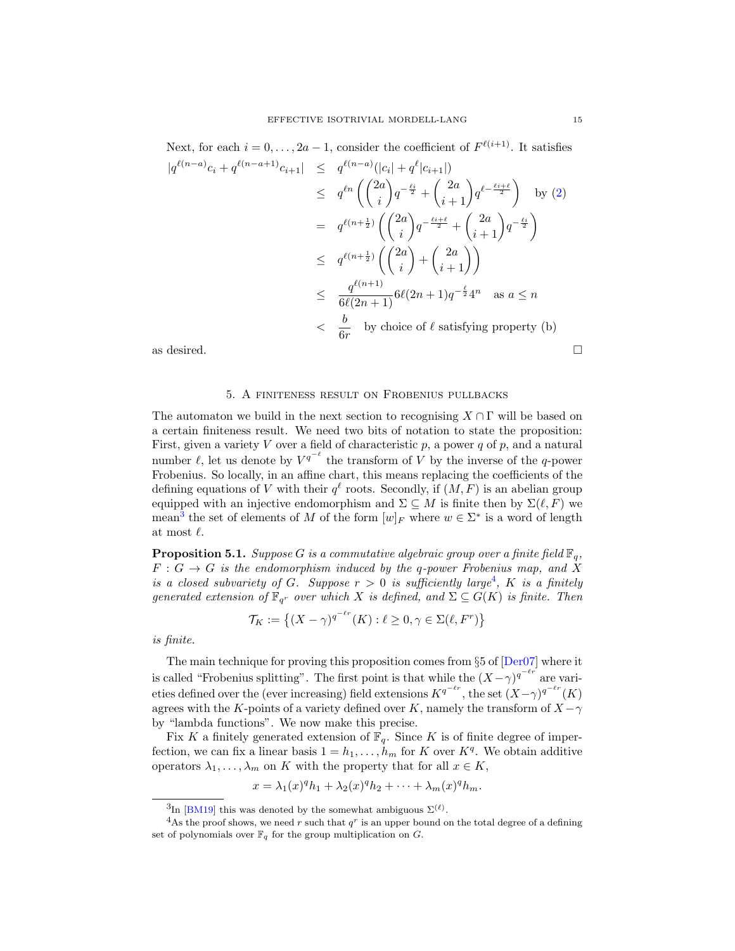Next, for each 
$$
i = 0, ..., 2a - 1
$$
, consider the coefficient of  $F^{\ell(i+1)}$ . It satisfies  
\n
$$
|q^{\ell(n-a)}c_i + q^{\ell(n-a+1)}c_{i+1}| \leq q^{\ell(n-a)}(|c_i| + q^{\ell}|c_{i+1}|)
$$
\n
$$
\leq q^{\ell n} \left( \binom{2a}{i} q^{-\frac{\ell i}{2}} + \binom{2a}{i+1} q^{\ell - \frac{\ell i+\ell}{2}} \right) \text{ by (2)}
$$
\n
$$
= q^{\ell(n+\frac{1}{2})} \left( \binom{2a}{i} q^{-\frac{\ell i+\ell}{2}} + \binom{2a}{i+1} q^{-\frac{\ell i}{2}} \right)
$$
\n
$$
\leq q^{\ell(n+\frac{1}{2})} \left( \binom{2a}{i} + \binom{2a}{i+1} \right)
$$
\n
$$
\leq \frac{q^{\ell(n+1)}}{6\ell(2n+1)} 6\ell(2n+1) q^{-\frac{\ell}{2}} 4^n \text{ as } a \leq n
$$
\n
$$
< \frac{b}{6r} \text{ by choice of } \ell \text{ satisfying property (b)}
$$
\nas desired.

#### 5. A finiteness result on Frobenius pullbacks

<span id="page-14-0"></span>The automaton we build in the next section to recognising  $X \cap \Gamma$  will be based on a certain finiteness result. We need two bits of notation to state the proposition: First, given a variety V over a field of characteristic  $p$ , a power  $q$  of  $p$ , and a natural number  $\ell$ , let us denote by  $V^{q^{-\ell}}$  the transform of V by the inverse of the q-power Frobenius. So locally, in an affine chart, this means replacing the coefficients of the defining equations of V with their  $q^{\ell}$  roots. Secondly, if  $(M, F)$  is an abelian group equipped with an injective endomorphism and  $\Sigma \subseteq M$  is finite then by  $\Sigma(\ell, F)$  we mean<sup>[3](#page-14-1)</sup> the set of elements of M of the form  $[w]_F$  where  $w \in \Sigma^*$  is a word of length at most  $\ell$ .

<span id="page-14-3"></span>**Proposition 5.1.** Suppose G is a commutative algebraic group over a finite field  $\mathbb{F}_q$ ,  $F: G \to G$  is the endomorphism induced by the q-power Frobenius map, and X is a closed subvariety of G. Suppose  $r > 0$  is sufficiently large<sup>[4](#page-14-2)</sup>, K is a finitely generated extension of  $\mathbb{F}_{q^r}$  over which X is defined, and  $\Sigma \subseteq G(K)$  is finite. Then

$$
\mathcal{T}_K := \left\{ (X - \gamma)^{q^{-\ell r}}(K) : \ell \ge 0, \gamma \in \Sigma(\ell, F^r) \right\}
$$

is finite.

The main technique for proving this proposition comes from §5 of [\[Der07\]](#page-40-9) where it is called "Frobenius splitting". The first point is that while the  $(X - \gamma)^{q^{-\ell r}}$  are varieties defined over the (ever increasing) field extensions  $K^{q^{-\ell r}}$ , the set  $(X-\gamma)^{q^{-\ell r}}(K)$ agrees with the K-points of a variety defined over K, namely the transform of  $X - \gamma$ by "lambda functions". We now make this precise.

Fix K a finitely generated extension of  $\mathbb{F}_q$ . Since K is of finite degree of imperfection, we can fix a linear basis  $1 = h_1, \ldots, h_m$  for K over  $K<sup>q</sup>$ . We obtain additive operators  $\lambda_1, \ldots, \lambda_m$  on K with the property that for all  $x \in K$ ,

$$
x = \lambda_1(x)^q h_1 + \lambda_2(x)^q h_2 + \dots + \lambda_m(x)^q h_m.
$$

<span id="page-14-2"></span><span id="page-14-1"></span><sup>&</sup>lt;sup>3</sup>In [\[BM19\]](#page-40-14) this was denoted by the somewhat ambiguous  $\Sigma^{(\ell)}$ .

<sup>&</sup>lt;sup>4</sup>As the proof shows, we need r such that  $q<sup>r</sup>$  is an upper bound on the total degree of a defining set of polynomials over  $\mathbb{F}_q$  for the group multiplication on G.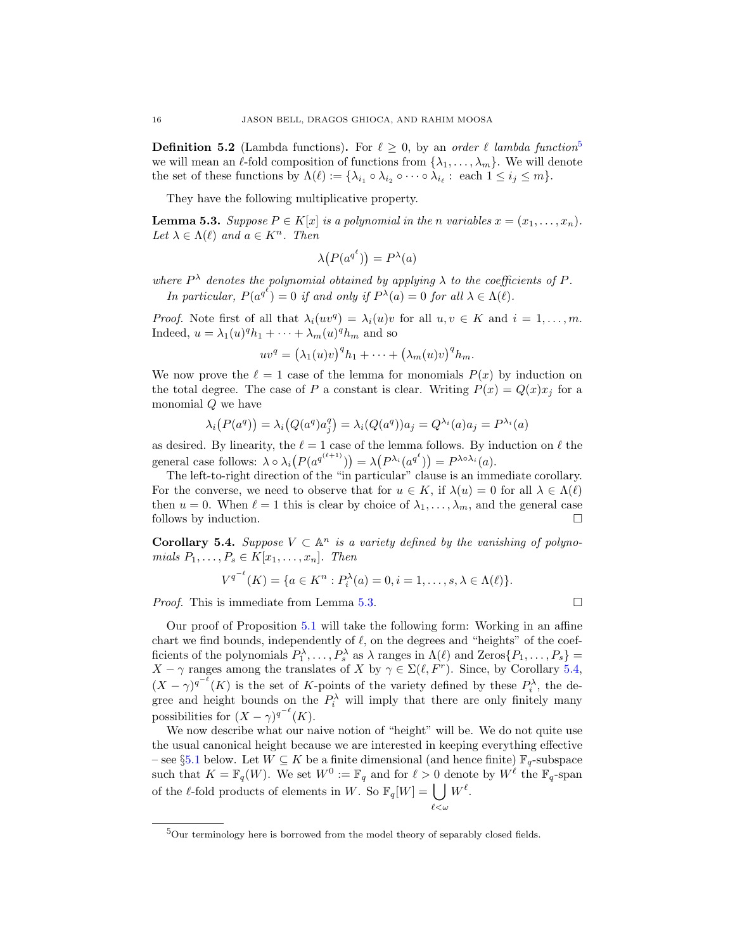**Definition [5](#page-15-0).2** (Lambda functions). For  $\ell \geq 0$ , by an order  $\ell$  lambda function<sup>5</sup> we will mean an  $\ell$ -fold composition of functions from  $\{\lambda_1, \ldots, \lambda_m\}$ . We will denote the set of these functions by  $\Lambda(\ell) := \{ \lambda_{i_1} \circ \lambda_{i_2} \circ \cdots \circ \lambda_{i_\ell} : \text{ each } 1 \leq i_j \leq m \}.$ 

They have the following multiplicative property.

<span id="page-15-1"></span>**Lemma 5.3.** Suppose  $P \in K[x]$  is a polynomial in the n variables  $x = (x_1, \ldots, x_n)$ . Let  $\lambda \in \Lambda(\ell)$  and  $a \in K^n$ . Then

$$
\lambda(P(a^{q^{\ell}})) = P^{\lambda}(a)
$$

where  $P^{\lambda}$  denotes the polynomial obtained by applying  $\lambda$  to the coefficients of P. In particular,  $P(a^{q^{\ell}}) = 0$  if and only if  $P^{\lambda}(a) = 0$  for all  $\lambda \in \Lambda(\ell)$ .

*Proof.* Note first of all that  $\lambda_i(uv^q) = \lambda_i(u)v$  for all  $u, v \in K$  and  $i = 1, \ldots, m$ . Indeed,  $u = \lambda_1(u)^q h_1 + \cdots + \lambda_m(u)^q h_m$  and so

$$
uv^{q} = (\lambda_1(u)v)^{q}h_1 + \cdots + (\lambda_m(u)v)^{q}h_m.
$$

We now prove the  $\ell = 1$  case of the lemma for monomials  $P(x)$  by induction on the total degree. The case of P a constant is clear. Writing  $P(x) = Q(x)x_j$  for a monomial Q we have

$$
\lambda_i(P(a^q)) = \lambda_i(Q(a^q)a_j^q) = \lambda_i(Q(a^q))a_j = Q^{\lambda_i}(a)a_j = P^{\lambda_i}(a)
$$

as desired. By linearity, the  $\ell = 1$  case of the lemma follows. By induction on  $\ell$  the general case follows:  $\lambda \circ \lambda_i(P(a^{q^{(\ell+1)}})) = \lambda(P^{\lambda_i}(a^{q^{\ell}})) = P^{\lambda \circ \lambda_i}(a)$ .

The left-to-right direction of the "in particular" clause is an immediate corollary. For the converse, we need to observe that for  $u \in K$ , if  $\lambda(u) = 0$  for all  $\lambda \in \Lambda(\ell)$ then  $u = 0$ . When  $\ell = 1$  this is clear by choice of  $\lambda_1, \ldots, \lambda_m$ , and the general case follows by induction.

<span id="page-15-2"></span>**Corollary 5.4.** Suppose  $V \subset \mathbb{A}^n$  is a variety defined by the vanishing of polynomials  $P_1, \ldots, P_s \in K[x_1, \ldots, x_n]$ . Then

$$
V^{q^{-\ell}}(K) = \{a \in K^n : P_i^{\lambda}(a) = 0, i = 1, \dots, s, \lambda \in \Lambda(\ell)\}.
$$

*Proof.* This is immediate from Lemma [5.3.](#page-15-1)

Our proof of Proposition [5.1](#page-14-3) will take the following form: Working in an affine chart we find bounds, independently of  $\ell$ , on the degrees and "heights" of the coefficients of the polynomials  $P_1^{\lambda}, \ldots, P_s^{\lambda}$  as  $\lambda$  ranges in  $\Lambda(\ell)$  and  $\text{Zeros}\{P_1, \ldots, P_s\} =$  $X - \gamma$  ranges among the translates of X by  $\gamma \in \Sigma(\ell, F^r)$ . Since, by Corollary [5.4,](#page-15-2)  $(X - \gamma)^{q^{-\ell}}(K)$  is the set of K-points of the variety defined by these  $P_i^{\lambda}$ , the degree and height bounds on the  $P_i^{\lambda}$  will imply that there are only finitely many possibilities for  $(X - \gamma)^{q^{-\ell}}(K)$ .

We now describe what our naive notion of "height" will be. We do not quite use the usual canonical height because we are interested in keeping everything effective – see §[5.1](#page-19-1) below. Let  $W \subseteq K$  be a finite dimensional (and hence finite)  $\mathbb{F}_q$ -subspace such that  $K = \mathbb{F}_q(W)$ . We set  $W^0 := \mathbb{F}_q$  and for  $\ell > 0$  denote by  $W^{\ell}$  the  $\mathbb{F}_q$ -span of the  $\ell$ -fold products of elements in W. So  $\mathbb{F}_q[W] = \left[ \int W^{\ell} \right]$ .  $l<\omega$ 

$$
\bot
$$

<span id="page-15-0"></span> $5$ Our terminology here is borrowed from the model theory of separably closed fields.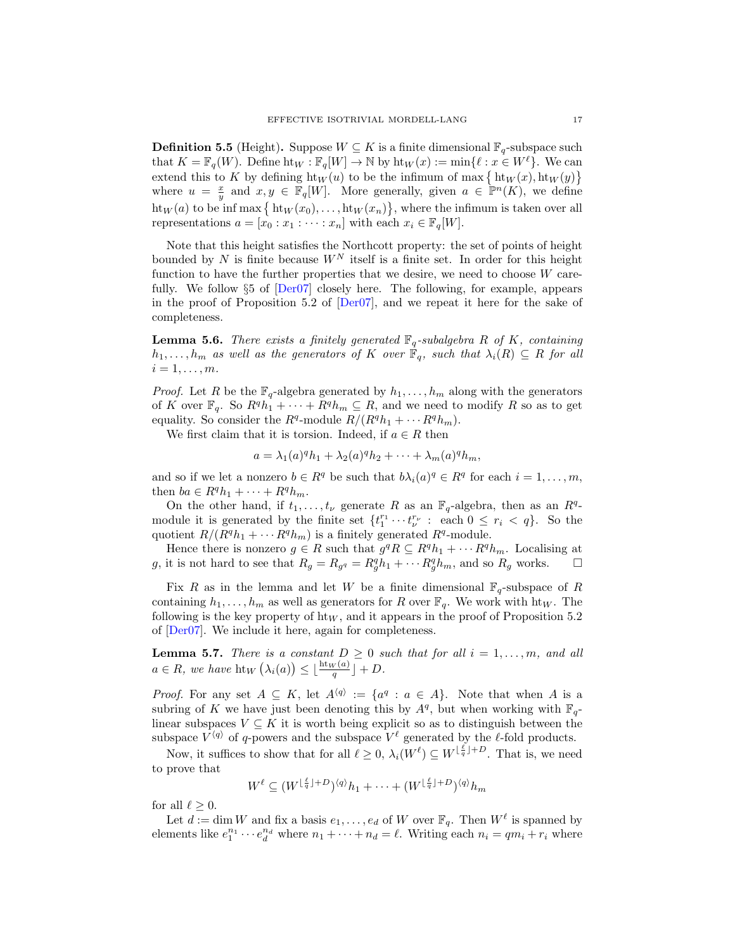<span id="page-16-2"></span>**Definition 5.5** (Height). Suppose  $W \subseteq K$  is a finite dimensional  $\mathbb{F}_q$ -subspace such that  $K = \mathbb{F}_q(W)$ . Define  $\text{ht}_W : \mathbb{F}_q[W] \to \mathbb{N}$  by  $\text{ht}_W(x) := \min\{\ell : x \in W^{\ell}\}.$  We can extend this to K by defining  $\text{ht}_W(u)$  to be the infimum of max  $\{\text{ht}_W(x), \text{ht}_W(y)\}\$ where  $u = \frac{x}{y}$  and  $x, y \in \mathbb{F}_q[W]$ . More generally, given  $a \in \mathbb{P}^n(K)$ , we define  $\text{ht}_W(a)$  to be inf max  $\{\text{ht}_W(x_0), \ldots, \text{ht}_W(x_n)\},\$  where the infimum is taken over all representations  $a = [x_0 : x_1 : \cdots : x_n]$  with each  $x_i \in \mathbb{F}_q[W]$ .

Note that this height satisfies the Northcott property: the set of points of height bounded by N is finite because  $W^N$  itself is a finite set. In order for this height function to have the further properties that we desire, we need to choose W carefully. We follow §5 of [\[Der07\]](#page-40-9) closely here. The following, for example, appears in the proof of Proposition 5.2 of [\[Der07\]](#page-40-9), and we repeat it here for the sake of completeness.

<span id="page-16-0"></span>**Lemma 5.6.** There exists a finitely generated  $\mathbb{F}_q$ -subalgebra R of K, containing  $h_1, \ldots, h_m$  as well as the generators of K over  $\mathbb{F}_q$ , such that  $\lambda_i(R) \subseteq R$  for all  $i=1,\ldots,m$ .

*Proof.* Let R be the  $\mathbb{F}_q$ -algebra generated by  $h_1, \ldots, h_m$  along with the generators of K over  $\mathbb{F}_q$ . So  $R^q h_1 + \cdots + R^q h_m \subseteq R$ , and we need to modify R so as to get equality. So consider the  $R^q$ -module  $R/(R^q h_1 + \cdots R^q h_m)$ .

We first claim that it is torsion. Indeed, if  $a \in R$  then

$$
a = \lambda_1(a)^q h_1 + \lambda_2(a)^q h_2 + \dots + \lambda_m(a)^q h_m,
$$

and so if we let a nonzero  $b \in \mathbb{R}^q$  be such that  $b\lambda_i(a)^q \in \mathbb{R}^q$  for each  $i = 1, \ldots, m$ , then  $ba \in R^q h_1 + \cdots + R^q h_m$ .

On the other hand, if  $t_1, \ldots, t_{\nu}$  generate R as an  $\mathbb{F}_q$ -algebra, then as an  $R^q$ module it is generated by the finite set  $\{t_1^{r_1}\cdots t_{\nu}^{r_{\nu}}: \text{ each } 0 \leq r_i < q\}$ . So the quotient  $R/(R^q h_1 + \cdots R^q h_m)$  is a finitely generated  $R^q$ -module.

Hence there is nonzero  $g \in R$  such that  $g^q R \subseteq R^q h_1 + \cdots R^q h_m$ . Localising at g, it is not hard to see that  $R_g = R_{gq} = R_g^q h_1 + \cdots + R_g^q h_m$ , and so  $R_g$  works.  $\Box$ 

Fix R as in the lemma and let W be a finite dimensional  $\mathbb{F}_q$ -subspace of R containing  $h_1, \ldots, h_m$  as well as generators for R over  $\mathbb{F}_q$ . We work with ht<sub>W</sub>. The following is the key property of  $\text{ht}_W$ , and it appears in the proof of Proposition 5.2 of [\[Der07\]](#page-40-9). We include it here, again for completeness.

<span id="page-16-1"></span>**Lemma 5.7.** There is a constant  $D \geq 0$  such that for all  $i = 1, \ldots, m$ , and all  $a \in R$ , we have  $\text{ht}_W\left(\lambda_i(a)\right) \leq \lfloor \frac{\text{ht}_W(a)}{q} \rfloor + D$ .

*Proof.* For any set  $A \subseteq K$ , let  $A^{\langle q \rangle} := \{a^q : a \in A\}$ . Note that when A is a subring of K we have just been denoting this by  $A<sup>q</sup>$ , but when working with  $\mathbb{F}_q$ linear subspaces  $V \subseteq K$  it is worth being explicit so as to distinguish between the subspace  $V^{\langle q \rangle}$  of q-powers and the subspace  $V^{\ell}$  generated by the  $\ell$ -fold products.

Now, it suffices to show that for all  $\ell \geq 0$ ,  $\lambda_i(W^{\ell}) \subseteq W^{\lfloor \frac{\ell}{q} \rfloor + D}$ . That is, we need to prove that

$$
W^{\ell} \subseteq (W^{\lfloor \frac{\ell}{q} \rfloor + D})^{\langle q \rangle} h_1 + \dots + (W^{\lfloor \frac{\ell}{q} \rfloor + D})^{\langle q \rangle} h_m
$$

for all  $\ell \geq 0$ .

Let  $d := \dim W$  and fix a basis  $e_1, \ldots, e_d$  of W over  $\mathbb{F}_q$ . Then  $W^{\ell}$  is spanned by elements like  $e_1^{n_1} \cdots e_d^{n_d}$  where  $n_1 + \cdots + n_d = \ell$ . Writing each  $n_i = qm_i + r_i$  where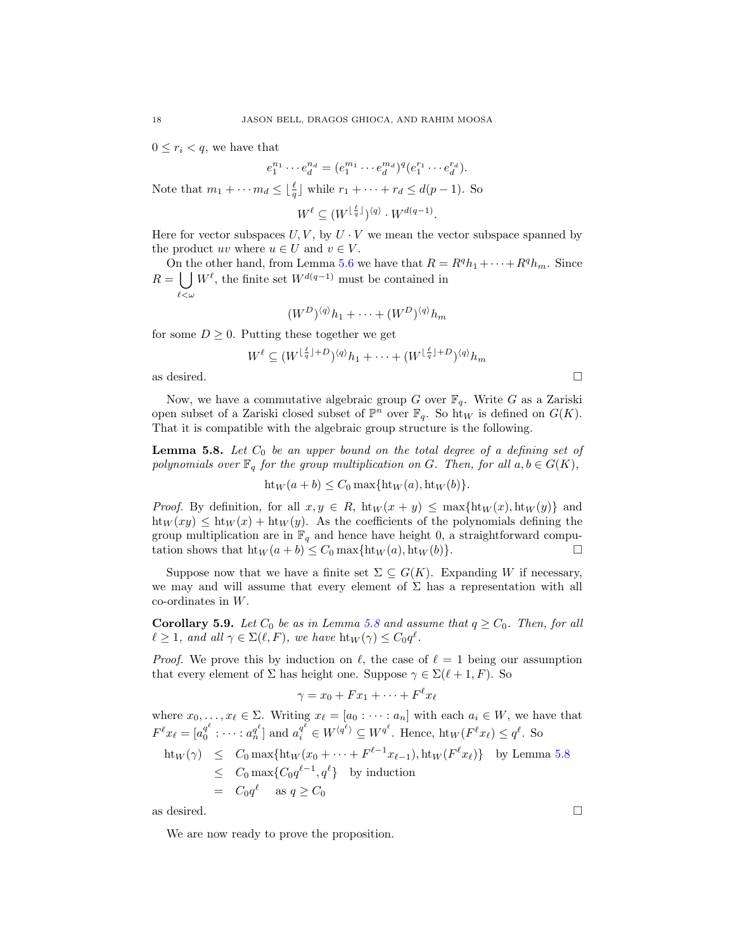$0 \leq r_i < q$ , we have that

 $e_1^{n_1} \cdots e_d^{n_d} = (e_1^{m_1} \cdots e_d^{m_d})^q (e_1^{r_1} \cdots e_d^{r_d}).$ 

Note that  $m_1 + \cdots + m_d \leq \lfloor \frac{\ell}{q} \rfloor$  while  $r_1 + \cdots + r_d \leq d(p-1)$ . So

 $W^{\ell} \subseteq (W^{\lfloor \frac{\ell}{q} \rfloor})^{\langle q \rangle} \cdot W^{d(q-1)}.$ 

Here for vector subspaces  $U, V$ , by  $U \cdot V$  we mean the vector subspace spanned by the product uv where  $u \in U$  and  $v \in V$ .

On the other hand, from Lemma [5.6](#page-16-0) we have that  $R = R^q h_1 + \cdots + R^q h_m$ . Since  $R = \int W^{\ell}$ , the finite set  $W^{d(q-1)}$  must be contained in  $\ell$ < $\omega$ 

$$
(W^D)^{\langle q \rangle} h_1 + \cdots + (W^D)^{\langle q \rangle} h_m
$$

for some  $D \geq 0$ . Putting these together we get

$$
W^{\ell} \subseteq (W^{\lfloor \frac{\ell}{q} \rfloor + D})^{\langle q \rangle} h_1 + \cdots + (W^{\lfloor \frac{\ell}{q} \rfloor + D})^{\langle q \rangle} h_m
$$

as desired.  $\Box$ 

Now, we have a commutative algebraic group G over  $\mathbb{F}_q$ . Write G as a Zariski open subset of a Zariski closed subset of  $\mathbb{P}^n$  over  $\mathbb{F}_q$ . So  $\overline{\mathrm{ht}}_W$  is defined on  $G(K)$ . That it is compatible with the algebraic group structure is the following.

<span id="page-17-0"></span>**Lemma 5.8.** Let  $C_0$  be an upper bound on the total degree of a defining set of polynomials over  $\mathbb{F}_q$  for the group multiplication on G. Then, for all  $a, b \in G(K)$ ,

$$
ht_W(a+b) \le C_0 \max\{ht_W(a), ht_W(b)\}.
$$

*Proof.* By definition, for all  $x, y \in R$ ,  $h t_W(x + y) \leq \max\{h t_W(x), h t_W(y)\}\$  and  $\mathrm{ht}_W(xy) \leq \mathrm{ht}_W(x) + \mathrm{ht}_W(y)$ . As the coefficients of the polynomials defining the group multiplication are in  $\mathbb{F}_q$  and hence have height 0, a straightforward computation shows that  $\text{ht}_W(a+b) \leq C_0 \max{\text{ht}_W(a), \text{ht}_W(b)}$ .

Suppose now that we have a finite set  $\Sigma \subseteq G(K)$ . Expanding W if necessary, we may and will assume that every element of  $\Sigma$  has a representation with all co-ordinates in W.

<span id="page-17-1"></span>**Corollary 5.9.** Let  $C_0$  be as in Lemma [5.8](#page-17-0) and assume that  $q \ge C_0$ . Then, for all  $\ell \geq 1$ , and all  $\gamma \in \Sigma(\ell, F)$ , we have  $\text{ht}_W(\gamma) \leq C_0 q^{\ell}$ .

*Proof.* We prove this by induction on  $\ell$ , the case of  $\ell = 1$  being our assumption that every element of  $\Sigma$  has height one. Suppose  $\gamma \in \Sigma(\ell + 1, F)$ . So

$$
\gamma = x_0 + F x_1 + \dots + F^{\ell} x_{\ell}
$$

where  $x_0, \ldots, x_\ell \in \Sigma$ . Writing  $x_\ell = [a_0 : \cdots : a_n]$  with each  $a_i \in W$ , we have that  $F^{\ell}x_{\ell} = \left[a_0^{q^{\ell}}\right]$  $a_0^{q^{\ell}}:\cdots: a_n^{q^{\ell}}\}$  and  $a_i^{q^{\ell}}\in W^{\langle q^{\ell}\rangle}\subseteq W^{q^{\ell}}$ . Hence,  $\text{ht}_W(F^{\ell}x_{\ell})\leq q^{\ell}$ . So

$$
ht_W(γ) ≤ C_0 max{ht_W(x_0 + \dots + F^{\ell-1}x_{\ell-1}), ht_W(F^{\ell}x_{\ell})} by Lemma 5.8
$$
  
≤ C<sub>0</sub> max{C<sub>0</sub>q<sup>l-1</sup>, q<sup>l</sup>} by induction  
= C<sub>0</sub>q<sup>l</sup> as q ≥ C<sub>0</sub>  
as desired.

We are now ready to prove the proposition.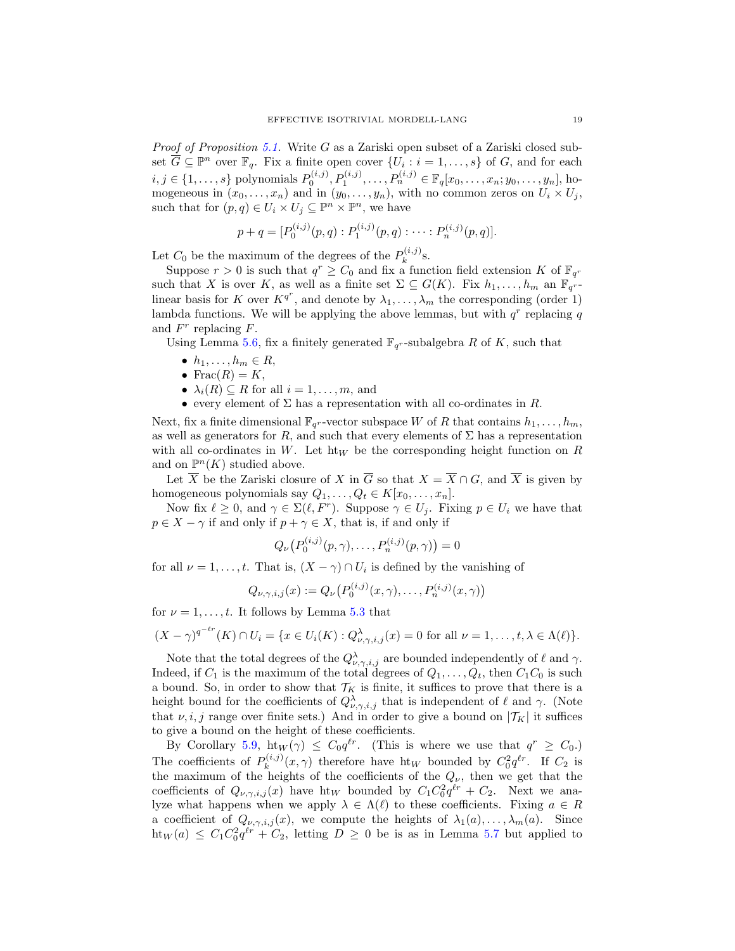*Proof of Proposition [5.1.](#page-14-3)* Write  $G$  as a Zariski open subset of a Zariski closed subset  $\overline{G} \subseteq \mathbb{P}^n$  over  $\mathbb{F}_q$ . Fix a finite open cover  $\{U_i : i = 1, \ldots, s\}$  of G, and for each  $i, j \in \{1, ..., s\}$  polynomials  $P_0^{(i,j)}, P_1^{(i,j)}, \ldots, P_n^{(i,j)} \in \mathbb{F}_q[x_0, \ldots, x_n; y_0, \ldots, y_n],$  homogeneous in  $(x_0, \ldots, x_n)$  and in  $(y_0, \ldots, y_n)$ , with no common zeros on  $U_i \times U_j$ , such that for  $(p, q) \in U_i \times U_j \subseteq \mathbb{P}^n \times \mathbb{P}^n$ , we have

$$
p + q = [P_0^{(i,j)}(p,q) : P_1^{(i,j)}(p,q) : \cdots : P_n^{(i,j)}(p,q)].
$$

Let  $C_0$  be the maximum of the degrees of the  $P_k^{(i,j)}$  $k^{(i,j)}$ s.

Suppose  $r > 0$  is such that  $q^r \geq C_0$  and fix a function field extension K of  $\mathbb{F}_{q^r}$ such that X is over K, as well as a finite set  $\Sigma \subseteq G(K)$ . Fix  $h_1, \ldots, h_m$  an  $\mathbb{F}_q$ <sup>-</sup> linear basis for K over  $K^{q^r}$ , and denote by  $\lambda_1, \ldots, \lambda_m$  the corresponding (order 1) lambda functions. We will be applying the above lemmas, but with  $q<sup>r</sup>$  replacing q and  $F^r$  replacing  $F$ .

Using Lemma [5.6,](#page-16-0) fix a finitely generated  $\mathbb{F}_{q^r}$ -subalgebra R of K, such that

- $\bullet$   $h_1, \ldots, h_m \in R$ ,
- Frac $(R) = K$ ,
- $\lambda_i(R) \subseteq R$  for all  $i = 1, \ldots, m$ , and
- every element of  $\Sigma$  has a representation with all co-ordinates in  $R$ .

Next, fix a finite dimensional  $\mathbb{F}_{q^r}$ -vector subspace W of R that contains  $h_1, \ldots, h_m$ , as well as generators for  $R$ , and such that every elements of  $\Sigma$  has a representation with all co-ordinates in W. Let  $h t_W$  be the corresponding height function on R and on  $\mathbb{P}^n(K)$  studied above.

Let  $\overline{X}$  be the Zariski closure of X in  $\overline{G}$  so that  $X = \overline{X} \cap G$ , and  $\overline{X}$  is given by homogeneous polynomials say  $Q_1, \ldots, Q_t \in K[x_0, \ldots, x_n].$ 

Now fix  $\ell \geq 0$ , and  $\gamma \in \Sigma(\ell, F^r)$ . Suppose  $\gamma \in U_j$ . Fixing  $p \in U_i$  we have that  $p \in X - \gamma$  if and only if  $p + \gamma \in X$ , that is, if and only if

$$
Q_{\nu}(P_0^{(i,j)}(p,\gamma),\ldots,P_n^{(i,j)}(p,\gamma))=0
$$

for all  $\nu = 1, \ldots, t$ . That is,  $(X - \gamma) \cap U_i$  is defined by the vanishing of

$$
Q_{\nu,\gamma,i,j}(x) := Q_{\nu}(P_0^{(i,j)}(x,\gamma), \ldots, P_n^{(i,j)}(x,\gamma))
$$

for  $\nu = 1, \ldots, t$ . It follows by Lemma [5.3](#page-15-1) that

$$
(X - \gamma)^{q^{-\ell r}}(K) \cap U_i = \{x \in U_i(K) : Q_{\nu,\gamma,i,j}^{\lambda}(x) = 0 \text{ for all } \nu = 1,\ldots,t, \lambda \in \Lambda(\ell)\}.
$$

Note that the total degrees of the  $Q_{\nu,\gamma,i,j}^{\lambda}$  are bounded independently of  $\ell$  and  $\gamma$ . Indeed, if  $C_1$  is the maximum of the total degrees of  $Q_1, \ldots, Q_t$ , then  $C_1C_0$  is such a bound. So, in order to show that  $\mathcal{T}_K$  is finite, it suffices to prove that there is a height bound for the coefficients of  $Q_{\nu,\gamma,i,j}^{\lambda}$  that is independent of  $\ell$  and  $\gamma$ . (Note that  $\nu, i, j$  range over finite sets.) And in order to give a bound on  $|\mathcal{T}_K|$  it suffices to give a bound on the height of these coefficients.

By Corollary [5.9,](#page-17-1) ht $_W(\gamma) \leq C_0 q^{\ell r}$ . (This is where we use that  $q^r \geq C_0$ .) The coefficients of  $P_k^{(i,j)}$  $\int_k^{(i,j)} (x, \gamma)$  therefore have ht<sub>W</sub> bounded by  $C_0^2 q^{\ell r}$ . If  $C_2$  is the maximum of the heights of the coefficients of the  $Q_{\nu}$ , then we get that the coefficients of  $Q_{\nu,\gamma,i,j}(x)$  have ht<sub>W</sub> bounded by  $C_1 C_0^2 q^{\ell r} + C_2$ . Next we analyze what happens when we apply  $\lambda \in \Lambda(\ell)$  to these coefficients. Fixing  $a \in R$ a coefficient of  $Q_{\nu,\gamma,i,j}(x)$ , we compute the heights of  $\lambda_1(a),\ldots,\lambda_m(a)$ . Since  $\text{ht}_W(a) \leq C_1 C_0^2 q^{\ell r} + C_2$ , letting  $D \geq 0$  be is as in Lemma [5.7](#page-16-1) but applied to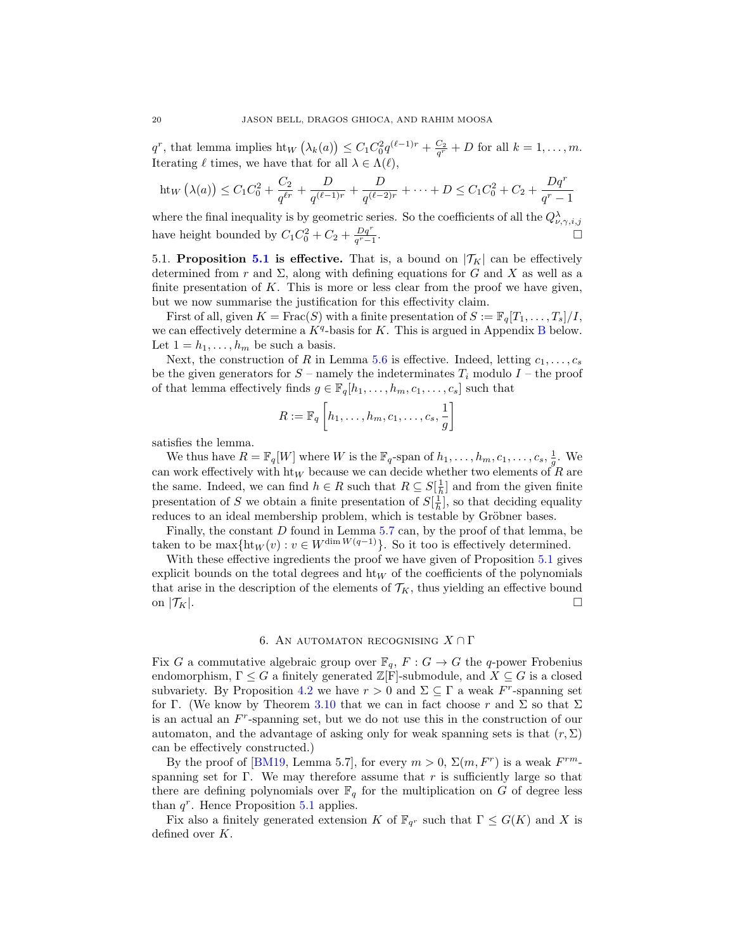$q^r$ , that lemma implies ht<sub>W</sub>  $(\lambda_k(a)) \leq C_1 C_0^2 q^{(\ell-1)r} + \frac{C_2}{q^r} + D$  for all  $k = 1, ..., m$ . Iterating  $\ell$  times, we have that for all  $\lambda \in \Lambda(\ell)$ ,

ht<sub>W</sub> 
$$
(\lambda(a)) \leq C_1 C_0^2 + \frac{C_2}{q^{\ell r}} + \frac{D}{q^{(\ell-1)r}} + \frac{D}{q^{(\ell-2)r}} + \cdots + D \leq C_1 C_0^2 + C_2 + \frac{Dq^r}{q^r - 1}
$$

where the final inequality is by geometric series. So the coefficients of all the  $Q^{\lambda}_{\nu,\gamma,i,j}$ have height bounded by  $C_1C_0^2 + C_2 + \frac{Dq^r}{q^r-1}$ .

<span id="page-19-1"></span>[5.1](#page-14-3). Proposition 5.1 is effective. That is, a bound on  $|\mathcal{T}_K|$  can be effectively determined from r and  $\Sigma$ , along with defining equations for G and X as well as a finite presentation of  $K$ . This is more or less clear from the proof we have given, but we now summarise the justification for this effectivity claim.

First of all, given  $K = \text{Frac}(S)$  with a finite presentation of  $S := \mathbb{F}_q[T_1, \ldots, T_s]/I$ , we can effectively determine a  $K<sup>q</sup>$ -basis for K. This is argued in Appendix [B](#page-39-0) below. Let  $1 = h_1, \ldots, h_m$  be such a basis.

Next, the construction of R in Lemma [5.6](#page-16-0) is effective. Indeed, letting  $c_1, \ldots, c_s$ be the given generators for  $S$  – namely the indeterminates  $T_i$  modulo  $I$  – the proof of that lemma effectively finds  $g \in \mathbb{F}_q[h_1,\ldots,h_m,c_1,\ldots,c_s]$  such that

$$
R := \mathbb{F}_q \left[ h_1, \dots, h_m, c_1, \dots, c_s, \frac{1}{g} \right]
$$

satisfies the lemma.

We thus have  $R = \mathbb{F}_q[W]$  where W is the  $\mathbb{F}_q$ -span of  $h_1, \ldots, h_m, c_1, \ldots, c_s, \frac{1}{g}$ . We can work effectively with  $\text{ht}_W$  because we can decide whether two elements of R are the same. Indeed, we can find  $h \in R$  such that  $R \subseteq S[\frac{1}{h}]$  and from the given finite presentation of S we obtain a finite presentation of  $S[\frac{1}{h}]$ , so that deciding equality reduces to an ideal membership problem, which is testable by Gröbner bases.

Finally, the constant  $D$  found in Lemma [5.7](#page-16-1) can, by the proof of that lemma, be taken to be  $\max\{\text{ht}_W(v): v \in W^{\dim W(q-1)}\}\$ . So it too is effectively determined.

With these effective ingredients the proof we have given of Proposition [5.1](#page-14-3) gives explicit bounds on the total degrees and  $h t_W$  of the coefficients of the polynomials that arise in the description of the elements of  $\mathcal{T}_K$ , thus yielding an effective bound on  $|\mathcal{T}_K|$ .

### 6. AN AUTOMATON RECOGNISING  $X \cap \Gamma$

<span id="page-19-0"></span>Fix G a commutative algebraic group over  $\mathbb{F}_q$ ,  $F: G \to G$  the q-power Frobenius endomorphism,  $\Gamma \leq G$  a finitely generated  $\mathbb{Z}[\Gamma]$ -submodule, and  $X \subseteq G$  is a closed subvariety. By Proposition [4.2](#page-12-0) we have  $r > 0$  and  $\Sigma \subseteq \Gamma$  a weak F<sup>r</sup>-spanning set for Γ. (We know by Theorem [3.10](#page-10-0) that we can in fact choose r and Σ so that  $\Sigma$ is an actual an F r -spanning set, but we do not use this in the construction of our automaton, and the advantage of asking only for weak spanning sets is that  $(r, \Sigma)$ can be effectively constructed.)

By the proof of [\[BM19,](#page-40-14) Lemma 5.7], for every  $m > 0$ ,  $\Sigma(m, F^r)$  is a weak  $F^{rm}$ spanning set for Γ. We may therefore assume that r is sufficiently large so that there are defining polynomials over  $\mathbb{F}_q$  for the multiplication on G of degree less than  $q^r$ . Hence Proposition [5.1](#page-14-3) applies.

Fix also a finitely generated extension K of  $\mathbb{F}_{q^r}$  such that  $\Gamma \leq G(K)$  and X is defined over K.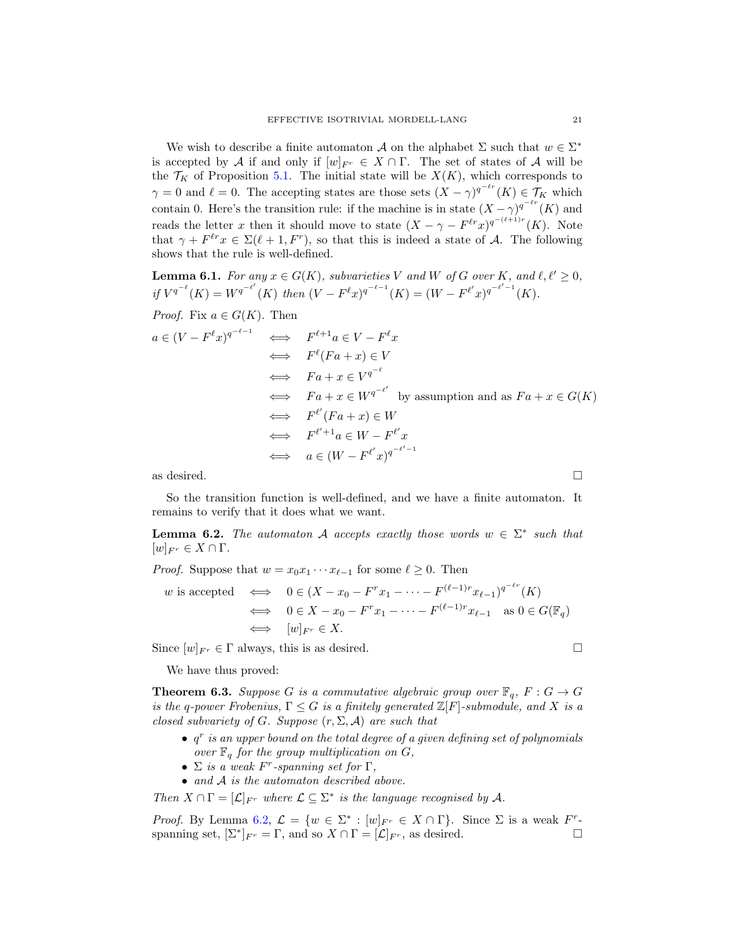We wish to describe a finite automaton A on the alphabet  $\Sigma$  such that  $w \in \Sigma^*$ is accepted by A if and only if  $[w]_{F_r} \in X \cap \Gamma$ . The set of states of A will be the  $\mathcal{T}_K$  of Proposition [5.1.](#page-14-3) The initial state will be  $X(K)$ , which corresponds to  $\gamma = 0$  and  $\ell = 0$ . The accepting states are those sets  $(X - \gamma)^{q^{-\ell r}}(K) \in \mathcal{T}_K$  which contain 0. Here's the transition rule: if the machine is in state  $(X - \gamma)q^{-\ell r}(K)$  and reads the letter x then it should move to state  $(X - \gamma - F^{\ell r}x)^{q^{-(\ell+1)r}}(K)$ . Note that  $\gamma + F^{\ell r} x \in \Sigma(\ell + 1, F^r)$ , so that this is indeed a state of A. The following shows that the rule is well-defined.

**Lemma 6.1.** For any  $x \in G(K)$ , subvarieties V and W of G over K, and  $\ell, \ell' \geq 0$ , if  $V^{q^{-\ell}}(K) = W^{q^{-\ell'}}(K)$  then  $(V - F^{\ell}x)^{q^{-\ell-1}}(K) = (W - F^{\ell'}x)^{q^{-\ell'-1}}(K)$ .

*Proof.* Fix 
$$
a \in G(K)
$$
. Then

$$
a \in (V - F^{\ell}x)^{q^{-\ell-1}} \iff F^{\ell+1}a \in V - F^{\ell}x
$$
  
\n
$$
\iff F^{\ell}(Fa + x) \in V
$$
  
\n
$$
\iff Fa + x \in V^{q^{-\ell}}
$$
  
\n
$$
\iff Fa + x \in W^{q^{-\ell'}} \text{ by assumption and as } Fa + x \in G(K)
$$
  
\n
$$
\iff F^{\ell'}(Fa + x) \in W
$$
  
\n
$$
\iff F^{\ell'+1}a \in W - F^{\ell'}x
$$
  
\n
$$
\iff a \in (W - F^{\ell'}x)^{q^{-\ell'-1}}
$$

as desired.  $\Box$ 

So the transition function is well-defined, and we have a finite automaton. It remains to verify that it does what we want.

<span id="page-20-1"></span>**Lemma 6.2.** The automaton A accepts exactly those words  $w \in \Sigma^*$  such that  $[w]_{F^r} \in X \cap \Gamma$ .

*Proof.* Suppose that  $w = x_0 x_1 \cdots x_{\ell-1}$  for some  $\ell \geq 0$ . Then

$$
w \text{ is accepted} \iff 0 \in (X - x_0 - F^r x_1 - \dots - F^{(\ell-1)r} x_{\ell-1})^{q^{-\ell r}} (K)
$$
  

$$
\iff 0 \in X - x_0 - F^r x_1 - \dots - F^{(\ell-1)r} x_{\ell-1} \text{ as } 0 \in G(\mathbb{F}_q)
$$
  

$$
\iff [w]_{F^r} \in X.
$$

Since  $[w]_{F^r} \in \Gamma$  always, this is as desired.

We have thus proved:

<span id="page-20-0"></span>**Theorem 6.3.** Suppose G is a commutative algebraic group over  $\mathbb{F}_q$ ,  $F: G \to G$ is the q-power Frobenius,  $\Gamma \leq G$  is a finitely generated  $\mathbb{Z}[F]$ -submodule, and X is a closed subvariety of G. Suppose  $(r, \Sigma, \mathcal{A})$  are such that

- $\bullet$   $q^r$  is an upper bound on the total degree of a given defining set of polynomials over  $\mathbb{F}_q$  for the group multiplication on  $G$ ,
- $\Sigma$  is a weak F<sup>r</sup>-spanning set for  $\Gamma$ ,
- and A is the automaton described above.

Then  $X \cap \Gamma = [\mathcal{L}]_{F^r}$  where  $\mathcal{L} \subseteq \Sigma^*$  is the language recognised by A.

*Proof.* By Lemma [6.2,](#page-20-1)  $\mathcal{L} = \{w \in \Sigma^* : [w]_{F^r} \in X \cap \Gamma\}$ . Since  $\Sigma$  is a weak  $F^r$ spanning set,  $[\Sigma^*]_{F^r} = \Gamma$ , and so  $X \cap \Gamma = [\mathcal{L}]_{F^r}$ , as desired.

$$
f_{\rm{max}}
$$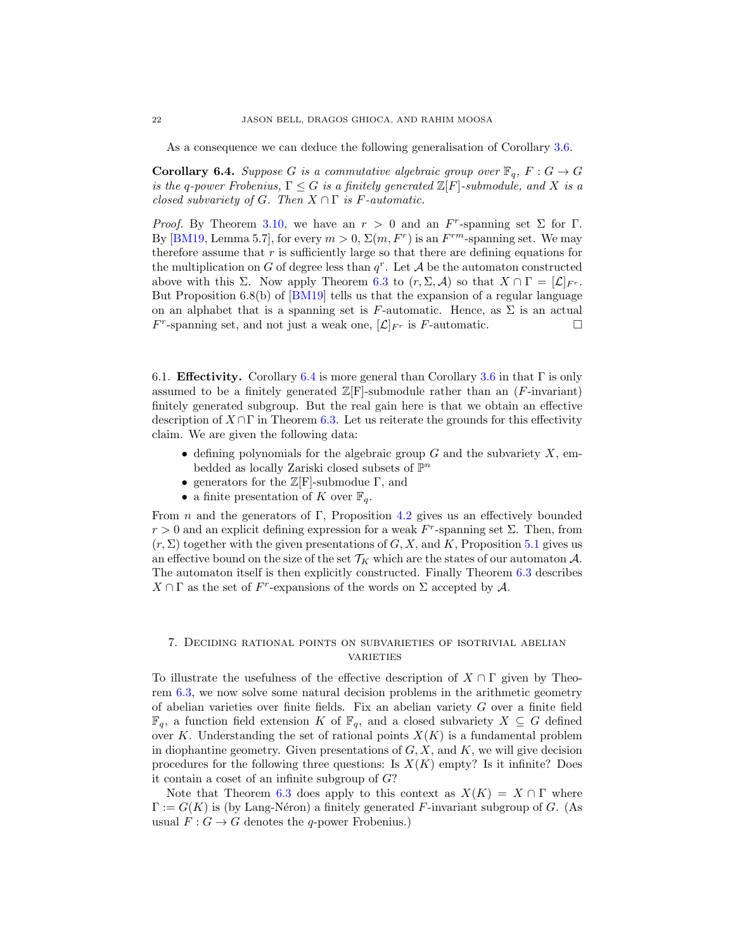As a consequence we can deduce the following generalisation of Corollary [3.6.](#page-7-1)

<span id="page-21-2"></span>**Corollary 6.4.** Suppose G is a commutative algebraic group over  $\mathbb{F}_q$ ,  $F: G \to G$ is the q-power Frobenius,  $\Gamma \leq G$  is a finitely generated  $\mathbb{Z}[F]$ -submodule, and X is a closed subvariety of G. Then  $X \cap \Gamma$  is F-automatic.

*Proof.* By Theorem [3.10,](#page-10-0) we have an  $r > 0$  and an F<sup>r</sup>-spanning set  $\Sigma$  for  $\Gamma$ . By [\[BM19,](#page-40-14) Lemma 5.7], for every  $m > 0$ ,  $\Sigma(m, F^r)$  is an  $F^{rm}$ -spanning set. We may therefore assume that  $r$  is sufficiently large so that there are defining equations for the multiplication on G of degree less than  $q^r$ . Let A be the automaton constructed above with this  $\Sigma$ . Now apply Theorem [6.3](#page-20-0) to  $(r, \Sigma, \mathcal{A})$  so that  $X \cap \Gamma = [\mathcal{L}]_{Fr}$ . But Proposition 6.8(b) of [\[BM19\]](#page-40-14) tells us that the expansion of a regular language on an alphabet that is a spanning set is F-automatic. Hence, as  $\Sigma$  is an actual  $F^r$ -spanning set, and not just a weak one,  $[\mathcal{L}]_{F^r}$  is F-automatic.

<span id="page-21-1"></span>6.1. **Effectivity.** Corollary [6.4](#page-21-2) is more general than Corollary [3.6](#page-7-1) in that  $\Gamma$  is only assumed to be a finitely generated  $\mathbb{Z}[F]$ -submodule rather than an (F-invariant) finitely generated subgroup. But the real gain here is that we obtain an effective description of  $X \cap \Gamma$  in Theorem [6.3.](#page-20-0) Let us reiterate the grounds for this effectivity claim. We are given the following data:

- defining polynomials for the algebraic group  $G$  and the subvariety  $X$ , embedded as locally Zariski closed subsets of  $\mathbb{P}^n$
- generators for the  $\mathbb{Z}[F]$ -submodue  $\Gamma$ , and
- a finite presentation of K over  $\mathbb{F}_q$ .

From n and the generators of Γ, Proposition [4.2](#page-12-0) gives us an effectively bounded  $r > 0$  and an explicit defining expression for a weak  $F<sup>r</sup>$ -spanning set  $\Sigma$ . Then, from  $(r, \Sigma)$  together with the given presentations of G, X, and K, Proposition [5.1](#page-14-3) gives us an effective bound on the size of the set  $\mathcal{T}_K$  which are the states of our automaton A. The automaton itself is then explicitly constructed. Finally Theorem [6.3](#page-20-0) describes  $X \cap \Gamma$  as the set of F<sup>r</sup>-expansions of the words on  $\Sigma$  accepted by A.

## <span id="page-21-0"></span>7. Deciding rational points on subvarieties of isotrivial abelian **VARIETIES**

To illustrate the usefulness of the effective description of  $X \cap \Gamma$  given by Theorem [6.3,](#page-20-0) we now solve some natural decision problems in the arithmetic geometry of abelian varieties over finite fields. Fix an abelian variety G over a finite field  $\mathbb{F}_q$ , a function field extension K of  $\mathbb{F}_q$ , and a closed subvariety  $X \subseteq G$  defined over K. Understanding the set of rational points  $X(K)$  is a fundamental problem in diophantine geometry. Given presentations of  $G, X$ , and  $K$ , we will give decision procedures for the following three questions: Is  $X(K)$  empty? Is it infinite? Does it contain a coset of an infinite subgroup of  $G$ ?

Note that Theorem [6.3](#page-20-0) does apply to this context as  $X(K) = X \cap \Gamma$  where  $\Gamma := G(K)$  is (by Lang-Néron) a finitely generated F-invariant subgroup of G. (As usual  $F: G \to G$  denotes the q-power Frobenius.)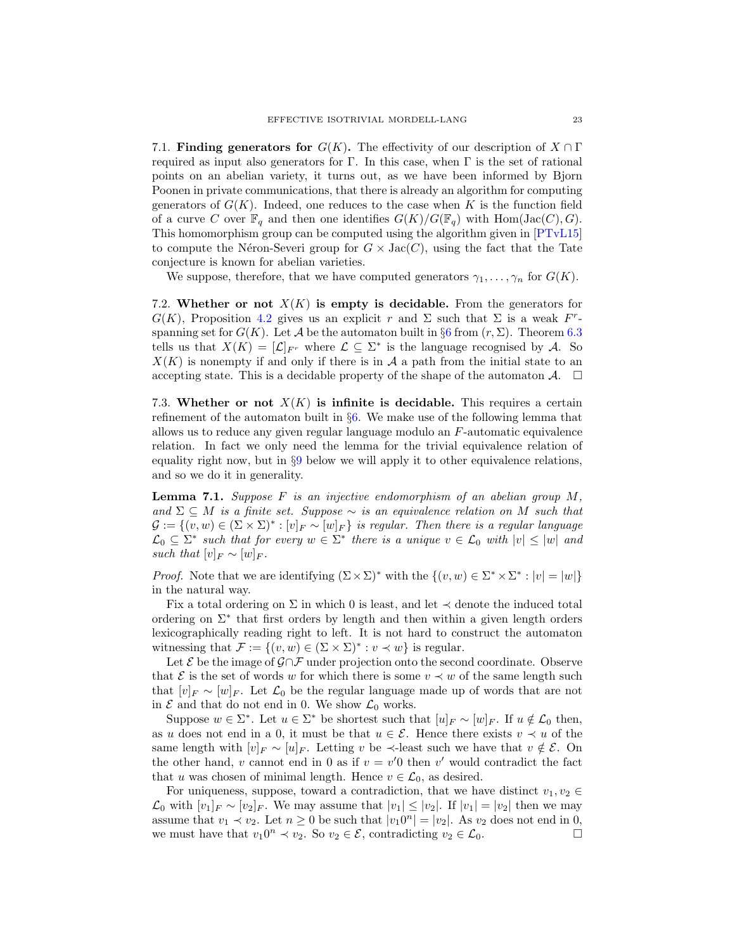<span id="page-22-1"></span>7.1. **Finding generators for**  $G(K)$ . The effectivity of our description of  $X \cap \Gamma$ required as input also generators for Γ. In this case, when Γ is the set of rational points on an abelian variety, it turns out, as we have been informed by Bjorn Poonen in private communications, that there is already an algorithm for computing generators of  $G(K)$ . Indeed, one reduces to the case when K is the function field of a curve C over  $\mathbb{F}_q$  and then one identifies  $G(K)/G(\mathbb{F}_q)$  with  $\text{Hom}(\text{Jac}(C), G)$ . This homomorphism group can be computed using the algorithm given in [\[PTvL15\]](#page-41-1) to compute the Néron-Severi group for  $G \times \text{Jac}(C)$ , using the fact that the Tate conjecture is known for abelian varieties.

We suppose, therefore, that we have computed generators  $\gamma_1, \ldots, \gamma_n$  for  $G(K)$ .

7.2. Whether or not  $X(K)$  is empty is decidable. From the generators for  $G(K)$ , Proposition [4.2](#page-12-0) gives us an explicit r and  $\Sigma$  such that  $\Sigma$  is a weak  $F^r$ spanning set for  $G(K)$ . Let A be the automaton built in §[6](#page-19-0) from  $(r, \Sigma)$ . Theorem [6.3](#page-20-0) tells us that  $X(K) = [\mathcal{L}]_{F^r}$  where  $\mathcal{L} \subseteq \Sigma^*$  is the language recognised by A. So  $X(K)$  is nonempty if and only if there is in A a path from the initial state to an accepting state. This is a decidable property of the shape of the automaton  $\mathcal{A}$ .  $\Box$ 

<span id="page-22-2"></span>7.3. Whether or not  $X(K)$  is infinite is decidable. This requires a certain refinement of the automaton built in §[6.](#page-19-0) We make use of the following lemma that allows us to reduce any given regular language modulo an F-automatic equivalence relation. In fact we only need the lemma for the trivial equivalence relation of equality right now, but in  $\S 9$  $\S 9$  below we will apply it to other equivalence relations, and so we do it in generality.

<span id="page-22-0"></span>**Lemma 7.1.** Suppose F is an injective endomorphism of an abelian group  $M$ , and  $\Sigma \subseteq M$  is a finite set. Suppose  $\sim$  is an equivalence relation on M such that  $\mathcal{G} := \{(v, w) \in (\Sigma \times \Sigma)^* : [v]_F \sim [w]_F\}$  is regular. Then there is a regular language  $\mathcal{L}_0 \subseteq \Sigma^*$  such that for every  $w \in \Sigma^*$  there is a unique  $v \in \mathcal{L}_0$  with  $|v| \leq |w|$  and such that  $[v]_F \sim [w]_F$ .

*Proof.* Note that we are identifying  $(\Sigma \times \Sigma)^*$  with the  $\{(v, w) \in \Sigma^* \times \Sigma^* : |v| = |w|\}$ in the natural way.

Fix a total ordering on  $\Sigma$  in which 0 is least, and let  $\prec$  denote the induced total ordering on  $\Sigma^*$  that first orders by length and then within a given length orders lexicographically reading right to left. It is not hard to construct the automaton witnessing that  $\mathcal{F} := \{(v, w) \in (\Sigma \times \Sigma)^* : v \prec w\}$  is regular.

Let  $\mathcal E$  be the image of  $\mathcal G \cap \mathcal F$  under projection onto the second coordinate. Observe that  $\mathcal E$  is the set of words w for which there is some  $v \prec w$  of the same length such that  $[v]_F \sim [w]_F$ . Let  $\mathcal{L}_0$  be the regular language made up of words that are not in  $\mathcal E$  and that do not end in 0. We show  $\mathcal L_0$  works.

Suppose  $w \in \Sigma^*$ . Let  $u \in \Sigma^*$  be shortest such that  $[u]_F \sim [w]_F$ . If  $u \notin \mathcal{L}_0$  then, as u does not end in a 0, it must be that  $u \in \mathcal{E}$ . Hence there exists  $v \prec u$  of the same length with  $[v]_F \sim [u]_F$ . Letting v be  $\prec$ -least such we have that  $v \notin \mathcal{E}$ . On the other hand, v cannot end in 0 as if  $v = v'0$  then v' would contradict the fact that u was chosen of minimal length. Hence  $v \in \mathcal{L}_0$ , as desired.

For uniqueness, suppose, toward a contradiction, that we have distinct  $v_1, v_2 \in$  $\mathcal{L}_0$  with  $[v_1]_F \sim [v_2]_F$ . We may assume that  $|v_1| \leq |v_2|$ . If  $|v_1| = |v_2|$  then we may assume that  $v_1 \prec v_2$ . Let  $n \geq 0$  be such that  $|v_1 0^n| = |v_2|$ . As  $v_2$  does not end in 0, we must have that  $v_1 0^n \prec v_2$ . So  $v_2 \in \mathcal{E}$ , contradicting  $v_2 \in \mathcal{L}_0$ .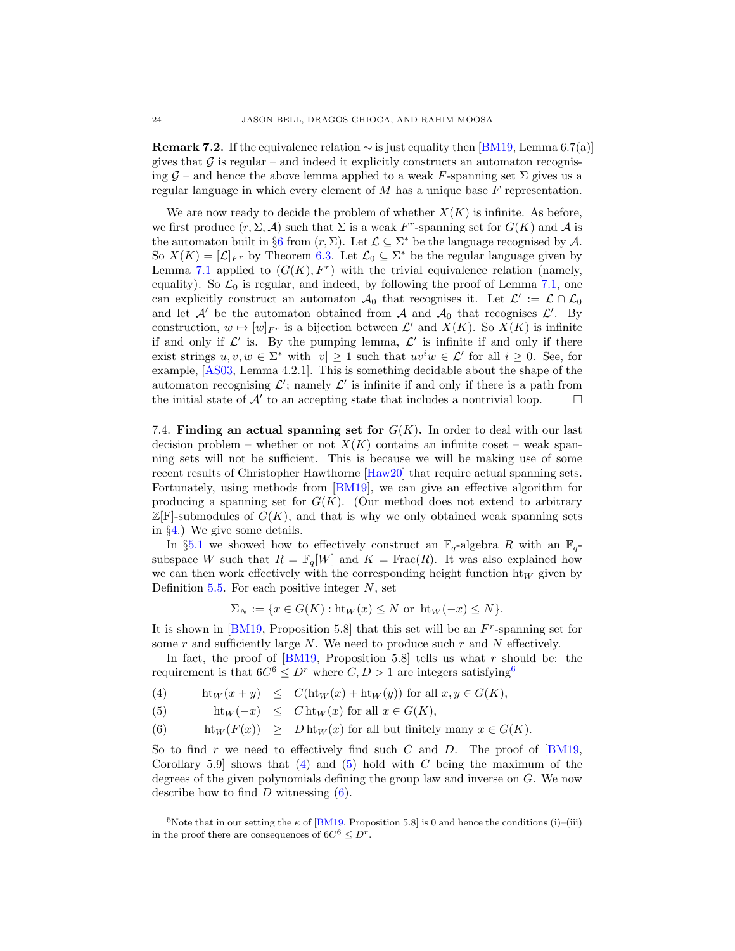**Remark 7.2.** If the equivalence relation  $\sim$  is just equality then [\[BM19,](#page-40-14) Lemma 6.7(a)] gives that  $\mathcal G$  is regular – and indeed it explicitly constructs an automaton recognising  $\mathcal{G}$  – and hence the above lemma applied to a weak F-spanning set  $\Sigma$  gives us a regular language in which every element of  $M$  has a unique base  $F$  representation.

We are now ready to decide the problem of whether  $X(K)$  is infinite. As before, we first produce  $(r, \Sigma, \mathcal{A})$  such that  $\Sigma$  is a weak F<sup>r</sup>-spanning set for  $G(K)$  and  $\mathcal{A}$  is the automaton built in §[6](#page-19-0) from  $(r, \Sigma)$ . Let  $\mathcal{L} \subseteq \Sigma^*$  be the language recognised by A. So  $X(K) = [\mathcal{L}]_{F^r}$  by Theorem [6.3.](#page-20-0) Let  $\mathcal{L}_0 \subseteq \Sigma^*$  be the regular language given by Lemma [7.1](#page-22-0) applied to  $(G(K), F<sup>r</sup>)$  with the trivial equivalence relation (namely, equality). So  $\mathcal{L}_0$  is regular, and indeed, by following the proof of Lemma [7.1,](#page-22-0) one can explicitly construct an automaton  $\mathcal{A}_0$  that recognises it. Let  $\mathcal{L}' := \mathcal{L} \cap \mathcal{L}_0$ and let  $\mathcal{A}'$  be the automaton obtained from  $\mathcal{A}$  and  $\mathcal{A}_0$  that recognises  $\mathcal{L}'$ . By construction,  $w \mapsto [w]_{F^r}$  is a bijection between  $\mathcal{L}'$  and  $X(K)$ . So  $X(K)$  is infinite if and only if  $\mathcal{L}'$  is. By the pumping lemma,  $\mathcal{L}'$  is infinite if and only if there exist strings  $u, v, w \in \Sigma^*$  with  $|v| \geq 1$  such that  $uv^iw \in \mathcal{L}'$  for all  $i \geq 0$ . See, for example, [\[AS03,](#page-40-17) Lemma 4.2.1]. This is something decidable about the shape of the automaton recognising  $\mathcal{L}'$ ; namely  $\mathcal{L}'$  is infinite if and only if there is a path from the initial state of  $\mathcal{A}'$  to an accepting state that includes a nontrivial loop.  $\Box$ 

<span id="page-23-0"></span>7.4. Finding an actual spanning set for  $G(K)$ . In order to deal with our last decision problem – whether or not  $X(K)$  contains an infinite coset – weak spanning sets will not be sufficient. This is because we will be making use of some recent results of Christopher Hawthorne [\[Haw20\]](#page-40-18) that require actual spanning sets. Fortunately, using methods from [\[BM19\]](#page-40-14), we can give an effective algorithm for producing a spanning set for  $G(K)$ . (Our method does not extend to arbitrary  $\mathbb{Z}[F]$ -submodules of  $G(K)$ , and that is why we only obtained weak spanning sets in §[4.](#page-11-0)) We give some details.

In §[5.1](#page-19-1) we showed how to effectively construct an  $\mathbb{F}_q$ -algebra R with an  $\mathbb{F}_q$ subspace W such that  $R = \mathbb{F}_q[W]$  and  $K = \text{Frac}(R)$ . It was also explained how we can then work effectively with the corresponding height function  $h_{W}$  given by Definition  $5.5$ . For each positive integer  $N$ , set

$$
\Sigma_N := \{ x \in G(K) : \text{ht}_W(x) \le N \text{ or } \text{ht}_W(-x) \le N \}.
$$

It is shown in  $[**BM19**, Proposition 5.8] that this set will be an  $F^r$ -spanning set for$ some r and sufficiently large  $N$ . We need to produce such r and N effectively.

In fact, the proof of  $[BM19,$  Proposition 5.8 tells us what r should be: the requirement is that  $6C^6 \leq D^r$  $6C^6 \leq D^r$  where  $C, D > 1$  are integers satisfying<sup>6</sup>

<span id="page-23-2"></span>(4) ht<sub>W</sub> $(x + y) \leq C$ (ht<sub>W</sub> $(x) +$ ht<sub>W</sub> $(y)$ ) for all  $x, y \in G(K)$ ,

(5) 
$$
\mathrm{ht}_W(-x) \leq C \mathrm{ht}_W(x) \text{ for all } x \in G(K),
$$

(6) 
$$
ht_W(F(x)) \geq Dht_W(x) \text{ for all but finitely many } x \in G(K).
$$

So to find r we need to effectively find such C and D. The proof of  $[BM19,$ Corollary 5.9 shows that  $(4)$  and  $(5)$  hold with C being the maximum of the degrees of the given polynomials defining the group law and inverse on G. We now describe how to find  $D$  witnessing  $(6)$ .

<span id="page-23-1"></span><sup>&</sup>lt;sup>6</sup>Note that in our setting the  $\kappa$  of [\[BM19,](#page-40-14) Proposition 5.8] is 0 and hence the conditions (i)–(iii) in the proof there are consequences of  $6C^6 \leq D^r$ .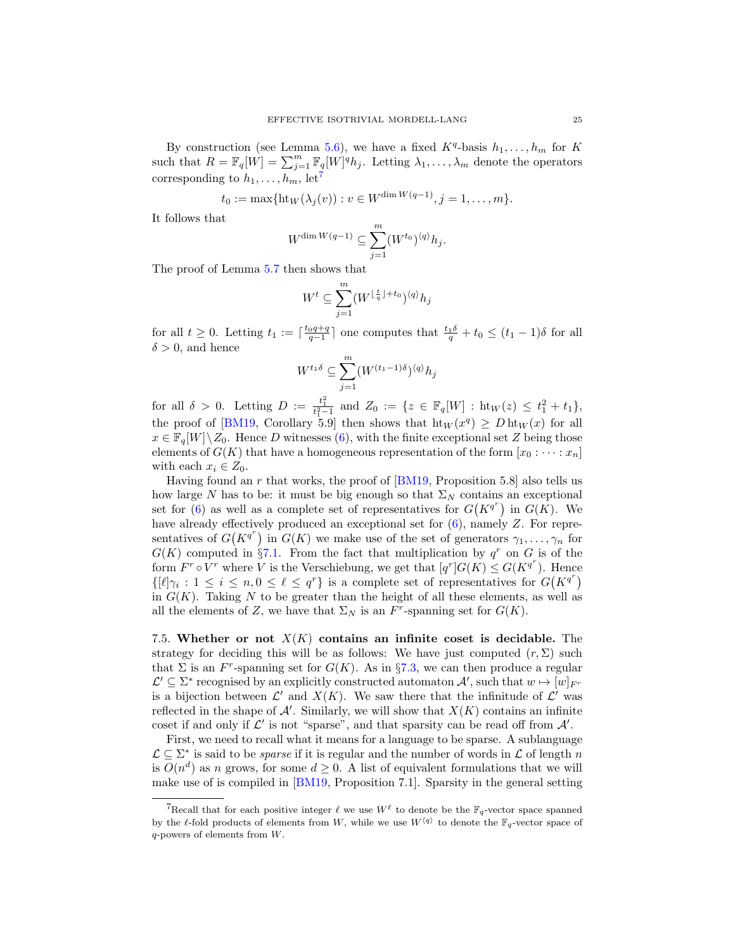By construction (see Lemma [5.6\)](#page-16-0), we have a fixed  $K<sup>q</sup>$ -basis  $h_1, \ldots, h_m$  for K such that  $R = \mathbb{F}_q[W] = \sum_{j=1}^m \mathbb{F}_q[W]^q h_j$ . Letting  $\lambda_1, \ldots, \lambda_m$  denote the operators corresponding to  $h_1, \ldots, h_m$ , let<sup>[7](#page-24-0)</sup>

$$
t_0 := \max{\{\mathrm{ht}_W(\lambda_j(v)) : v \in W^{\dim W(q-1)}, j = 1, ..., m\}}.
$$

It follows that

$$
W^{\dim W(q-1)} \subseteq \sum_{j=1}^m (W^{t_0})^{\langle q \rangle} h_j.
$$

The proof of Lemma [5.7](#page-16-1) then shows that

$$
W^t \subseteq \sum_{j=1}^m (W^{\lfloor \frac{t}{q} \rfloor + t_0})^{\langle q \rangle} h_j
$$

for all  $t \geq 0$ . Letting  $t_1 := \lceil \frac{t_0q+q}{q-1} \rceil$  one computes that  $\frac{t_1\delta}{q} + t_0 \leq (t_1-1)\delta$  for all  $\delta > 0$ , and hence

$$
W^{t_1 \delta} \subseteq \sum_{j=1}^m (W^{(t_1-1)\delta})^{\langle q \rangle} h_j
$$

for all  $\delta > 0$ . Letting  $D := \frac{t_1^2}{t_1^2 - 1}$  and  $Z_0 := \{ z \in \mathbb{F}_q[W] : \text{ht}_W(z) \leq t_1^2 + t_1 \},\$ the proof of [\[BM19,](#page-40-14) Corollary 5.9] then shows that  $ht_W(x^q) \geq Dht_W(x)$  for all  $x \in \mathbb{F}_q[W]\setminus Z_0$ . Hence D witnesses [\(6\)](#page-23-2), with the finite exceptional set Z being those elements of  $G(K)$  that have a homogeneous representation of the form  $[x_0 : \cdots : x_n]$ with each  $x_i \in Z_0$ .

Having found an r that works, the proof of  $[BM19,$  Proposition 5.8] also tells us how large N has to be: it must be big enough so that  $\Sigma_N$  contains an exceptional set for  $(6)$  as well as a complete set of representatives for  $G(K^{q^r})$  in  $G(K)$ . We have already effectively produced an exceptional set for  $(6)$ , namely Z. For representatives of  $G(K^{q^r})$  in  $G(K)$  we make use of the set of generators  $\gamma_1, \ldots, \gamma_n$  for  $G(K)$  computed in §[7.1.](#page-22-1) From the fact that multiplication by  $q^r$  on G is of the form  $F^r \circ V^r$  where V is the Verschiebung, we get that  $[q^r]G(K) \le G(K^{q^r})$ . Hence  $\{[\ell]\gamma_i : 1 \leq i \leq n, 0 \leq \ell \leq q^r\}$  is a complete set of representatives for  $G(K^{q^r})$ in  $G(K)$ . Taking N to be greater than the height of all these elements, as well as all the elements of Z, we have that  $\Sigma_N$  is an  $F^r$ -spanning set for  $G(K)$ .

<span id="page-24-1"></span>7.5. Whether or not  $X(K)$  contains an infinite coset is decidable. The strategy for deciding this will be as follows: We have just computed  $(r, \Sigma)$  such that  $\Sigma$  is an F<sup>r</sup>-spanning set for  $G(K)$ . As in §[7.3,](#page-22-2) we can then produce a regular  $\mathcal{L}' \subseteq \Sigma^*$  recognised by an explicitly constructed automaton  $\mathcal{A}'$ , such that  $w \mapsto [w]_{F^r}$ is a bijection between  $\mathcal{L}'$  and  $X(K)$ . We saw there that the infinitude of  $\mathcal{L}'$  was reflected in the shape of  $\mathcal{A}'$ . Similarly, we will show that  $X(K)$  contains an infinite coset if and only if  $\mathcal{L}'$  is not "sparse", and that sparsity can be read off from  $\mathcal{A}'$ .

First, we need to recall what it means for a language to be sparse. A sublanguage  $\mathcal{L} \subseteq \Sigma^*$  is said to be *sparse* if it is regular and the number of words in  $\mathcal{L}$  of length n is  $O(n^d)$  as n grows, for some  $d \geq 0$ . A list of equivalent formulations that we will make use of is compiled in [\[BM19,](#page-40-14) Proposition 7.1]. Sparsity in the general setting

<span id="page-24-0"></span><sup>&</sup>lt;sup>7</sup>Recall that for each positive integer  $\ell$  we use  $W^{\ell}$  to denote be the  $\mathbb{F}_q$ -vector space spanned by the  $\ell$ -fold products of elements from W, while we use  $W^{\langle q \rangle}$  to denote the  $\mathbb{F}_q$ -vector space of q-powers of elements from W.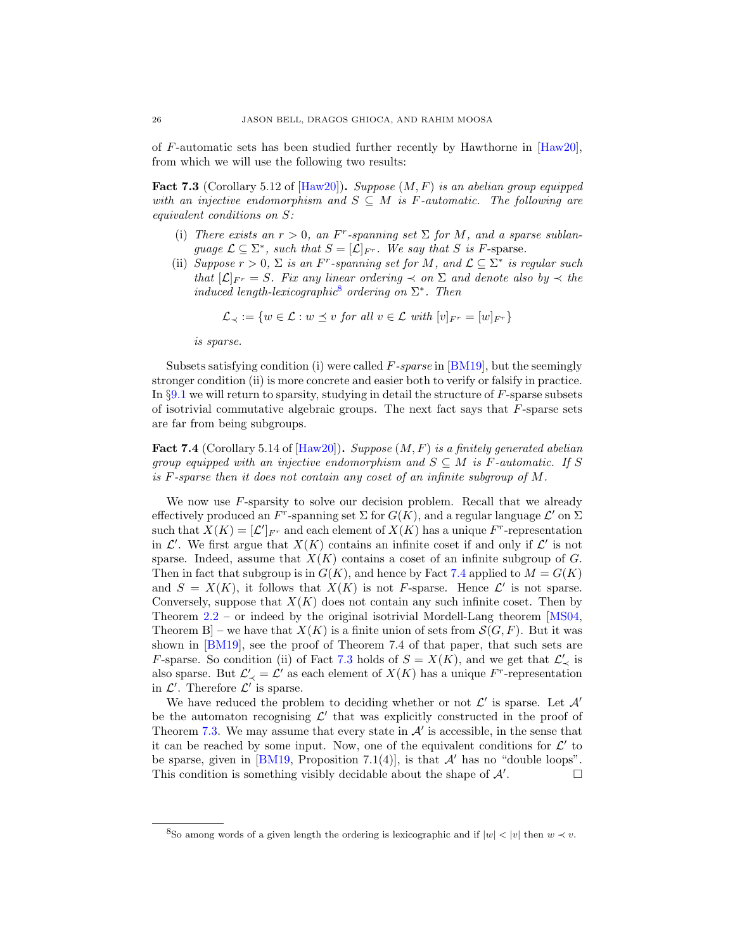of F-automatic sets has been studied further recently by Hawthorne in [\[Haw20\]](#page-40-18), from which we will use the following two results:

<span id="page-25-2"></span>**Fact 7.3** (Corollary 5.12 of  $[\text{Haw20}]$ ). Suppose  $(M, F)$  is an abelian group equipped with an injective endomorphism and  $S \subseteq M$  is F-automatic. The following are equivalent conditions on S:

- (i) There exists an  $r > 0$ , an  $F<sup>r</sup>$ -spanning set  $\Sigma$  for M, and a sparse sublanguage  $\mathcal{L} \subseteq \Sigma^*$ , such that  $S = [\mathcal{L}]_{F^r}$ . We say that S is F-sparse.
- (ii) Suppose  $r > 0$ ,  $\Sigma$  is an F<sup>r</sup>-spanning set for M, and  $\mathcal{L} \subseteq \Sigma^*$  is regular such that  $[\mathcal{L}]_{F^r} = S$ . Fix any linear ordering  $\prec$  on  $\Sigma$  and denote also by  $\prec$  the induced length-lexicographic<sup>[8](#page-25-0)</sup> ordering on  $\Sigma^*$ . Then

$$
\mathcal{L}_{\prec} := \{ w \in \mathcal{L} : w \preceq v \text{ for all } v \in \mathcal{L} \text{ with } [v]_{F^r} = [w]_{F^r} \}
$$

is sparse.

Subsets satisfying condition (i) were called  $F$ -sparse in [\[BM19\]](#page-40-14), but the seemingly stronger condition (ii) is more concrete and easier both to verify or falsify in practice. In §[9.1](#page-29-2) we will return to sparsity, studying in detail the structure of F-sparse subsets of isotrivial commutative algebraic groups. The next fact says that  $F$ -sparse sets are far from being subgroups.

<span id="page-25-1"></span>**Fact 7.4** (Corollary 5.14 of  $[\text{Haw20}]$ ). Suppose  $(M, F)$  is a finitely generated abelian group equipped with an injective endomorphism and  $S \subseteq M$  is F-automatic. If S is F-sparse then it does not contain any coset of an infinite subgroup of M.

We now use  $F$ -sparsity to solve our decision problem. Recall that we already effectively produced an F<sup>r</sup>-spanning set  $\Sigma$  for  $G(K)$ , and a regular language  $\mathcal{L}'$  on  $\Sigma$ such that  $X(K) = [\mathcal{L}']_{F^r}$  and each element of  $X(K)$  has a unique  $F^r$ -representation in  $\mathcal{L}'$ . We first argue that  $X(K)$  contains an infinite coset if and only if  $\mathcal{L}'$  is not sparse. Indeed, assume that  $X(K)$  contains a coset of an infinite subgroup of  $G$ . Then in fact that subgroup is in  $G(K)$ , and hence by Fact [7.4](#page-25-1) applied to  $M = G(K)$ and  $S = X(K)$ , it follows that  $X(K)$  is not F-sparse. Hence  $\mathcal{L}'$  is not sparse. Conversely, suppose that  $X(K)$  does not contain any such infinite coset. Then by Theorem [2.2](#page-5-0) – or indeed by the original isotrivial Mordell-Lang theorem [\[MS04,](#page-40-0) Theorem B – we have that  $X(K)$  is a finite union of sets from  $\mathcal{S}(G, F)$ . But it was shown in [\[BM19\]](#page-40-14), see the proof of Theorem 7.4 of that paper, that such sets are *F*-sparse. So condition (ii) of Fact [7.3](#page-25-2) holds of  $S = X(K)$ , and we get that  $\mathcal{L}'_{\prec}$  is also sparse. But  $\mathcal{L}'_{\prec} = \mathcal{L}'$  as each element of  $X(K)$  has a unique  $F^r$ -representation in  $\mathcal{L}'$ . Therefore  $\mathcal{L}'$  is sparse.

We have reduced the problem to deciding whether or not  $\mathcal{L}'$  is sparse. Let  $\mathcal{A}'$ be the automaton recognising  $\mathcal{L}'$  that was explicitly constructed in the proof of Theorem [7.3.](#page-22-2) We may assume that every state in  $A'$  is accessible, in the sense that it can be reached by some input. Now, one of the equivalent conditions for  $\mathcal{L}'$  to be sparse, given in [\[BM19,](#page-40-14) Proposition 7.1(4)], is that  $\mathcal{A}'$  has no "double loops". This condition is something visibly decidable about the shape of  $\mathcal{A}'$ . . — П

<span id="page-25-0"></span><sup>&</sup>lt;sup>8</sup>So among words of a given length the ordering is lexicographic and if  $|w| < |v|$  then  $w \prec v$ .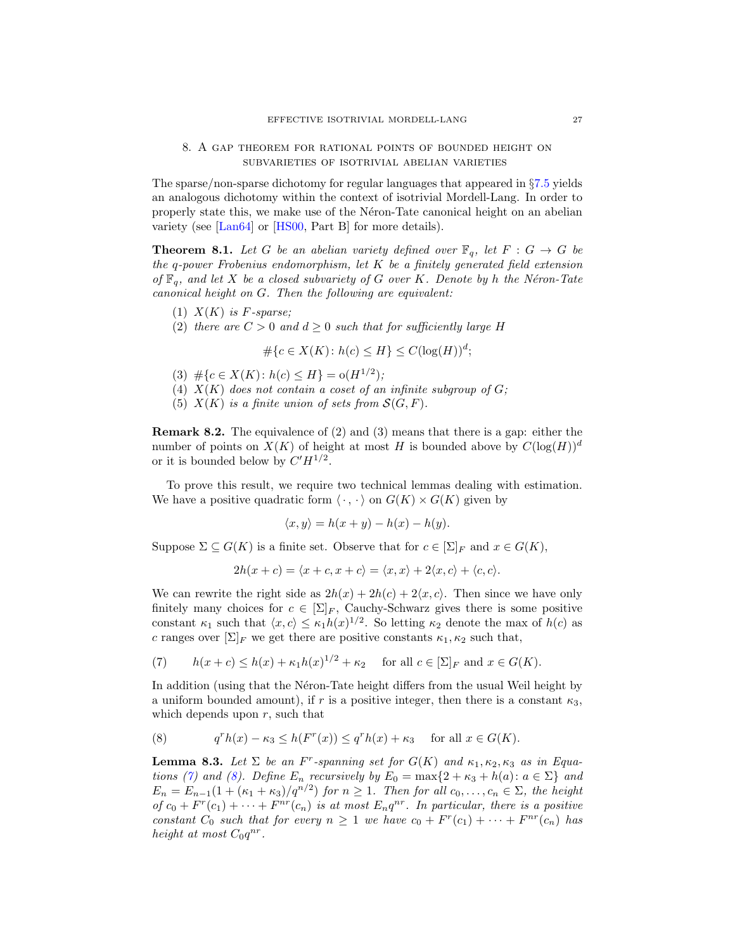## <span id="page-26-0"></span>8. A gap theorem for rational points of bounded height on subvarieties of isotrivial abelian varieties

The sparse/non-sparse dichotomy for regular languages that appeared in §[7.5](#page-24-1) yields an analogous dichotomy within the context of isotrivial Mordell-Lang. In order to properly state this, we make use of the Néron-Tate canonical height on an abelian variety (see [\[Lan64\]](#page-40-22) or [\[HS00,](#page-40-23) Part B] for more details).

**Theorem 8.1.** Let G be an abelian variety defined over  $\mathbb{F}_q$ , let  $F : G \to G$  be the q-power Frobenius endomorphism, let  $K$  be a finitely generated field extension of  $\mathbb{F}_q$ , and let X be a closed subvariety of G over K. Denote by h the Néron-Tate canonical height on G. Then the following are equivalent:

- (1)  $X(K)$  is F-sparse;
- (2) there are  $C > 0$  and  $d \geq 0$  such that for sufficiently large H

$$
\#\{c \in X(K) \colon h(c) \le H\} \le C(\log(H))^d;
$$

- (3)  $\#\{c \in X(K): h(c) \leq H\} = o(H^{1/2});$
- (4)  $X(K)$  does not contain a coset of an infinite subgroup of  $G$ ;
- <span id="page-26-1"></span>(5)  $X(K)$  is a finite union of sets from  $S(G, F)$ .

**Remark 8.2.** The equivalence of  $(2)$  and  $(3)$  means that there is a gap: either the number of points on  $X(K)$  of height at most H is bounded above by  $C(\log(H))^d$ or it is bounded below by  $C'H^{1/2}$ .

To prove this result, we require two technical lemmas dealing with estimation. We have a positive quadratic form  $\langle \cdot, \cdot \rangle$  on  $G(K) \times G(K)$  given by

$$
\langle x, y \rangle = h(x + y) - h(x) - h(y).
$$

Suppose  $\Sigma \subseteq G(K)$  is a finite set. Observe that for  $c \in [\Sigma]_F$  and  $x \in G(K)$ ,

$$
2h(x + c) = \langle x + c, x + c \rangle = \langle x, x \rangle + 2\langle x, c \rangle + \langle c, c \rangle.
$$

We can rewrite the right side as  $2h(x) + 2h(c) + 2\langle x, c \rangle$ . Then since we have only finitely many choices for  $c \in \Sigma_F$ , Cauchy-Schwarz gives there is some positive constant  $\kappa_1$  such that  $\langle x, c \rangle \leq \kappa_1 h(x)^{1/2}$ . So letting  $\kappa_2$  denote the max of  $h(c)$  as c ranges over  $[\Sigma]_F$  we get there are positive constants  $\kappa_1, \kappa_2$  such that,

<span id="page-26-2"></span>(7) 
$$
h(x+c) \le h(x) + \kappa_1 h(x)^{1/2} + \kappa_2 \quad \text{for all } c \in [\Sigma]_F \text{ and } x \in G(K).
$$

In addition (using that the Néron-Tate height differs from the usual Weil height by a uniform bounded amount), if r is a positive integer, then there is a constant  $\kappa_3$ , which depends upon  $r$ , such that

<span id="page-26-3"></span>(8) 
$$
q^r h(x) - \kappa_3 \le h(F^r(x)) \le q^r h(x) + \kappa_3 \quad \text{for all } x \in G(K).
$$

<span id="page-26-4"></span>**Lemma 8.3.** Let  $\Sigma$  be an F<sup>r</sup>-spanning set for  $G(K)$  and  $\kappa_1, \kappa_2, \kappa_3$  as in Equa-tions [\(7\)](#page-26-2) and [\(8\)](#page-26-3). Define  $E_n$  recursively by  $E_0 = \max\{2 + \kappa_3 + h(a): a \in \Sigma\}$  and  $E_n = E_{n-1}(1 + (\kappa_1 + \kappa_3)/q^{n/2})$  for  $n \ge 1$ . Then for all  $c_0, \ldots, c_n \in \Sigma$ , the height of  $c_0 + F^r(c_1) + \cdots + F^{nr}(c_n)$  is at most  $E_n q^{nr}$ . In particular, there is a positive constant  $C_0$  such that for every  $n \geq 1$  we have  $c_0 + F^r(c_1) + \cdots + F^{nr}(c_n)$  has height at most  $C_0 q^{nr}$ .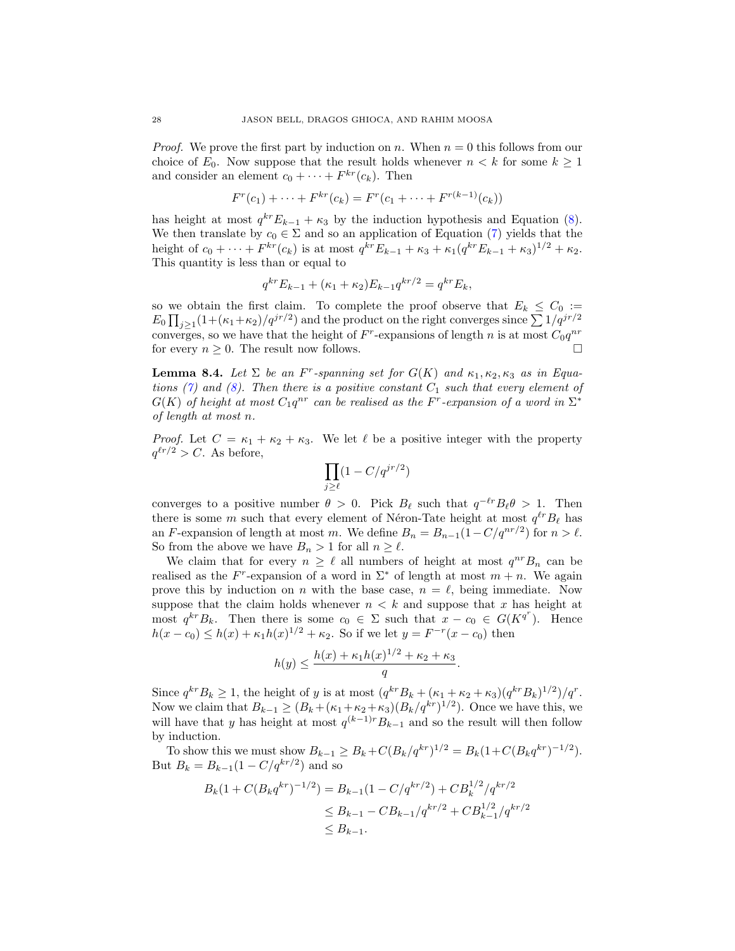*Proof.* We prove the first part by induction on n. When  $n = 0$  this follows from our choice of  $E_0$ . Now suppose that the result holds whenever  $n < k$  for some  $k \geq 1$ and consider an element  $c_0 + \cdots + F^{kr}(c_k)$ . Then

$$
F^{r}(c_1) + \cdots + F^{kr}(c_k) = F^{r}(c_1 + \cdots + F^{r(k-1)}(c_k))
$$

has height at most  $q^{kr}E_{k-1} + \kappa_3$  by the induction hypothesis and Equation [\(8\)](#page-26-3). We then translate by  $c_0 \in \Sigma$  and so an application of Equation [\(7\)](#page-26-2) yields that the height of  $c_0 + \cdots + F^{kr}(c_k)$  is at most  $q^{kr}E_{k-1} + \kappa_3 + \kappa_1(q^{kr}E_{k-1} + \kappa_3)^{1/2} + \kappa_2$ . This quantity is less than or equal to

$$
q^{kr}E_{k-1} + (\kappa_1 + \kappa_2)E_{k-1}q^{kr/2} = q^{kr}E_k,
$$

so we obtain the first claim. To complete the proof observe that  $E_k \leq C_0 :=$  $E_0 \prod_{j\geq 1} (1 + (\kappa_1 + \kappa_2)/q^{jr/2})$  and the product on the right converges since  $\sum 1/q^{jr/2}$ converges, so we have that the height of  $F^r$ -expansions of length n is at most  $C_0q^{nr}$ for every  $n \geq 0$ . The result now follows.

<span id="page-27-0"></span>**Lemma 8.4.** Let  $\Sigma$  be an F<sup>r</sup>-spanning set for  $G(K)$  and  $\kappa_1, \kappa_2, \kappa_3$  as in Equa-tions [\(7\)](#page-26-2) and [\(8\)](#page-26-3). Then there is a positive constant  $C_1$  such that every element of  $G(K)$  of height at most  $C_1 q^{nr}$  can be realised as the F<sup>r</sup>-expansion of a word in  $\Sigma^*$ of length at most n.

*Proof.* Let  $C = \kappa_1 + \kappa_2 + \kappa_3$ . We let  $\ell$  be a positive integer with the property  $q^{\ell r/2} > C$ . As before,

$$
\prod_{j\geq \ell} (1-C/q^{jr/2})
$$

converges to a positive number  $\theta > 0$ . Pick  $B_\ell$  such that  $q^{-\ell r}B_\ell\theta > 1$ . Then there is some m such that every element of Néron-Tate height at most  $q^{\ell r}B_{\ell}$  has an F-expansion of length at most m. We define  $B_n = B_{n-1}(1 - C/q^{nr/2})$  for  $n > \ell$ . So from the above we have  $B_n > 1$  for all  $n \ge \ell$ .

We claim that for every  $n \geq \ell$  all numbers of height at most  $q^{nr}B_n$  can be realised as the  $F^r$ -expansion of a word in  $\Sigma^*$  of length at most  $m + n$ . We again prove this by induction on n with the base case,  $n = \ell$ , being immediate. Now suppose that the claim holds whenever  $n < k$  and suppose that x has height at most  $q^{kr}B_k$ . Then there is some  $c_0 \in \Sigma$  such that  $x - c_0 \in G(K^{q^r})$ . Hence  $h(x - c_0) \leq h(x) + \kappa_1 h(x)^{1/2} + \kappa_2$ . So if we let  $y = F^{-r}(x - c_0)$  then

$$
h(y) \le \frac{h(x) + \kappa_1 h(x)^{1/2} + \kappa_2 + \kappa_3}{q}.
$$

Since  $q^{kr}B_k \ge 1$ , the height of y is at most  $(q^{kr}B_k + (\kappa_1 + \kappa_2 + \kappa_3)(q^{kr}B_k)^{1/2})/q^r$ . Now we claim that  $B_{k-1} \geq (B_k + (\kappa_1 + \kappa_2 + \kappa_3)(B_k/q^{kr})^{1/2})$ . Once we have this, we will have that y has height at most  $q^{(k-1)r}B_{k-1}$  and so the result will then follow by induction.

To show this we must show  $B_{k-1} \ge B_k + C(B_k/q^{kr})^{1/2} = B_k(1 + C(B_k q^{kr})^{-1/2}).$ But  $B_k = B_{k-1}(1 - C/q^{kr/2})$  and so

$$
B_k(1 + C(B_k q^{kr})^{-1/2}) = B_{k-1}(1 - C/q^{kr/2}) + CB_k^{1/2}/q^{kr/2}
$$
  
\n
$$
\leq B_{k-1} - CB_{k-1}/q^{kr/2} + CB_{k-1}^{1/2}/q^{kr/2}
$$
  
\n
$$
\leq B_{k-1}.
$$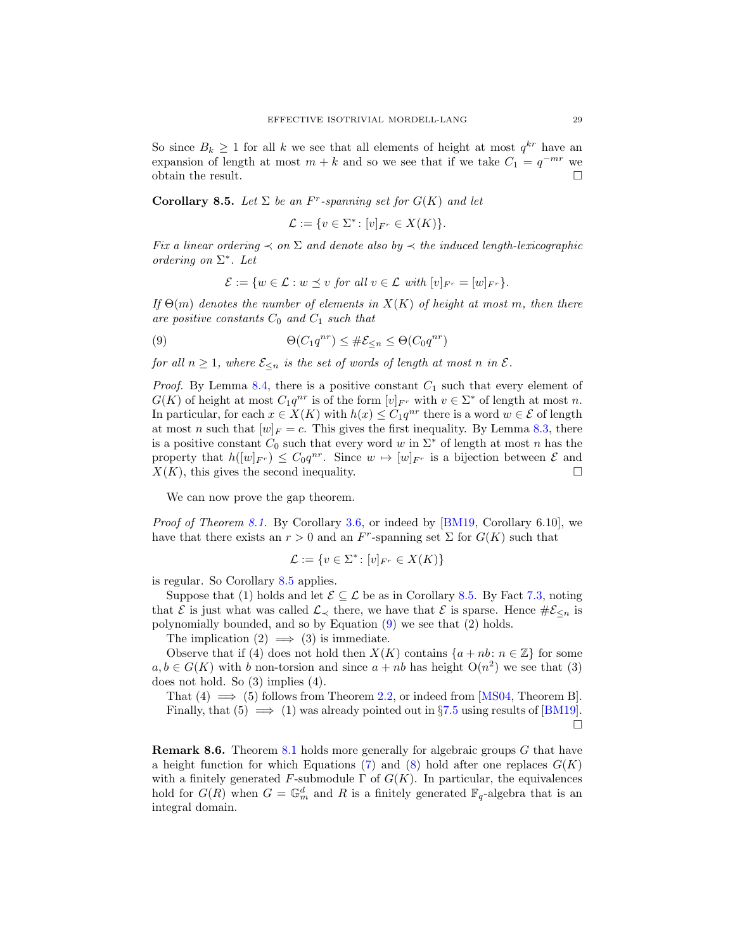So since  $B_k \geq 1$  for all k we see that all elements of height at most  $q^{kr}$  have an expansion of length at most  $m + k$  and so we see that if we take  $C_1 = q^{-mr}$  we obtain the result.  $\Box$ 

<span id="page-28-0"></span>Corollary 8.5. Let  $\Sigma$  be an F<sup>r</sup>-spanning set for  $G(K)$  and let

$$
\mathcal{L} := \{ v \in \Sigma^* \colon [v]_{F^r} \in X(K) \}.
$$

Fix a linear ordering  $\prec$  on  $\Sigma$  and denote also by  $\prec$  the induced length-lexicographic ordering on  $\Sigma^*$ . Let

<span id="page-28-1"></span>
$$
\mathcal{E} := \{ w \in \mathcal{L} : w \preceq v \text{ for all } v \in \mathcal{L} \text{ with } [v]_{F^r} = [w]_{F^r} \}.
$$

If  $\Theta(m)$  denotes the number of elements in  $X(K)$  of height at most m, then there are positive constants  $C_0$  and  $C_1$  such that

(9) 
$$
\Theta(C_1 q^{nr}) \leq \#\mathcal{E}_{\leq n} \leq \Theta(C_0 q^{nr})
$$

for all  $n \geq 1$ , where  $\mathcal{E}_{\leq n}$  is the set of words of length at most n in  $\mathcal{E}$ .

*Proof.* By Lemma [8.4,](#page-27-0) there is a positive constant  $C_1$  such that every element of  $G(K)$  of height at most  $C_1 q^{nr}$  is of the form  $[v]_{F^r}$  with  $v \in \Sigma^*$  of length at most n. In particular, for each  $x \in X(K)$  with  $h(x) \leq C_1 q^{nr}$  there is a word  $w \in \mathcal{E}$  of length at most n such that  $[w]_F = c$ . This gives the first inequality. By Lemma [8.3,](#page-26-4) there is a positive constant  $C_0$  such that every word w in  $\Sigma^*$  of length at most n has the property that  $h([w]_{F}) \leq C_0 q^{nr}$ . Since  $w \mapsto [w]_{F}$  is a bijection between  $\mathcal E$  and  $X(K)$ , this gives the second inequality.

We can now prove the gap theorem.

*Proof of Theorem [8.1.](#page-26-1)* By Corollary [3.6,](#page-7-1) or indeed by [\[BM19,](#page-40-14) Corollary 6.10], we have that there exists an  $r > 0$  and an  $F<sup>r</sup>$ -spanning set  $\Sigma$  for  $G(K)$  such that

$$
\mathcal{L} := \{ v \in \Sigma^* \colon [v]_{F^r} \in X(K) \}
$$

is regular. So Corollary [8.5](#page-28-0) applies.

Suppose that (1) holds and let  $\mathcal{E} \subseteq \mathcal{L}$  be as in Corollary [8.5.](#page-28-0) By Fact [7.3,](#page-25-2) noting that  $\mathcal E$  is just what was called  $\mathcal L_{\prec}$  there, we have that  $\mathcal E$  is sparse. Hence  $\#\mathcal E_{\leq n}$  is polynomially bounded, and so by Equation [\(9\)](#page-28-1) we see that (2) holds.

The implication  $(2) \implies (3)$  is immediate.

Observe that if (4) does not hold then  $X(K)$  contains  $\{a + nb : n \in \mathbb{Z}\}\)$  for some  $a, b \in G(K)$  with b non-torsion and since  $a + nb$  has height  $O(n^2)$  we see that (3) does not hold. So (3) implies (4).

That  $(4) \implies (5)$  follows from Theorem [2.2,](#page-5-0) or indeed from [\[MS04,](#page-40-0) Theorem B]. Finally, that  $(5) \implies (1)$  was already pointed out in §[7.5](#page-24-1) using results of [\[BM19\]](#page-40-14). П

Remark 8.6. Theorem [8.1](#page-26-1) holds more generally for algebraic groups G that have a height function for which Equations [\(7\)](#page-26-2) and [\(8\)](#page-26-3) hold after one replaces  $G(K)$ with a finitely generated F-submodule  $\Gamma$  of  $G(K)$ . In particular, the equivalences hold for  $G(R)$  when  $G = \mathbb{G}_m^d$  and R is a finitely generated  $\mathbb{F}_q$ -algebra that is an integral domain.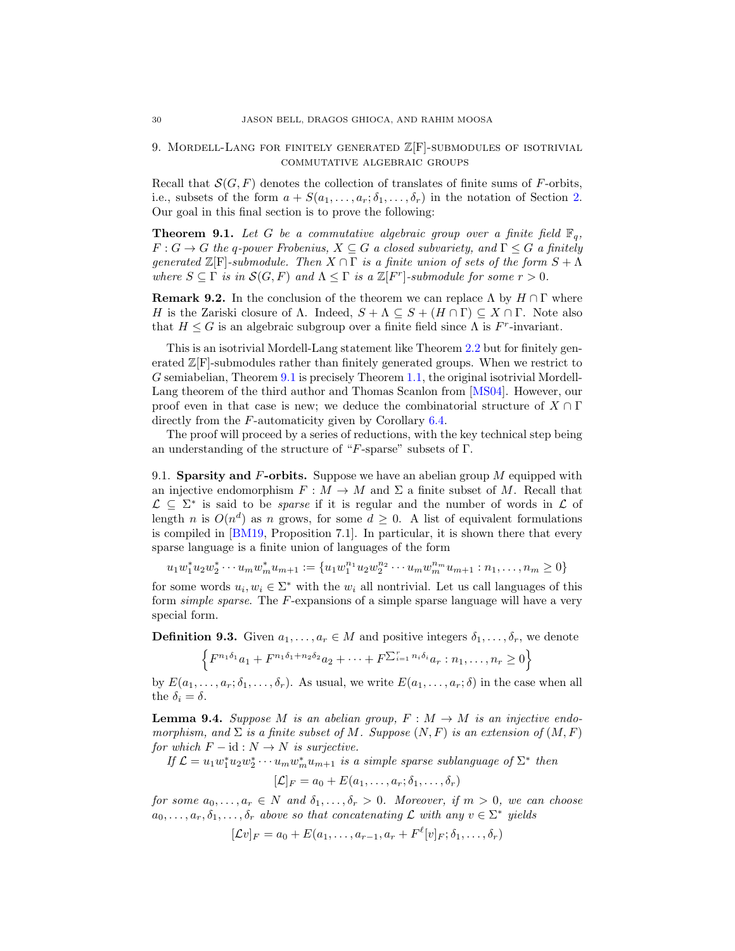## <span id="page-29-0"></span>9. MORDELL-LANG FOR FINITELY GENERATED  $\mathbb{Z}[F]$ -SUBMODULES OF ISOTRIVIAL commutative algebraic groups

Recall that  $\mathcal{S}(G, F)$  denotes the collection of translates of finite sums of F-orbits, i.e., subsets of the form  $a + S(a_1, \ldots, a_r; \delta_1, \ldots, \delta_r)$  in the notation of Section [2.](#page-4-0) Our goal in this final section is to prove the following:

<span id="page-29-1"></span>**Theorem 9.1.** Let G be a commutative algebraic group over a finite field  $\mathbb{F}_q$ ,  $F: G \to G$  the q-power Frobenius,  $X \subseteq G$  a closed subvariety, and  $\Gamma \leq G$  a finitely generated  $\mathbb{Z}[\mathrm{F}]$ -submodule. Then  $X \cap \Gamma$  is a finite union of sets of the form  $S + \Lambda$ where  $S \subseteq \Gamma$  is in  $\mathcal{S}(G, F)$  and  $\Lambda \leq \Gamma$  is a  $\mathbb{Z}[F^r]$ -submodule for some  $r > 0$ .

**Remark 9.2.** In the conclusion of the theorem we can replace  $\Lambda$  by  $H \cap \Gamma$  where H is the Zariski closure of  $\Lambda$ . Indeed,  $S + \Lambda \subseteq S + (H \cap \Gamma) \subseteq X \cap \Gamma$ . Note also that  $H \leq G$  is an algebraic subgroup over a finite field since  $\Lambda$  is  $F^r$ -invariant.

This is an isotrivial Mordell-Lang statement like Theorem [2.2](#page-5-0) but for finitely generated  $\mathbb{Z}[F]$ -submodules rather than finitely generated groups. When we restrict to G semiabelian, Theorem [9.1](#page-29-1) is precisely Theorem [1.1,](#page-1-1) the original isotrivial Mordell-Lang theorem of the third author and Thomas Scanlon from [\[MS04\]](#page-40-0). However, our proof even in that case is new; we deduce the combinatorial structure of  $X \cap \Gamma$ directly from the F-automaticity given by Corollary [6.4.](#page-21-2)

The proof will proceed by a series of reductions, with the key technical step being an understanding of the structure of "F-sparse" subsets of  $\Gamma$ .

<span id="page-29-2"></span>9.1. Sparsity and  $F$ -orbits. Suppose we have an abelian group  $M$  equipped with an injective endomorphism  $F : M \to M$  and  $\Sigma$  a finite subset of M. Recall that  $\mathcal{L}$  ⊆  $\Sigma^*$  is said to be *sparse* if it is regular and the number of words in  $\mathcal{L}$  of length n is  $O(n^d)$  as n grows, for some  $d \geq 0$ . A list of equivalent formulations is compiled in [\[BM19,](#page-40-14) Proposition 7.1]. In particular, it is shown there that every sparse language is a finite union of languages of the form

 $u_1w_1^*u_2w_2^*\cdots u_mw_m^*u_{m+1} := \{u_1w_1^{n_1}u_2w_2^{n_2}\cdots u_mw_m^{n_m}u_{m+1}:n_1,\ldots,n_m\geq 0\}$ 

for some words  $u_i, w_i \in \Sigma^*$  with the  $w_i$  all nontrivial. Let us call languages of this form simple sparse. The F-expansions of a simple sparse language will have a very special form.

**Definition 9.3.** Given  $a_1, \ldots, a_r \in M$  and positive integers  $\delta_1, \ldots, \delta_r$ , we denote

$$
\left\{F^{n_1\delta_1}a_1 + F^{n_1\delta_1 + n_2\delta_2}a_2 + \dots + F^{\sum_{i=1}^r n_i\delta_i}a_r : n_1, \dots, n_r \ge 0\right\}
$$

by  $E(a_1, \ldots, a_r; \delta_1, \ldots, \delta_r)$ . As usual, we write  $E(a_1, \ldots, a_r; \delta)$  in the case when all the  $\delta_i = \delta$ .

<span id="page-29-3"></span>**Lemma 9.4.** Suppose M is an abelian group,  $F : M \to M$  is an injective endomorphism, and  $\Sigma$  is a finite subset of M. Suppose  $(N, F)$  is an extension of  $(M, F)$ for which  $F - id : N \to N$  is surjective.

If  $\mathcal{L} = u_1 w_1^* u_2 w_2^* \cdots u_m w_m^* u_{m+1}$  is a simple sparse sublanguage of  $\Sigma^*$  then

$$
[\mathcal{L}]_F = a_0 + E(a_1, \dots, a_r; \delta_1, \dots, \delta_r)
$$

for some  $a_0, \ldots, a_r \in N$  and  $\delta_1, \ldots, \delta_r > 0$ . Moreover, if  $m > 0$ , we can choose  $a_0, \ldots, a_r, \delta_1, \ldots, \delta_r$  above so that concatenating  $\mathcal L$  with any  $v \in \Sigma^*$  yields

$$
[\mathcal{L}v]_F = a_0 + E(a_1, \dots, a_{r-1}, a_r + F^{\ell}[v]_F; \delta_1, \dots, \delta_r)
$$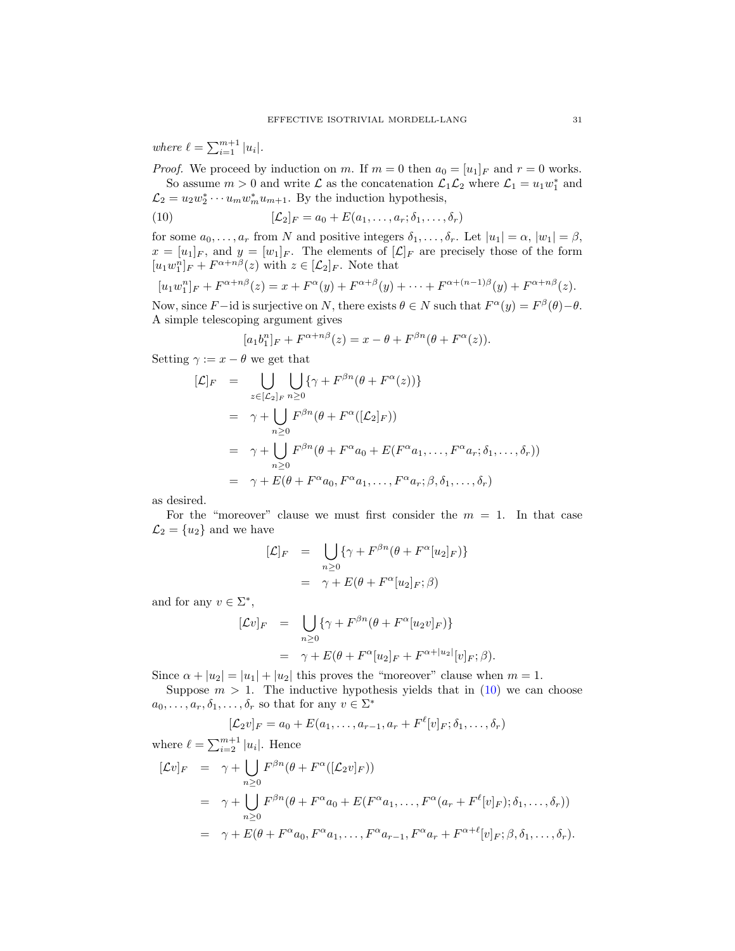where  $\ell = \sum_{i=1}^{m+1} |u_i|$ .

*Proof.* We proceed by induction on m. If  $m = 0$  then  $a_0 = [u_1]_F$  and  $r = 0$  works. So assume  $m > 0$  and write  $\mathcal L$  as the concatenation  $\mathcal L_1 \mathcal L_2$  where  $\mathcal L_1 = u_1 w_1^*$  and  $\mathcal{L}_2 = u_2 w_2^* \cdots u_m w_m^* u_{m+1}$ . By the induction hypothesis,

<span id="page-30-0"></span>(10) 
$$
[\mathcal{L}_2]_F = a_0 + E(a_1, \dots, a_r; \delta_1, \dots, \delta_r)
$$

for some  $a_0, \ldots, a_r$  from N and positive integers  $\delta_1, \ldots, \delta_r$ . Let  $|u_1| = \alpha, |w_1| = \beta$ ,  $x = [u_1]_F$ , and  $y = [w_1]_F$ . The elements of  $[\mathcal{L}]_F$  are precisely those of the form  $[u_1w_1^n]_F + F^{\alpha+n\beta}(z)$  with  $z \in [\mathcal{L}_2]_F$ . Note that

$$
[u_1 w_1^n]_F + F^{\alpha + n\beta}(z) = x + F^{\alpha}(y) + F^{\alpha + \beta}(y) + \dots + F^{\alpha + (n-1)\beta}(y) + F^{\alpha + n\beta}(z).
$$

Now, since F – id is surjective on N, there exists  $\theta \in N$  such that  $F^{\alpha}(y) = F^{\beta}(\theta) - \theta$ . A simple telescoping argument gives

$$
[a_1b_1^n]_F + F^{\alpha+n\beta}(z) = x - \theta + F^{\beta n}(\theta + F^{\alpha}(z)).
$$

Setting  $\gamma := x - \theta$  we get that

$$
[\mathcal{L}]_F = \bigcup_{z \in [\mathcal{L}_2]_F} \bigcup_{n \ge 0} \{ \gamma + F^{\beta n}(\theta + F^{\alpha}(z)) \}
$$
  
\n
$$
= \gamma + \bigcup_{n \ge 0} F^{\beta n}(\theta + F^{\alpha}([\mathcal{L}_2]_F))
$$
  
\n
$$
= \gamma + \bigcup_{n \ge 0} F^{\beta n}(\theta + F^{\alpha}a_0 + E(F^{\alpha}a_1, \dots, F^{\alpha}a_r; \delta_1, \dots, \delta_r))
$$
  
\n
$$
= \gamma + E(\theta + F^{\alpha}a_0, F^{\alpha}a_1, \dots, F^{\alpha}a_r; \beta, \delta_1, \dots, \delta_r)
$$

as desired.

For the "moreover" clause we must first consider the  $m = 1$ . In that case  $\mathcal{L}_2 = \{u_2\}$  and we have

$$
[\mathcal{L}]_F = \bigcup_{n \ge 0} \{ \gamma + F^{\beta n} (\theta + F^{\alpha} [u_2]_F) \}
$$
  
=  $\gamma + E(\theta + F^{\alpha} [u_2]_F; \beta)$ 

and for any  $v \in \Sigma^*$ ,

$$
\begin{array}{rcl}\n[\mathcal{L}v]_F & = & \bigcup_{n \geq 0} \{ \gamma + F^{\beta n} (\theta + F^{\alpha} [u_2 v]_F) \} \\
& = & \gamma + E(\theta + F^{\alpha} [u_2]_F + F^{\alpha + |u_2|} [v]_F; \beta).\n\end{array}
$$

Since  $\alpha + |u_2| = |u_1| + |u_2|$  this proves the "moreover" clause when  $m = 1$ .

Suppose  $m > 1$ . The inductive hypothesis yields that in [\(10\)](#page-30-0) we can choose  $a_0, \ldots, a_r, \delta_1, \ldots, \delta_r$  so that for any  $v \in \Sigma^*$ 

$$
[\mathcal{L}_2 v]_F = a_0 + E(a_1, \dots, a_{r-1}, a_r + F^{\ell}[v]_F; \delta_1, \dots, \delta_r)
$$

where 
$$
\ell = \sum_{i=2}^{m+1} |u_i|
$$
. Hence  
\n
$$
[\mathcal{L}v]_F = \gamma + \bigcup_{n\geq 0} F^{\beta n}(\theta + F^{\alpha}([\mathcal{L}_2 v]_F))
$$
\n
$$
= \gamma + \bigcup_{n\geq 0} F^{\beta n}(\theta + F^{\alpha}a_0 + E(F^{\alpha}a_1, \dots, F^{\alpha}(a_r + F^{\ell}[v]_F); \delta_1, \dots, \delta_r))
$$
\n
$$
= \gamma + E(\theta + F^{\alpha}a_0, F^{\alpha}a_1, \dots, F^{\alpha}a_{r-1}, F^{\alpha}a_r + F^{\alpha+\ell}[v]_F; \beta, \delta_1, \dots, \delta_r).
$$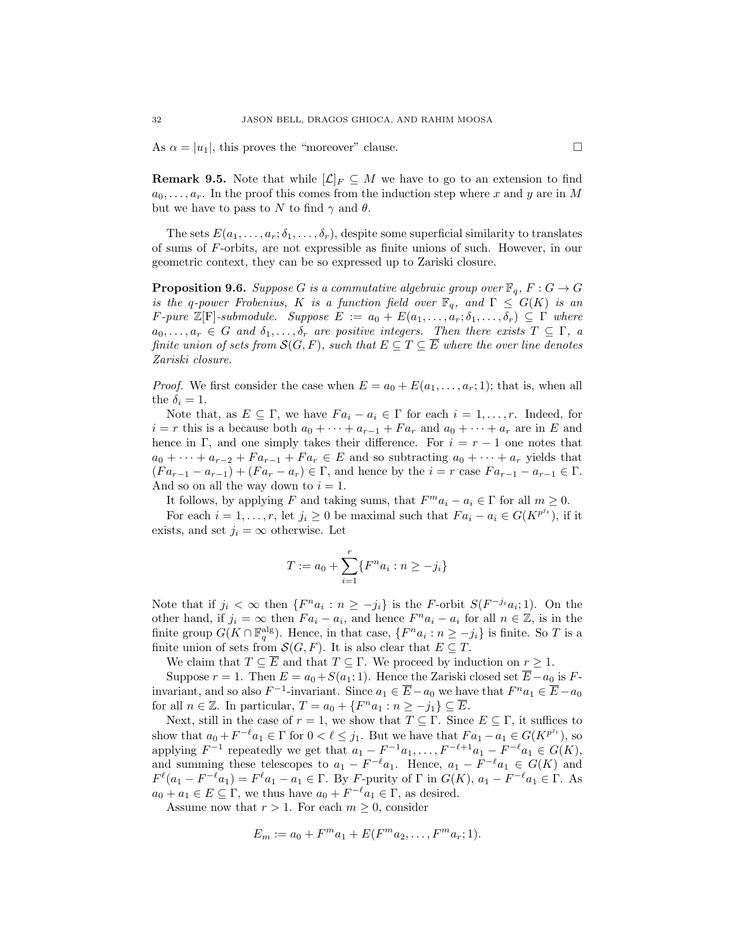As  $\alpha = |u_1|$ , this proves the "moreover" clause.

**Remark 9.5.** Note that while  $[\mathcal{L}]_F \subseteq M$  we have to go to an extension to find  $a_0, \ldots, a_r$ . In the proof this comes from the induction step where x and y are in M but we have to pass to N to find  $\gamma$  and  $\theta$ .

The sets  $E(a_1, \ldots, a_r; \delta_1, \ldots, \delta_r)$ , despite some superficial similarity to translates of sums of F-orbits, are not expressible as finite unions of such. However, in our geometric context, they can be so expressed up to Zariski closure.

<span id="page-31-0"></span>**Proposition 9.6.** Suppose G is a commutative algebraic group over  $\mathbb{F}_q$ ,  $F: G \to G$ is the q-power Frobenius, K is a function field over  $\mathbb{F}_q$ , and  $\Gamma \leq G(K)$  is an F-pure  $\mathbb{Z}[F]$ -submodule. Suppose  $E := a_0 + E(a_1, \ldots, a_r; \delta_1, \ldots, \delta_r) \subseteq \Gamma$  where  $a_0, \ldots, a_r \in G$  and  $\delta_1, \ldots, \delta_r$  are positive integers. Then there exists  $T \subseteq \Gamma$ , a finite union of sets from  $\mathcal{S}(G, F)$ , such that  $E \subseteq T \subseteq \overline{E}$  where the over line denotes Zariski closure.

*Proof.* We first consider the case when  $E = a_0 + E(a_1, \ldots, a_r; 1)$ ; that is, when all the  $\delta_i = 1$ .

Note that, as  $E \subseteq \Gamma$ , we have  $Fa_i - a_i \in \Gamma$  for each  $i = 1, ..., r$ . Indeed, for  $i = r$  this is a because both  $a_0 + \cdots + a_{r-1} + Fa_r$  and  $a_0 + \cdots + a_r$  are in E and hence in Γ, and one simply takes their difference. For  $i = r - 1$  one notes that  $a_0 + \cdots + a_{r-2} + Fa_{r-1} + Fa_r \in E$  and so subtracting  $a_0 + \cdots + a_r$  yields that  $(Fa_{r-1} - a_{r-1}) + (Fa_r - a_r) \in \Gamma$ , and hence by the  $i = r$  case  $Fa_{r-1} - a_{r-1} \in \Gamma$ . And so on all the way down to  $i = 1$ .

It follows, by applying F and taking sums, that  $F^m a_i - a_i \in \Gamma$  for all  $m \ge 0$ .

For each  $i = 1, ..., r$ , let  $j_i \geq 0$  be maximal such that  $Fa_i - a_i \in G(K^{p^{j_i}})$ , if it exists, and set  $j_i = \infty$  otherwise. Let

$$
T:=a_0+\sum_{i=1}^r \{F^na_i: n\ge -j_i\}
$$

Note that if  $j_i < \infty$  then  $\{F^n a_i : n \geq -j_i\}$  is the F-orbit  $S(F^{-j_i} a_i; 1)$ . On the other hand, if  $j_i = \infty$  then  $Fa_i - a_i$ , and hence  $F^n a_i - a_i$  for all  $n \in \mathbb{Z}$ , is in the finite group  $G(K \cap \mathbb{F}_q^{\text{alg}})$ . Hence, in that case,  $\{F^n a_i : n \geq -j_i\}$  is finite. So T is a finite union of sets from  $\mathcal{S}(G, F)$ . It is also clear that  $E \subseteq T$ .

We claim that  $T \subseteq \overline{E}$  and that  $T \subseteq \Gamma$ . We proceed by induction on  $r \geq 1$ .

Suppose  $r = 1$ . Then  $E = a_0 + S(a_1; 1)$ . Hence the Zariski closed set  $\overline{E} - a_0$  is Finvariant, and so also  $F^{-1}$ -invariant. Since  $a_1 \in \overline{E} - a_0$  we have that  $F^n a_1 \in \overline{E} - a_0$ for all  $n \in \mathbb{Z}$ . In particular,  $T = a_0 + \{F^n a_1 : n \ge -j_1\} \subseteq \overline{E}$ .

Next, still in the case of  $r = 1$ , we show that  $T \subseteq \Gamma$ . Since  $E \subseteq \Gamma$ , it suffices to show that  $a_0 + F^{-\ell} a_1 \in \Gamma$  for  $0 < \ell \leq j_1$ . But we have that  $Fa_1 - a_1 \in G(K^{p^{j_i}})$ , so applying  $F^{-1}$  repeatedly we get that  $a_1 - F^{-1}a_1, \ldots, F^{-\ell+1}a_1 - F^{-\ell}a_1 \in G(K)$ , and summing these telescopes to  $a_1 - F^{-\ell} a_1$ . Hence,  $a_1 - F^{-\ell} a_1 \in G(K)$  and  $F^{\ell}(a_1 - F^{-\ell}a_1) = F^{\ell}a_1 - a_1 \in \Gamma$ . By F-purity of  $\Gamma$  in  $G(K)$ ,  $a_1 - F^{-\ell}a_1 \in \Gamma$ . As  $a_0 + a_1 \in E \subseteq \Gamma$ , we thus have  $a_0 + F^{-\ell} a_1 \in \Gamma$ , as desired.

Assume now that  $r > 1$ . For each  $m \geq 0$ , consider

$$
E_m := a_0 + F^m a_1 + E(F^m a_2, \dots, F^m a_r; 1).
$$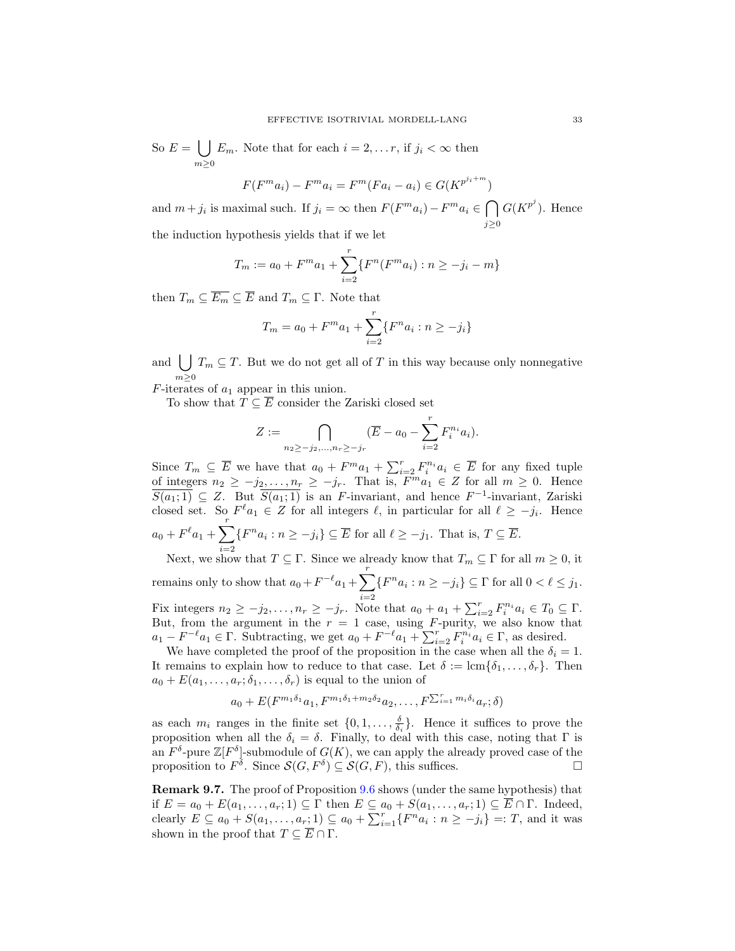So  $E = \left( \int E_m$ . Note that for each  $i = 2, \ldots r$ , if  $j_i < \infty$  then  $m \geq 0$ 

$$
F(F^m a_i) - F^m a_i = F^m(F a_i - a_i) \in G(K^{p^{j_i + m}})
$$

and  $m + j_i$  is maximal such. If  $j_i = \infty$  then  $F(F^m a_i) - F^m a_i \in \bigcap$  $j \geq 0$  $G(K^{p^j})$ . Hence

the induction hypothesis yields that if we let

$$
T_m := a_0 + F^m a_1 + \sum_{i=2}^r \{ F^n(F^m a_i) : n \ge -j_i - m \}
$$

then  $T_m \subseteq \overline{E_m} \subseteq \overline{E}$  and  $T_m \subseteq \Gamma$ . Note that

$$
T_m = a_0 + F^m a_1 + \sum_{i=2}^r \{F^n a_i : n \ge -j_i\}
$$

and  $| \ \rangle$  $m \geq 0$  $T_m \subseteq T$ . But we do not get all of T in this way because only nonnegative

 $F$ -iterates of  $a_1$  appear in this union.

To show that  $T \subseteq \overline{E}$  consider the Zariski closed set

$$
Z := \bigcap_{n_2 \ge -j_2, ..., n_r \ge -j_r} (\overline{E} - a_0 - \sum_{i=2}^r F_i^{n_i} a_i).
$$

Since  $T_m \subseteq \overline{E}$  we have that  $a_0 + F^m a_1 + \sum_{i=2}^r F_i^{n_i} a_i \in \overline{E}$  for any fixed tuple of integers  $n_2 \geq -j_2, \ldots, n_r \geq -j_r$ . That is,  $F^{m}a_1 \in \mathbb{Z}$  for all  $m \geq 0$ . Hence  $\overline{S(a_1;1)} \subseteq Z$ . But  $\overline{S(a_1;1)}$  is an F-invariant, and hence  $F^{-1}$ -invariant, Zariski closed set. So  $F^{\ell} a_1 \in Z$  for all integers  $\ell$ , in particular for all  $\ell \geq -j_i$ . Hence  $a_0 + F^{\ell} a_1 + \sum^{r}$  $i=2$  $\{F^n a_i : n \geq -j_i\} \subseteq \overline{E}$  for all  $\ell \geq -j_1$ . That is,  $T \subseteq \overline{E}$ . Next, we show that  $T \subseteq \Gamma$ . Since we already know that  $T_m \subseteq \Gamma$  for all  $m \geq 0$ , it

remains only to show that  $a_0 + F^{-\ell} a_1 + \sum^r$  $i=2$  $\{F^n a_i : n \ge -j_i\} \subseteq \Gamma$  for all  $0 < \ell \le j_1$ . Fix integers  $n_2 \geq -j_2, \ldots, n_r \geq -j_r$ . Note that  $a_0 + a_1 + \sum_{i=2}^r F_i^{n_i} a_i \in T_0 \subseteq \Gamma$ .

But, from the argument in the  $r = 1$  case, using F-purity, we also know that  $a_1 - F^{-\ell} a_1 \in \Gamma$ . Subtracting, we get  $a_0 + F^{-\ell} a_1 + \sum_{i=2}^r F_i^{n_i} a_i \in \Gamma$ , as desired.

We have completed the proof of the proposition in the case when all the  $\delta_i = 1$ . It remains to explain how to reduce to that case. Let  $\delta := \text{lcm}\{\delta_1, \ldots, \delta_r\}$ . Then  $a_0 + E(a_1, \ldots, a_r; \delta_1, \ldots, \delta_r)$  is equal to the union of

$$
a_0 + E(F^{m_1\delta_1}a_1, F^{m_1\delta_1 + m_2\delta_2}a_2, \ldots, F^{\sum_{i=1}^r m_i\delta_i}a_r; \delta)
$$

as each  $m_i$  ranges in the finite set  $\{0, 1, \ldots, \frac{\delta}{\delta_i}\}\$ . Hence it suffices to prove the proposition when all the  $\delta_i = \delta$ . Finally, to deal with this case, noting that  $\Gamma$  is an  $F^{\delta}$ -pure  $\mathbb{Z}[F^{\delta}]$ -submodule of  $G(K)$ , we can apply the already proved case of the proposition to  $F^{\delta}$ . Since  $\mathcal{S}(G, F^{\delta}) \subseteq \mathcal{S}(G, F)$ , this suffices.

<span id="page-32-0"></span>Remark 9.7. The proof of Proposition [9.6](#page-31-0) shows (under the same hypothesis) that if  $E = a_0 + E(a_1, \ldots, a_r; 1) \subseteq \Gamma$  then  $E \subseteq a_0 + S(a_1, \ldots, a_r; 1) \subseteq \overline{E} \cap \Gamma$ . Indeed, clearly  $E \subseteq a_0 + S(a_1, \ldots, a_r; 1) \subseteq a_0 + \sum_{i=1}^r \{F^n a_i : n \ge -j_i\} =: T$ , and it was shown in the proof that  $T \subseteq \overline{E} \cap \Gamma$ .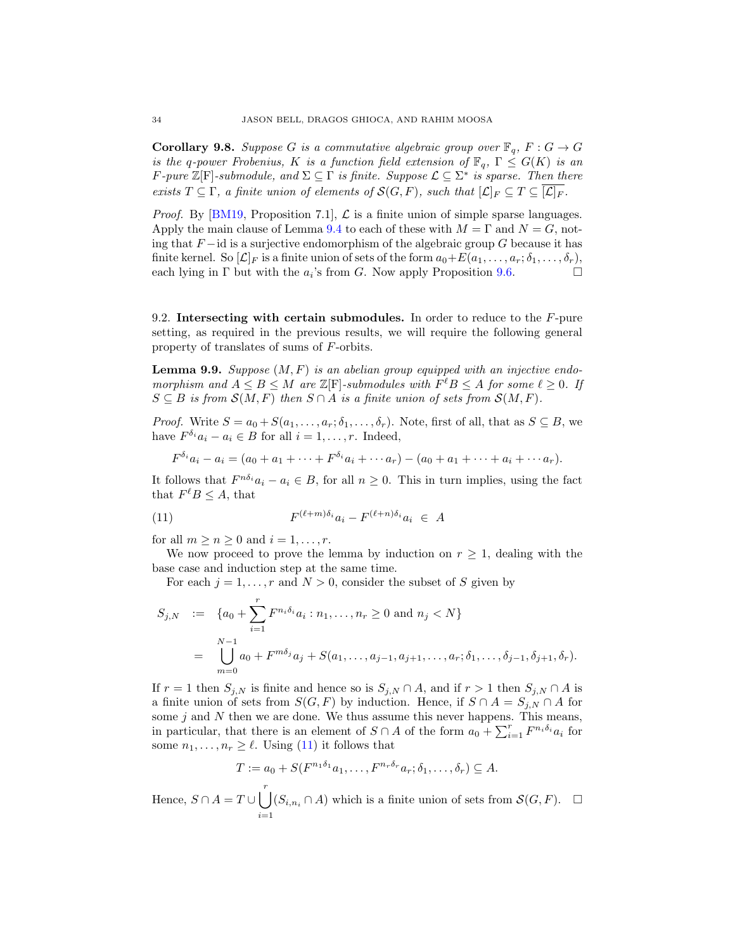<span id="page-33-2"></span>**Corollary 9.8.** Suppose G is a commutative algebraic group over  $\mathbb{F}_q$ ,  $F: G \to G$ is the q-power Frobenius, K is a function field extension of  $\mathbb{F}_q$ ,  $\Gamma \leq G(K)$  is an F-pure  $\mathbb{Z}[\mathrm{F}]$ -submodule, and  $\Sigma \subseteq \Gamma$  is finite. Suppose  $\mathcal{L} \subseteq \Sigma^*$  is sparse. Then there exists  $T \subseteq \Gamma$ , a finite union of elements of  $\mathcal{S}(G, F)$ , such that  $[\mathcal{L}]_F \subseteq T \subseteq \overline{[\mathcal{L}]_F}$ .

*Proof.* By [\[BM19,](#page-40-14) Proposition 7.1],  $\mathcal{L}$  is a finite union of simple sparse languages. Apply the main clause of Lemma [9.4](#page-29-3) to each of these with  $M = \Gamma$  and  $N = G$ , noting that  $F - id$  is a surjective endomorphism of the algebraic group G because it has finite kernel. So  $[\mathcal{L}]_F$  is a finite union of sets of the form  $a_0+E(a_1,\ldots,a_r;\delta_1,\ldots,\delta_r)$ , each lying in  $\Gamma$  but with the  $a_i$ 's from G. Now apply Proposition [9.6.](#page-31-0)

9.2. Intersecting with certain submodules. In order to reduce to the F-pure setting, as required in the previous results, we will require the following general property of translates of sums of F-orbits.

<span id="page-33-1"></span>**Lemma 9.9.** Suppose  $(M, F)$  is an abelian group equipped with an injective endomorphism and  $A \leq B \leq M$  are  $\mathbb{Z}[F]$ -submodules with  $F^{\ell}B \leq A$  for some  $\ell \geq 0$ . If  $S \subseteq B$  is from  $\mathcal{S}(M, F)$  then  $S \cap A$  is a finite union of sets from  $\mathcal{S}(M, F)$ .

*Proof.* Write  $S = a_0 + S(a_1, \ldots, a_r; \delta_1, \ldots, \delta_r)$ . Note, first of all, that as  $S \subseteq B$ , we have  $F^{\delta_i} a_i - a_i \in B$  for all  $i = 1, \ldots, r$ . Indeed,

<span id="page-33-0"></span>
$$
F^{\delta_i} a_i - a_i = (a_0 + a_1 + \dots + F^{\delta_i} a_i + \dots + a_r) - (a_0 + a_1 + \dots + a_i + \dots + a_r).
$$

It follows that  $F^{n\delta_i}a_i - a_i \in B$ , for all  $n \geq 0$ . This in turn implies, using the fact that  $F^{\ell}B \leq A$ , that

(11) 
$$
F^{(\ell+m)\delta_i}a_i - F^{(\ell+n)\delta_i}a_i \in A
$$

for all  $m \geq n \geq 0$  and  $i = 1, \ldots, r$ .

We now proceed to prove the lemma by induction on  $r \geq 1$ , dealing with the base case and induction step at the same time.

For each  $j = 1, \ldots, r$  and  $N > 0$ , consider the subset of S given by

$$
S_{j,N} := \{a_0 + \sum_{i=1}^r F^{n_i \delta_i} a_i : n_1, \dots, n_r \ge 0 \text{ and } n_j < N\}
$$
  
= 
$$
\bigcup_{m=0}^{N-1} a_0 + F^{m \delta_j} a_j + S(a_1, \dots, a_{j-1}, a_{j+1}, \dots, a_r; \delta_1, \dots, \delta_{j-1}, \delta_{j+1}, \delta_r).
$$

If  $r = 1$  then  $S_{j,N}$  is finite and hence so is  $S_{j,N} \cap A$ , and if  $r > 1$  then  $S_{j,N} \cap A$  is a finite union of sets from  $S(G, F)$  by induction. Hence, if  $S \cap A = S_{i,N} \cap A$  for some  $j$  and  $N$  then we are done. We thus assume this never happens. This means, in particular, that there is an element of  $S \cap A$  of the form  $a_0 + \sum_{i=1}^r F^{n_i \delta_i} a_i$  for some  $n_1, \ldots, n_r \geq \ell$ . Using [\(11\)](#page-33-0) it follows that

$$
T := a_0 + S(F^{n_1 \delta_1} a_1, \dots, F^{n_r \delta_r} a_r; \delta_1, \dots, \delta_r) \subseteq A.
$$

Hence,  $S \cap A = T \cup \begin{bmatrix} r \\ r \end{bmatrix}$  $i=1$  $(S_{i,n_i} \cap A)$  which is a finite union of sets from  $\mathcal{S}(G, F)$ .  $\Box$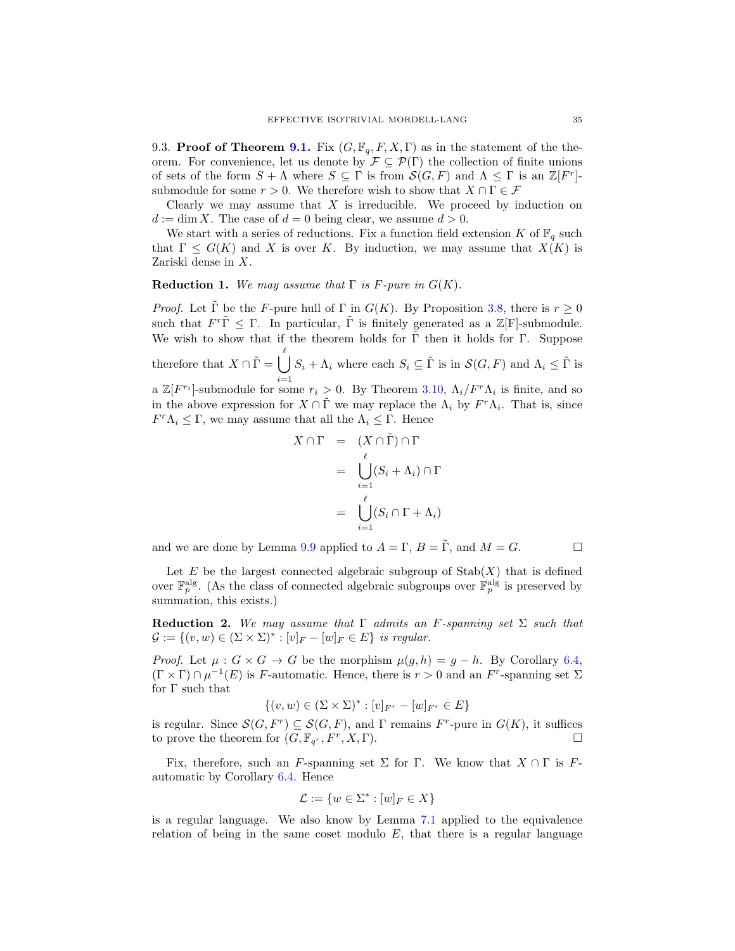9.3. Proof of Theorem [9.1.](#page-29-1) Fix  $(G, \mathbb{F}_q, F, X, \Gamma)$  as in the statement of the theorem. For convenience, let us denote by  $\mathcal{F} \subseteq \mathcal{P}(\Gamma)$  the collection of finite unions of sets of the form  $S + \Lambda$  where  $S \subseteq \Gamma$  is from  $\mathcal{S}(G, F)$  and  $\Lambda \leq \Gamma$  is an  $\mathbb{Z}[F^r]$ submodule for some  $r > 0$ . We therefore wish to show that  $X \cap \Gamma \in \mathcal{F}$ 

Clearly we may assume that  $X$  is irreducible. We proceed by induction on  $d := \dim X$ . The case of  $d = 0$  being clear, we assume  $d > 0$ .

We start with a series of reductions. Fix a function field extension K of  $\mathbb{F}_q$  such that  $\Gamma \leq G(K)$  and X is over K. By induction, we may assume that  $X(K)$  is Zariski dense in X.

#### <span id="page-34-0"></span>**Reduction 1.** We may assume that  $\Gamma$  is F-pure in  $G(K)$ .

*Proof.* Let  $\tilde{\Gamma}$  be the *F*-pure hull of  $\Gamma$  in  $G(K)$ . By Proposition [3.8,](#page-8-0) there is  $r \geq 0$ such that  $F^r\tilde{\Gamma} \leq \Gamma$ . In particular,  $\tilde{\Gamma}$  is finitely generated as a  $\mathbb{Z}[\mathrm{F}]$ -submodule. We wish to show that if the theorem holds for  $\Gamma$  then it holds for  $\Gamma$ . Suppose therefore that  $X \cap \tilde{\Gamma} = \bigcup_{i=1}^{\ell} S_i + \Lambda_i$  where each  $S_i \subseteq \tilde{\Gamma}$  is in  $\mathcal{S}(G, F)$  and  $\Lambda_i \leq \tilde{\Gamma}$  is a  $\mathbb{Z}[F^{r_i}]$ -submodule for some  $r_i > 0$ . By Theorem [3.10,](#page-10-0)  $\Lambda_i/F^r\Lambda_i$  is finite, and so in the above expression for  $X \cap \tilde{\Gamma}$  we may replace the  $\Lambda_i$  by  $F^r \Lambda_i$ . That is, since  $F^r \Lambda_i \leq \Gamma$ , we may assume that all the  $\Lambda_i \leq \Gamma$ . Hence

$$
X \cap \Gamma = (X \cap \tilde{\Gamma}) \cap \Gamma
$$
  
= 
$$
\bigcup_{i=1}^{\ell} (S_i + \Lambda_i) \cap \Gamma
$$
  
= 
$$
\bigcup_{i=1}^{\ell} (S_i \cap \Gamma + \Lambda_i)
$$

and we are done by Lemma [9.9](#page-33-1) applied to  $A = \Gamma$ ,  $B = \tilde{\Gamma}$ , and  $M = G$ .

Let  $E$  be the largest connected algebraic subgroup of  $\text{Stab}(X)$  that is defined over  $\mathbb{F}_p^{\text{alg}}$ . (As the class of connected algebraic subgroups over  $\mathbb{F}_p^{\text{alg}}$  is preserved by summation, this exists.)

Reduction 2. We may assume that  $\Gamma$  admits an F-spanning set  $\Sigma$  such that  $\mathcal{G} := \{(v, w) \in (\Sigma \times \Sigma)^* : [v]_F - [w]_F \in E\}$  is regular.

*Proof.* Let  $\mu: G \times G \to G$  be the morphism  $\mu(g, h) = g - h$ . By Corollary [6.4,](#page-21-2)  $(\Gamma \times \Gamma) \cap \mu^{-1}(E)$  is F-automatic. Hence, there is  $r > 0$  and an F<sup>r</sup>-spanning set  $\Sigma$ for  $\Gamma$  such that

$$
\{(v, w) \in (\Sigma \times \Sigma)^* : [v]_{F^r} - [w]_{F^r} \in E\}
$$

is regular. Since  $\mathcal{S}(G, F^r) \subseteq \mathcal{S}(G, F)$ , and  $\Gamma$  remains  $F^r$ -pure in  $G(K)$ , it suffices to prove the theorem for  $(G, \mathbb{F}_{q^r}, F^r, X, \Gamma)$ .

Fix, therefore, such an F-spanning set  $\Sigma$  for  $\Gamma$ . We know that  $X \cap \Gamma$  is Fautomatic by Corollary [6.4.](#page-21-2) Hence

$$
\mathcal{L} := \{ w \in \Sigma^* : [w]_F \in X \}
$$

is a regular language. We also know by Lemma [7.1](#page-22-0) applied to the equivalence relation of being in the same coset modulo  $E$ , that there is a regular language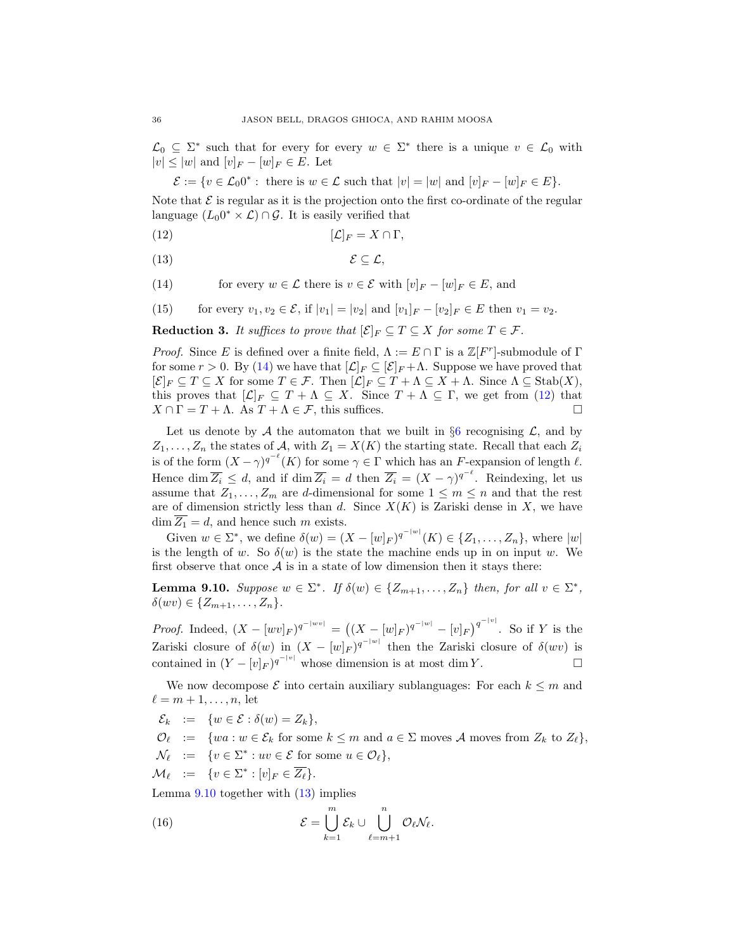$\mathcal{L}_0 \subseteq \Sigma^*$  such that for every for every  $w \in \Sigma^*$  there is a unique  $v \in \mathcal{L}_0$  with  $|v| \leq |w|$  and  $[v]_F - [w]_F \in E$ . Let

<span id="page-35-1"></span> $\mathcal{E} := \{v \in \mathcal{L}_0 0^* : \text{ there is } w \in \mathcal{L} \text{ such that } |v| = |w| \text{ and } [v]_F - [w]_F \in E\}.$ 

Note that  $\mathcal E$  is regular as it is the projection onto the first co-ordinate of the regular language  $(L_0 0^* \times \mathcal{L}) \cap \mathcal{G}$ . It is easily verified that

$$
[{\mathcal L}]_F = X \cap \Gamma,
$$

<span id="page-35-3"></span>
$$
\mathcal{E} \subseteq \mathcal{L},
$$

<span id="page-35-0"></span>(14) for every  $w \in \mathcal{L}$  there is  $v \in \mathcal{E}$  with  $[v]_F - [w]_F \in E$ , and

<span id="page-35-5"></span>(15) for every  $v_1, v_2 \in \mathcal{E}$ , if  $|v_1| = |v_2|$  and  $[v_1]_F - [v_2]_F \in E$  then  $v_1 = v_2$ .

<span id="page-35-6"></span>**Reduction 3.** It suffices to prove that  $[\mathcal{E}]_F \subseteq T \subseteq X$  for some  $T \in \mathcal{F}$ .

*Proof.* Since E is defined over a finite field,  $\Lambda := E \cap \Gamma$  is a  $\mathbb{Z}[F^r]$ -submodule of  $\Gamma$ for some  $r > 0$ . By [\(14\)](#page-35-0) we have that  $[\mathcal{L}]_F \subseteq [\mathcal{E}]_F + \Lambda$ . Suppose we have proved that  $[\mathcal{E}]_F \subseteq T \subseteq X$  for some  $T \in \mathcal{F}$ . Then  $[\mathcal{L}]_F \subseteq T + \Lambda \subseteq X + \Lambda$ . Since  $\Lambda \subseteq \text{Stab}(X)$ , this proves that  $[\mathcal{L}]_F \subseteq T + \Lambda \subseteq X$ . Since  $T + \Lambda \subseteq \Gamma$ , we get from [\(12\)](#page-35-1) that  $X \cap \Gamma = T + \Lambda$ . As  $T + \Lambda \in \mathcal{F}$ , this suffices.

Let us denote by A the automaton that we built in  $\S6$  $\S6$  recognising L, and by  $Z_1, \ldots, Z_n$  the states of A, with  $Z_1 = X(K)$  the starting state. Recall that each  $Z_i$ is of the form  $(X - \gamma)^{q^{-\ell}}(K)$  for some  $\gamma \in \Gamma$  which has an F-expansion of length  $\ell$ . Hence dim  $\overline{Z_i} \leq d$ , and if dim  $\overline{Z_i} = d$  then  $\overline{Z_i} = (X - \gamma)^{q^{-\ell}}$ . Reindexing, let us assume that  $Z_1, \ldots, Z_m$  are d-dimensional for some  $1 \leq m \leq n$  and that the rest are of dimension strictly less than d. Since  $X(K)$  is Zariski dense in X, we have  $\dim \overline{Z_1} = d$ , and hence such m exists.

Given  $w \in \Sigma^*$ , we define  $\delta(w) = (X - [w]_F)^{q^{-|w|}}(K) \in \{Z_1, \ldots, Z_n\}$ , where  $|w|$ is the length of w. So  $\delta(w)$  is the state the machine ends up in on input w. We first observe that once  $A$  is in a state of low dimension then it stays there:

<span id="page-35-2"></span>**Lemma 9.10.** Suppose  $w \in \Sigma^*$ . If  $\delta(w) \in \{Z_{m+1},..., Z_n\}$  then, for all  $v \in \Sigma^*$ ,  $\delta(wv) \in \{Z_{m+1},\ldots,Z_n\}.$ 

*Proof.* Indeed,  $(X - [w v]_F)^{q^{-|w v|}} = ((X - [w]_F)^{q^{-|w|}} - [v]_F)^{q^{-|v|}}$ . So if Y is the Zariski closure of  $\delta(w)$  in  $(X - [w]_F)^{q^{-|w|}}$  then the Zariski closure of  $\delta(wv)$  is contained in  $(Y - [v]_F)^{q^{-|v|}}$  whose dimension is at most dim Y.

We now decompose  $\mathcal E$  into certain auxiliary sublanguages: For each  $k \leq m$  and  $\ell = m + 1, \ldots, n$ , let

- $\mathcal{E}_k := \{w \in \mathcal{E} : \delta(w) = Z_k\},\$
- $\mathcal{O}_{\ell} := \{wa : w \in \mathcal{E}_k \text{ for some } k \leq m \text{ and } a \in \Sigma \text{ moves } \mathcal{A} \text{ moves from } Z_k \text{ to } Z_{\ell} \},\$
- $\mathcal{N}_{\ell}$  := { $v \in \Sigma^* : uv \in \mathcal{E}$  for some  $u \in \mathcal{O}_{\ell}$ },
- $\mathcal{M}_{\ell}$  :=  $\{v \in \Sigma^* : [v]_F \in \overline{Z_{\ell}}\}.$

Lemma  $9.10$  together with  $(13)$  implies

<span id="page-35-4"></span>(16) 
$$
\mathcal{E} = \bigcup_{k=1}^{m} \mathcal{E}_k \cup \bigcup_{\ell=m+1}^{n} \mathcal{O}_{\ell} \mathcal{N}_{\ell}.
$$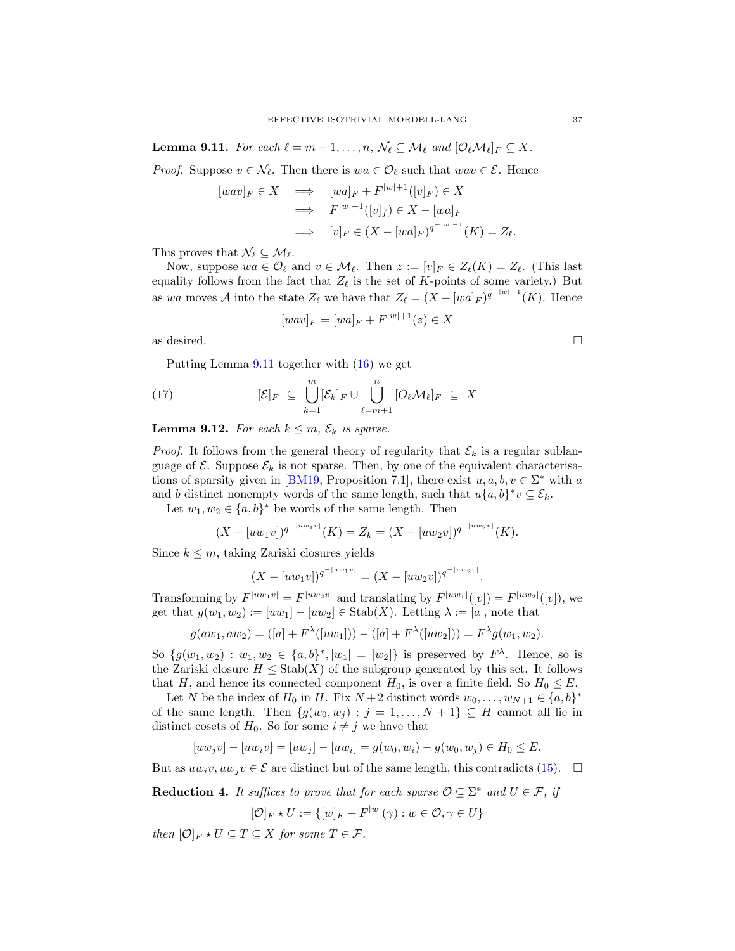<span id="page-36-0"></span>**Lemma 9.11.** For each  $\ell = m + 1, \ldots, n$ ,  $\mathcal{N}_{\ell} \subseteq \mathcal{M}_{\ell}$  and  $[\mathcal{O}_{\ell} \mathcal{M}_{\ell}]_F \subseteq X$ .

*Proof.* Suppose  $v \in \mathcal{N}_{\ell}$ . Then there is  $wa \in \mathcal{O}_{\ell}$  such that  $wav \in \mathcal{E}$ . Hence

$$
[wav]_F \in X \implies [wa]_F + F^{|w|+1}([v]_F) \in X
$$
  

$$
\implies F^{|w|+1}([v]_f) \in X - [wa]_F
$$
  

$$
\implies [v]_F \in (X - [wa]_F)^{q^{-|w|-1}}(K) = Z_\ell.
$$

This proves that  $\mathcal{N}_{\ell} \subseteq \mathcal{M}_{\ell}$ .

Now, suppose  $wa \in \mathcal{O}_\ell$  and  $v \in \mathcal{M}_\ell$ . Then  $z := [v]_F \in \overline{Z_\ell}(K) = Z_\ell$ . (This last equality follows from the fact that  $Z_{\ell}$  is the set of K-points of some variety.) But as wa moves A into the state  $Z_{\ell}$  we have that  $Z_{\ell} = (X - [wa]_F)^{q^{-|w|-1}}(K)$ . Hence

<span id="page-36-2"></span>
$$
[wav]_F = [wa]_F + F^{|w|+1}(z) \in X
$$

as desired.  $\Box$ 

Putting Lemma [9.11](#page-36-0) together with [\(16\)](#page-35-4) we get

(17) 
$$
[\mathcal{E}]_F \subseteq \bigcup_{k=1}^m [\mathcal{E}_k]_F \cup \bigcup_{\ell=m+1}^n [O_{\ell} \mathcal{M}_{\ell}]_F \subseteq X
$$

<span id="page-36-1"></span>**Lemma 9.12.** For each  $k \leq m$ ,  $\mathcal{E}_k$  is sparse.

*Proof.* It follows from the general theory of regularity that  $\mathcal{E}_k$  is a regular sublanguage of  $\mathcal{E}$ . Suppose  $\mathcal{E}_k$  is not sparse. Then, by one of the equivalent characterisa-tions of sparsity given in [\[BM19,](#page-40-14) Proposition 7.1], there exist  $u, a, b, v \in \Sigma^*$  with a and b distinct nonempty words of the same length, such that  $u\{a,b\}^*v \subseteq \mathcal{E}_k$ .

Let  $w_1, w_2 \in \{a, b\}^*$  be words of the same length. Then

$$
(X - [uw_1v])^{q^{-|uw_1v|}}(K) = Z_k = (X - [uw_2v])^{q^{-|uw_2v|}}(K).
$$

Since  $k \leq m$ , taking Zariski closures yields

$$
(X - [uw_1v])^{q^{-|uw_1v|}} = (X - [uw_2v])^{q^{-|uw_2v|}}.
$$

Transforming by  $F^{|uw_1v|} = F^{|uw_2v|}$  and translating by  $F^{|uw_1|}([v]) = F^{|uw_2|}([v])$ , we get that  $g(w_1, w_2) := [uw_1] - [uw_2] \in \text{Stab}(X)$ . Letting  $\lambda := |a|$ , note that

$$
g(aw_1, aw_2) = ([a] + F^{\lambda}([uw_1])) - ([a] + F^{\lambda}([uw_2])) = F^{\lambda}g(w_1, w_2).
$$

So  $\{g(w_1, w_2) : w_1, w_2 \in \{a, b\}^*, |w_1| = |w_2|\}$  is preserved by  $F^{\lambda}$ . Hence, so is the Zariski closure  $H \leq$  Stab $(X)$  of the subgroup generated by this set. It follows that H, and hence its connected component  $H_0$ , is over a finite field. So  $H_0 \leq E$ .

Let N be the index of  $H_0$  in H. Fix  $N+2$  distinct words  $w_0, \ldots, w_{N+1} \in \{a, b\}^*$ of the same length. Then  $\{g(w_0, w_j) : j = 1, ..., N + 1\} \subseteq H$  cannot all lie in distinct cosets of  $H_0$ . So for some  $i \neq j$  we have that

$$
[uw_jv] - [uw_iv] = [uw_j] - [uw_i] = g(w_0, w_i) - g(w_0, w_j) \in H_0 \le E.
$$

But as  $uw_iv, uw_jv \in \mathcal{E}$  are distinct but of the same length, this contradicts [\(15\)](#page-35-5).  $\Box$ 

**Reduction 4.** It suffices to prove that for each sparse  $\mathcal{O} \subseteq \Sigma^*$  and  $U \in \mathcal{F}$ , if

$$
[\mathcal{O}]_F \star U := \{ [w]_F + F^{|w|}(\gamma) : w \in \mathcal{O}, \gamma \in U \}
$$

then  $[O]_F \star U \subseteq T \subseteq X$  for some  $T \in \mathcal{F}$ .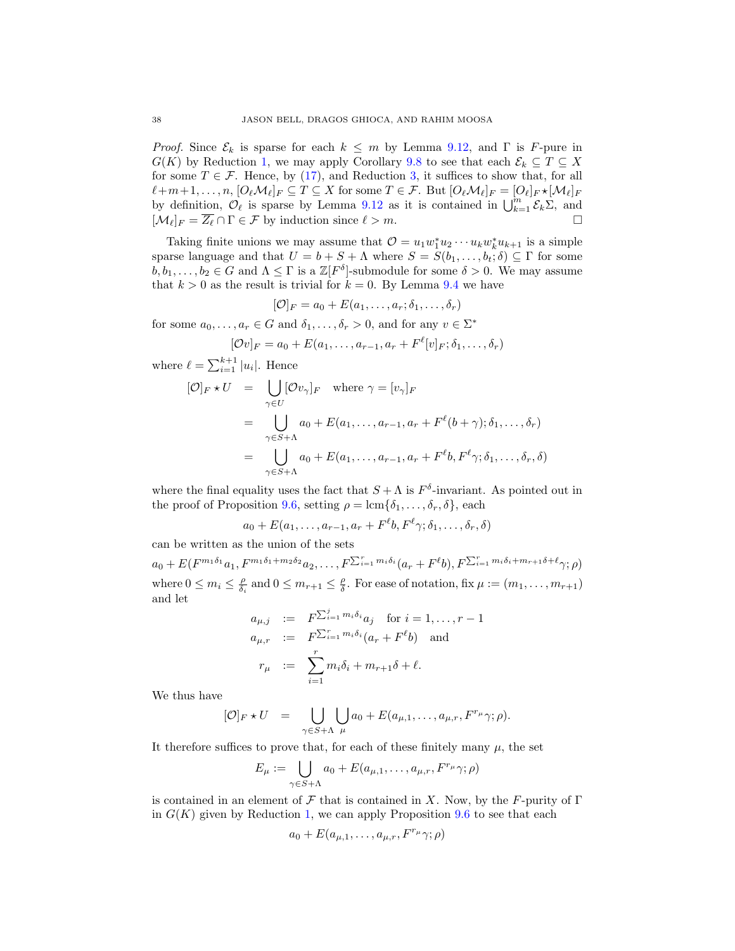*Proof.* Since  $\mathcal{E}_k$  is sparse for each  $k \leq m$  by Lemma [9.12,](#page-36-1) and  $\Gamma$  is F-pure in  $G(K)$  by Reduction [1,](#page-34-0) we may apply Corollary [9.8](#page-33-2) to see that each  $\mathcal{E}_k \subseteq T \subseteq X$ for some  $T \in \mathcal{F}$ . Hence, by [\(17\)](#page-36-2), and Reduction [3,](#page-35-6) it suffices to show that, for all  $\ell+m+1,\ldots, n,$   $[O_{\ell}M_{\ell}]_F\subseteq T\subseteq X$  for some  $T\in\mathcal{F}$ . But  $[O_{\ell}M_{\ell}]_F = [O_{\ell}]_F \star [M_{\ell}]_F$ by definition,  $\mathcal{O}_{\ell}$  is sparse by Lemma [9.12](#page-36-1) as it is contained in  $\bigcup_{k=1}^{m} \mathcal{E}_k \Sigma$ , and  $[\mathcal{M}_{\ell}]_F = \overline{Z_{\ell}} \cap \Gamma \in \mathcal{F}$  by induction since  $\ell > m$ .

Taking finite unions we may assume that  $\mathcal{O} = u_1 w_1^* u_2 \cdots u_k w_k^* u_{k+1}$  is a simple sparse language and that  $U = b + S + \Lambda$  where  $S = S(b_1, \ldots, b_t; \delta) \subseteq \Gamma$  for some  $b, b_1, \ldots, b_2 \in G$  and  $\Lambda \leq \Gamma$  is a  $\mathbb{Z}[F^{\delta}]$ -submodule for some  $\delta > 0$ . We may assume that  $k > 0$  as the result is trivial for  $k = 0$ . By Lemma [9.4](#page-29-3) we have

$$
[\mathcal{O}]_F = a_0 + E(a_1, \dots, a_r; \delta_1, \dots, \delta_r)
$$

for some  $a_0, \ldots, a_r \in G$  and  $\delta_1, \ldots, \delta_r > 0$ , and for any  $v \in \Sigma^*$ 

$$
[\mathcal{O}v]_F = a_0 + E(a_1, \dots, a_{r-1}, a_r + F^{\ell}[v]_F; \delta_1, \dots, \delta_r)
$$

where  $\ell = \sum_{i=1}^{k+1} |u_i|$ . Hence

$$
[\mathcal{O}]_F \star U = \bigcup_{\gamma \in U} [\mathcal{O}v_{\gamma}]_F \quad \text{where } \gamma = [v_{\gamma}]_F
$$
  
= 
$$
\bigcup_{\gamma \in S + \Lambda} a_0 + E(a_1, \dots, a_{r-1}, a_r + F^{\ell}(b + \gamma); \delta_1, \dots, \delta_r)
$$
  
= 
$$
\bigcup_{\gamma \in S + \Lambda} a_0 + E(a_1, \dots, a_{r-1}, a_r + F^{\ell}b, F^{\ell} \gamma; \delta_1, \dots, \delta_r, \delta)
$$

where the final equality uses the fact that  $S + \Lambda$  is  $F^{\delta}$ -invariant. As pointed out in the proof of Proposition [9.6,](#page-31-0) setting  $\rho = \text{lcm}\{\delta_1, \ldots, \delta_r, \delta\}$ , each

 $a_0 + E(a_1, \ldots, a_{r-1}, a_r + F^{\ell}b, F^{\ell} \gamma; \delta_1, \ldots, \delta_r, \delta)$ 

can be written as the union of the sets

 $a_0 + E(F^{m_1\delta_1}a_1, F^{m_1\delta_1+m_2\delta_2}a_2, \ldots, F^{\sum_{i=1}^rm_i\delta_i}(a_r + F^{\ell}b), F^{\sum_{i=1}^rm_i\delta_i+m_{r+1}\delta+\ell}\gamma;\rho)$ where  $0 \leq m_i \leq \frac{\rho}{\delta_i}$  and  $0 \leq m_{r+1} \leq \frac{\rho}{\delta}$ . For ease of notation, fix  $\mu := (m_1, \ldots, m_{r+1})$ and let

$$
a_{\mu,j} := F^{\sum_{i=1}^j m_i \delta_i} a_j \quad \text{for } i = 1, \dots, r-1
$$
  
\n
$$
a_{\mu,r} := F^{\sum_{i=1}^r m_i \delta_i} (a_r + F^{\ell} b) \quad \text{and}
$$
  
\n
$$
r_{\mu} := \sum_{i=1}^r m_i \delta_i + m_{r+1} \delta + \ell.
$$

We thus have

$$
[\mathcal{O}]_F \star U = \bigcup_{\gamma \in S + \Lambda} \bigcup_{\mu} a_0 + E(a_{\mu,1}, \dots, a_{\mu,r}, F^{r_{\mu}} \gamma; \rho).
$$

It therefore suffices to prove that, for each of these finitely many  $\mu$ , the set

$$
E_{\mu} := \bigcup_{\gamma \in S + \Lambda} a_0 + E(a_{\mu,1}, \dots, a_{\mu,r}, F^{r_{\mu}} \gamma; \rho)
$$

is contained in an element of F that is contained in X. Now, by the F-purity of  $\Gamma$ in  $G(K)$  given by Reduction [1,](#page-34-0) we can apply Proposition [9.6](#page-31-0) to see that each

$$
a_0 + E(a_{\mu,1},\ldots,a_{\mu,r},F^{r_{\mu}}\gamma;\rho)
$$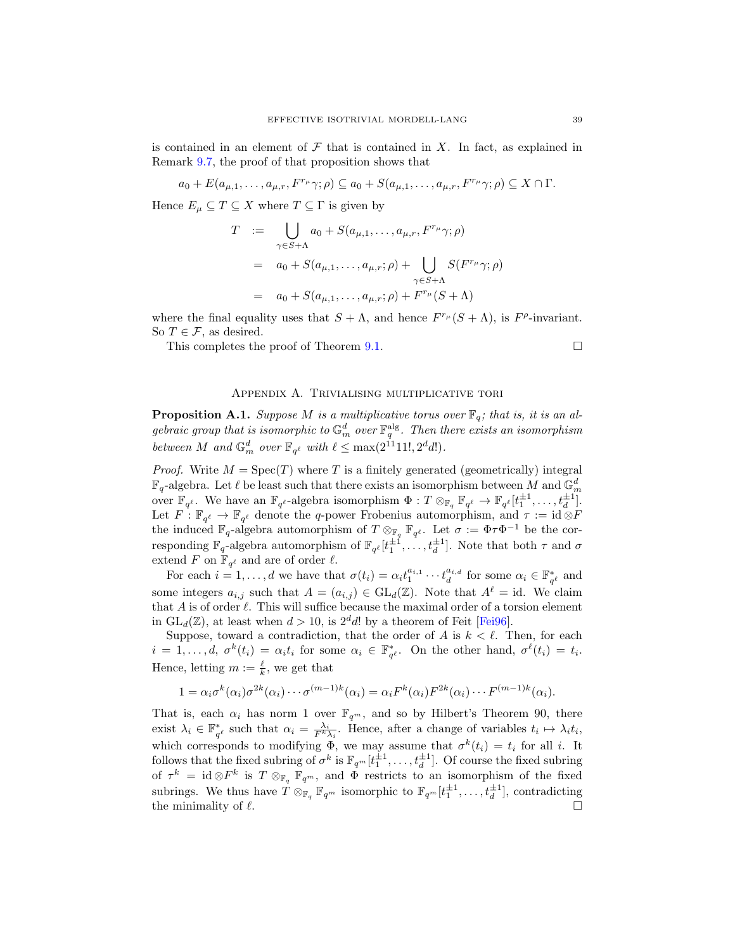is contained in an element of  $\mathcal F$  that is contained in X. In fact, as explained in Remark [9.7,](#page-32-0) the proof of that proposition shows that

 $a_0 + E(a_{\mu,1},\ldots,a_{\mu,r},F^{r_{\mu}}\gamma;\rho) \subseteq a_0 + S(a_{\mu,1},\ldots,a_{\mu,r},F^{r_{\mu}}\gamma;\rho) \subseteq X \cap \Gamma.$ 

Hence  $E_{\mu} \subseteq T \subseteq X$  where  $T \subseteq \Gamma$  is given by

$$
T := \bigcup_{\gamma \in S + \Lambda} a_0 + S(a_{\mu,1}, \dots, a_{\mu,r}, F^{r_{\mu}} \gamma; \rho)
$$
  
=  $a_0 + S(a_{\mu,1}, \dots, a_{\mu,r}; \rho) + \bigcup_{\gamma \in S + \Lambda} S(F^{r_{\mu}} \gamma; \rho)$   
=  $a_0 + S(a_{\mu,1}, \dots, a_{\mu,r}; \rho) + F^{r_{\mu}}(S + \Lambda)$ 

where the final equality uses that  $S + \Lambda$ , and hence  $F^{r_{\mu}}(S + \Lambda)$ , is  $F^{\rho}$ -invariant. So  $T \in \mathcal{F}$ , as desired.

This completes the proof of Theorem [9.1.](#page-29-1)  $\Box$ 

## Appendix A. Trivialising multiplicative tori

<span id="page-38-1"></span><span id="page-38-0"></span>**Proposition A.1.** Suppose M is a multiplicative torus over  $\mathbb{F}_q$ ; that is, it is an algebraic group that is isomorphic to  $\mathbb{G}_m^d$  over  $\mathbb{F}_q^{\text{alg}}$ . Then there exists an isomorphism between M and  $\mathbb{G}_m^d$  over  $\mathbb{F}_{q^{\ell}}$  with  $\ell \leq \max(2^{11}11!, 2^d d!)$ .

*Proof.* Write  $M = \text{Spec}(T)$  where T is a finitely generated (geometrically) integral  $\mathbb{F}_q$ -algebra. Let  $\ell$  be least such that there exists an isomorphism between  $M$  and  $\mathbb{G}_m^d$ over  $\mathbb{F}_{q^{\ell}}$ . We have an  $\mathbb{F}_{q^{\ell}}$ -algebra isomorphism  $\Phi: T \otimes_{\mathbb{F}_q} \mathbb{F}_{q^{\ell}} \to \mathbb{F}_{q^{\ell}}[t_1^{\pm 1}, \ldots, t_d^{\pm 1}]$ . Let  $F: \mathbb{F}_{q^{\ell}} \to \mathbb{F}_{q^{\ell}}$  denote the q-power Frobenius automorphism, and  $\tau := id \otimes F$ the induced  $\mathbb{F}_q$ -algebra automorphism of  $T \otimes_{\mathbb{F}_q} \mathbb{F}_{q^{\ell}}$ . Let  $\sigma := \Phi \tau \Phi^{-1}$  be the corresponding  $\mathbb{F}_q$ -algebra automorphism of  $\mathbb{F}_{q^{\ell}}[t_1^{\pm 1}, \ldots, t_d^{\pm 1}]$ . Note that both  $\tau$  and  $\sigma$ extend F on  $\mathbb{F}_{q^{\ell}}$  and are of order  $\ell$ .

For each  $i = 1, \ldots, d$  we have that  $\sigma(t_i) = \alpha_i t_1^{a_{i,1}} \cdots t_d^{a_{i,d}}$  for some  $\alpha_i \in \mathbb{F}_{q^{\ell}}^*$  and some integers  $a_{i,j}$  such that  $A = (a_{i,j}) \in GL_d(\mathbb{Z})$ . Note that  $A^{\ell} = id$ . We claim that A is of order  $\ell$ . This will suffice because the maximal order of a torsion element in  $GL_d(\mathbb{Z})$ , at least when  $d > 10$ , is  $2^d d!$  by a theorem of Feit [\[Fei96\]](#page-40-24).

Suppose, toward a contradiction, that the order of A is  $k < \ell$ . Then, for each  $i = 1, \ldots, d, \sigma^k(t_i) = \alpha_i t_i$  for some  $\alpha_i \in \mathbb{F}_{q^{\ell}}^*$ . On the other hand,  $\sigma^{\ell}(t_i) = t_i$ . Hence, letting  $m := \frac{\ell}{k}$ , we get that

$$
1 = \alpha_i \sigma^k(\alpha_i) \sigma^{2k}(\alpha_i) \cdots \sigma^{(m-1)k}(\alpha_i) = \alpha_i F^k(\alpha_i) F^{2k}(\alpha_i) \cdots F^{(m-1)k}(\alpha_i).
$$

That is, each  $\alpha_i$  has norm 1 over  $\mathbb{F}_{q^m}$ , and so by Hilbert's Theorem 90, there exist  $\lambda_i \in \mathbb{F}_{q^{\ell}}^*$  such that  $\alpha_i = \frac{\lambda_i}{F^k \lambda_i}$ . Hence, after a change of variables  $t_i \mapsto \lambda_i t_i$ , which corresponds to modifying  $\Phi$ , we may assume that  $\sigma^k(t_i) = t_i$  for all i. It follows that the fixed subring of  $\sigma^k$  is  $\mathbb{F}_{q^m}[t_1^{\pm 1}, \ldots, t_d^{\pm 1}]$ . Of course the fixed subring of  $\tau^k = \text{id} \otimes F^k$  is  $T \otimes_{\mathbb{F}_q} \mathbb{F}_{q^m}$ , and  $\Phi$  restricts to an isomorphism of the fixed subrings. We thus have  $\hat{T} \otimes_{\mathbb{F}_q} \mathbb{F}_{q^m}$  isomorphic to  $\mathbb{F}_{q^m}[t_1^{\pm 1}, \ldots, t_d^{\pm 1}]$ , contradicting the minimality of  $\ell$ .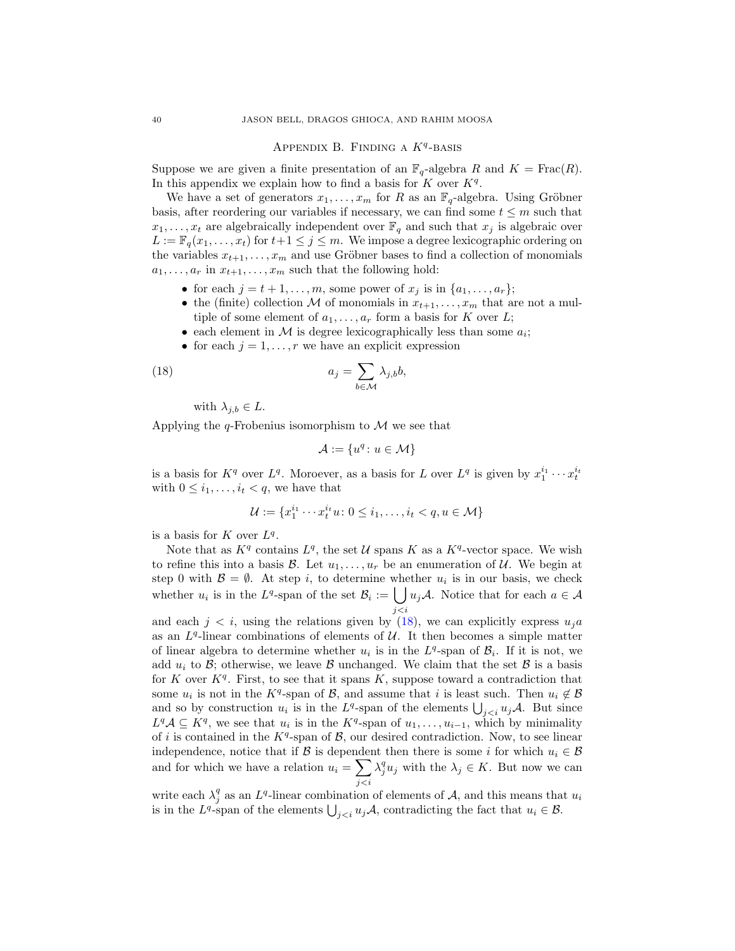# APPENDIX B. FINDING A  $K^q$ -BASIS

<span id="page-39-0"></span>Suppose we are given a finite presentation of an  $\mathbb{F}_q$ -algebra R and  $K = \text{Frac}(R)$ . In this appendix we explain how to find a basis for  $K$  over  $K<sup>q</sup>$ .

We have a set of generators  $x_1, \ldots, x_m$  for R as an  $\mathbb{F}_q$ -algebra. Using Gröbner basis, after reordering our variables if necessary, we can find some  $t \leq m$  such that  $x_1, \ldots, x_t$  are algebraically independent over  $\mathbb{F}_q$  and such that  $x_j$  is algebraic over  $L := \mathbb{F}_q(x_1, \ldots, x_t)$  for  $t+1 \leq j \leq m$ . We impose a degree lexicographic ordering on the variables  $x_{t+1}, \ldots, x_m$  and use Gröbner bases to find a collection of monomials  $a_1, \ldots, a_r$  in  $x_{t+1}, \ldots, x_m$  such that the following hold:

- for each  $j = t + 1, \ldots, m$ , some power of  $x_j$  is in  $\{a_1, \ldots, a_r\};$
- the (finite) collection M of monomials in  $x_{t+1}, \ldots, x_m$  that are not a multiple of some element of  $a_1, \ldots, a_r$  form a basis for K over L;
- each element in  $M$  is degree lexicographically less than some  $a_i$ ;
- for each  $j = 1, \ldots, r$  we have an explicit expression

(18) 
$$
a_j = \sum_{b \in \mathcal{M}} \lambda_{j,b} b,
$$

with  $\lambda_{j,b} \in L$ .

Applying the  $q$ -Frobenius isomorphism to  $\mathcal M$  we see that

<span id="page-39-1"></span>
$$
\mathcal{A} := \{u^q \colon u \in \mathcal{M}\}
$$

is a basis for  $K^q$  over  $L^q$ . Moroever, as a basis for L over  $L^q$  is given by  $x_1^{i_1} \cdots x_t^{i_t}$ with  $0 \leq i_1, \ldots, i_t < q$ , we have that

$$
\mathcal{U} := \{x_1^{i_1} \cdots x_t^{i_t} u \colon 0 \le i_1, \ldots, i_t < q, u \in \mathcal{M}\}
$$

is a basis for  $K$  over  $L^q$ .

Note that as  $K<sup>q</sup>$  contains  $L<sup>q</sup>$ , the set U spans K as a  $K<sup>q</sup>$ -vector space. We wish to refine this into a basis  $\mathcal{B}$ . Let  $u_1, \ldots, u_r$  be an enumeration of  $\mathcal{U}$ . We begin at step 0 with  $\mathcal{B} = \emptyset$ . At step *i*, to determine whether  $u_i$  is in our basis, we check whether  $u_i$  is in the L<sup>q</sup>-span of the set  $\mathcal{B}_i := \left[ \int u_j \mathcal{A} \right]$ . Notice that for each  $a \in \mathcal{A}$ j<i

and each  $j < i$ , using the relations given by [\(18\)](#page-39-1), we can explicitly express  $u_j a$ as an  $L<sup>q</sup>$ -linear combinations of elements of  $U$ . It then becomes a simple matter of linear algebra to determine whether  $u_i$  is in the  $L<sup>q</sup>$ -span of  $\mathcal{B}_i$ . If it is not, we add  $u_i$  to  $\mathcal{B}$ ; otherwise, we leave  $\mathcal{B}$  unchanged. We claim that the set  $\mathcal{B}$  is a basis for K over  $K<sup>q</sup>$ . First, to see that it spans K, suppose toward a contradiction that some  $u_i$  is not in the K<sup>q</sup>-span of B, and assume that i is least such. Then  $u_i \notin \mathcal{B}$ and so by construction  $u_i$  is in the  $L^q$ -span of the elements  $\bigcup_{j. But since$  $L^q \mathcal{A} \subseteq K^q$ , we see that  $u_i$  is in the  $K^q$ -span of  $u_1, \ldots, u_{i-1}$ , which by minimality of i is contained in the  $K<sup>q</sup>$ -span of  $\mathcal{B}$ , our desired contradiction. Now, to see linear independence, notice that if B is dependent then there is some i for which  $u_i \in \mathcal{B}$ and for which we have a relation  $u_i = \sum_i \lambda_i^q u_j$  with the  $\lambda_j \in K$ . But now we can j<i

write each  $\lambda_j^q$  as an  $L^q$ -linear combination of elements of A, and this means that  $u_i$ is in the  $L^q$ -span of the elements  $\bigcup_{j, contradicting the fact that  $u_i \in \mathcal{B}$ .$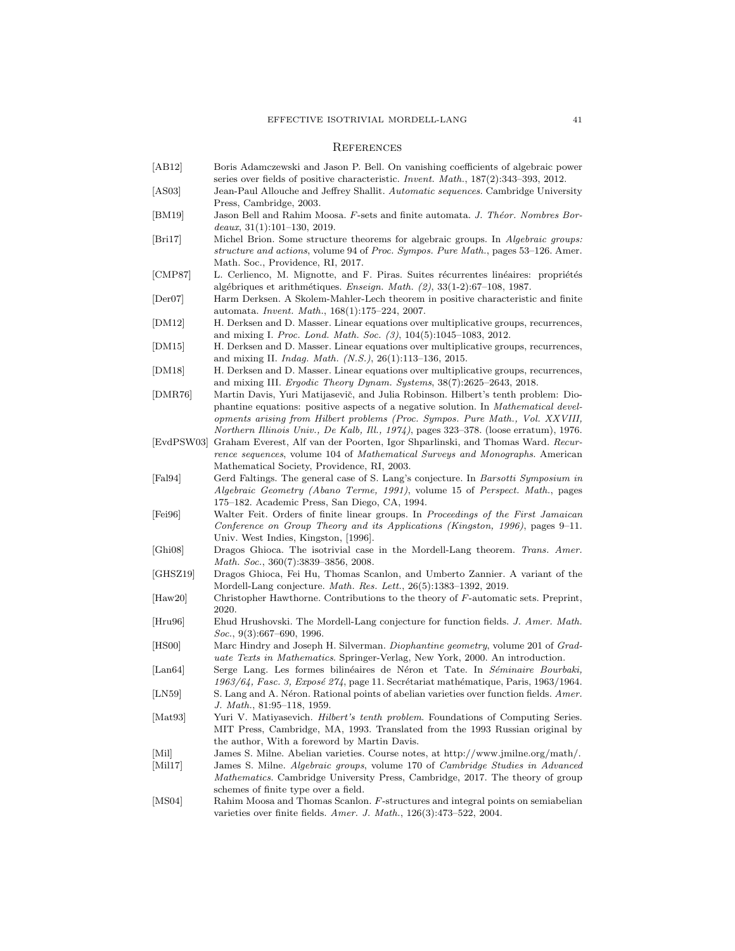# <span id="page-40-1"></span>**REFERENCES**

<span id="page-40-17"></span><span id="page-40-16"></span><span id="page-40-14"></span><span id="page-40-13"></span><span id="page-40-12"></span><span id="page-40-11"></span><span id="page-40-10"></span><span id="page-40-9"></span><span id="page-40-7"></span><span id="page-40-6"></span><span id="page-40-5"></span><span id="page-40-2"></span>

| AB12                          | Boris Adamczewski and Jason P. Bell. On vanishing coefficients of algebraic power<br>series over fields of positive characteristic. <i>Invent. Math.</i> , 187(2):343–393, 2012.                                                                                                                                                                                 |
|-------------------------------|------------------------------------------------------------------------------------------------------------------------------------------------------------------------------------------------------------------------------------------------------------------------------------------------------------------------------------------------------------------|
| ASSO3                         | Jean-Paul Allouche and Jeffrey Shallit. Automatic sequences. Cambridge University<br>Press, Cambridge, 2003.                                                                                                                                                                                                                                                     |
| BM19                          | Jason Bell and Rahim Moosa. F-sets and finite automata. J. Théor. Nombres Bor-<br>$deaux, 31(1):101-130, 2019.$                                                                                                                                                                                                                                                  |
| <sub>Bri17</sub>              | Michel Brion. Some structure theorems for algebraic groups. In Algebraic groups:<br>structure and actions, volume 94 of Proc. Sympos. Pure Math., pages 53–126. Amer.<br>Math. Soc., Providence, RI, 2017.                                                                                                                                                       |
| CMP87                         | L. Cerlienco, M. Mignotte, and F. Piras. Suites récurrentes linéaires: propriétés<br>algébriques et arithmétiques. Enseign. Math. $(2)$ , 33(1-2):67–108, 1987.                                                                                                                                                                                                  |
| Der07                         | Harm Derksen. A Skolem-Mahler-Lech theorem in positive characteristic and finite<br>automata. <i>Invent. Math.</i> , 168(1):175–224, 2007.                                                                                                                                                                                                                       |
| DM12                          | H. Derksen and D. Masser. Linear equations over multiplicative groups, recurrences,<br>and mixing I. Proc. Lond. Math. Soc. $(3)$ , 104 $(5)$ :1045-1083, 2012.                                                                                                                                                                                                  |
| DM15                          | H. Derksen and D. Masser. Linear equations over multiplicative groups, recurrences,<br>and mixing II. <i>Indag. Math.</i> $(N.S.), 26(1):113-136, 2015.$                                                                                                                                                                                                         |
| DM18                          | H. Derksen and D. Masser. Linear equations over multiplicative groups, recurrences,<br>and mixing III. <i>Ergodic Theory Dynam. Systems</i> , $38(7):2625-2643$ , 2018.                                                                                                                                                                                          |
| DMR76                         | Martin Davis, Yuri Matijasevič, and Julia Robinson. Hilbert's tenth problem: Dio-<br>phantine equations: positive aspects of a negative solution. In <i>Mathematical devel-</i><br>opments arising from Hilbert problems (Proc. Sympos. Pure Math., Vol. XXVIII,<br><i>Northern Illinois Univ., De Kalb, Ill., 1974)</i> , pages 323–378. (loose erratum), 1976. |
| EvdPSW03                      | Graham Everest, Alf van der Poorten, Igor Shparlinski, and Thomas Ward. Recur-<br>rence sequences, volume 104 of Mathematical Surveys and Monographs. American<br>Mathematical Society, Providence, RI, 2003.                                                                                                                                                    |
| $[{\rm Fal}94]$               | Gerd Faltings. The general case of S. Lang's conjecture. In <i>Barsotti Symposium in</i><br>Algebraic Geometry (Abano Terme, 1991), volume 15 of Perspect. Math., pages<br>175–182. Academic Press, San Diego, CA, 1994.                                                                                                                                         |
| Fei96                         | Walter Feit. Orders of finite linear groups. In Proceedings of the First Jamaican<br>Conference on Group Theory and its Applications (Kingston, 1996), pages $9-11$ .<br>Univ. West Indies, Kingston, [1996].                                                                                                                                                    |
| Gh108                         | Dragos Ghioca. The isotrivial case in the Mordell-Lang theorem. Trans. Amer.<br>Math. Soc., 360(7):3839-3856, 2008.                                                                                                                                                                                                                                              |
| GHSZ19                        | Dragos Ghioca, Fei Hu, Thomas Scanlon, and Umberto Zannier. A variant of the<br>Mordell-Lang conjecture. <i>Math. Res. Lett.</i> , 26(5):1383–1392, 2019.                                                                                                                                                                                                        |
| $[\text{Haw20}]$              | Christopher Hawthorne. Contributions to the theory of $F$ -automatic sets. Preprint,<br>2020.                                                                                                                                                                                                                                                                    |
| Hru96                         | Ehud Hrushovski. The Mordell-Lang conjecture for function fields. J. Amer. Math.<br><i>Soc.</i> , 9(3):667–690, 1996.                                                                                                                                                                                                                                            |
| HS00                          | Marc Hindry and Joseph H. Silverman. <i>Diophantine geometry</i> , volume 201 of Grad-<br><i>uate Texts in Mathematics.</i> Springer-Verlag, New York, 2000. An introduction.                                                                                                                                                                                    |
| $\left[$ Lan $64\right]$      | Serge Lang. Les formes bilinéaires de Néron et Tate. In Séminaire Bourbaki,<br>1963/64, Fasc. 3, Exposé 274, page 11. Secrétariat mathématique, Paris, 1963/1964.                                                                                                                                                                                                |
| LN59                          | S. Lang and A. Néron. Rational points of abelian varieties over function fields. Amer.<br>J. Math., 81:95-118, 1959.                                                                                                                                                                                                                                             |
| [Mat93]                       | Yuri V. Matiyasevich. <i>Hilbert's tenth problem</i> . Foundations of Computing Series.<br>MIT Press, Cambridge, MA, 1993. Translated from the 1993 Russian original by<br>the author, With a foreword by Martin Davis.                                                                                                                                          |
| Mil <br>$\vert$ Mil17 $\vert$ | James S. Milne. Abelian varieties. Course notes, at http://www.jmilne.org/math/.<br>James S. Milne. Algebraic groups, volume 170 of Cambridge Studies in Advanced<br><i>Mathematics.</i> Cambridge University Press, Cambridge, 2017. The theory of group<br>schemes of finite type over a field.                                                                |
| $\sqrt{10}$                   |                                                                                                                                                                                                                                                                                                                                                                  |

<span id="page-40-24"></span><span id="page-40-23"></span><span id="page-40-22"></span><span id="page-40-21"></span><span id="page-40-20"></span><span id="page-40-19"></span><span id="page-40-18"></span><span id="page-40-15"></span><span id="page-40-8"></span><span id="page-40-4"></span><span id="page-40-3"></span><span id="page-40-0"></span>[MS04] Rahim Moosa and Thomas Scanlon. F-structures and integral points on semiabelian varieties over finite fields. Amer. J. Math., 126(3):473–522, 2004.